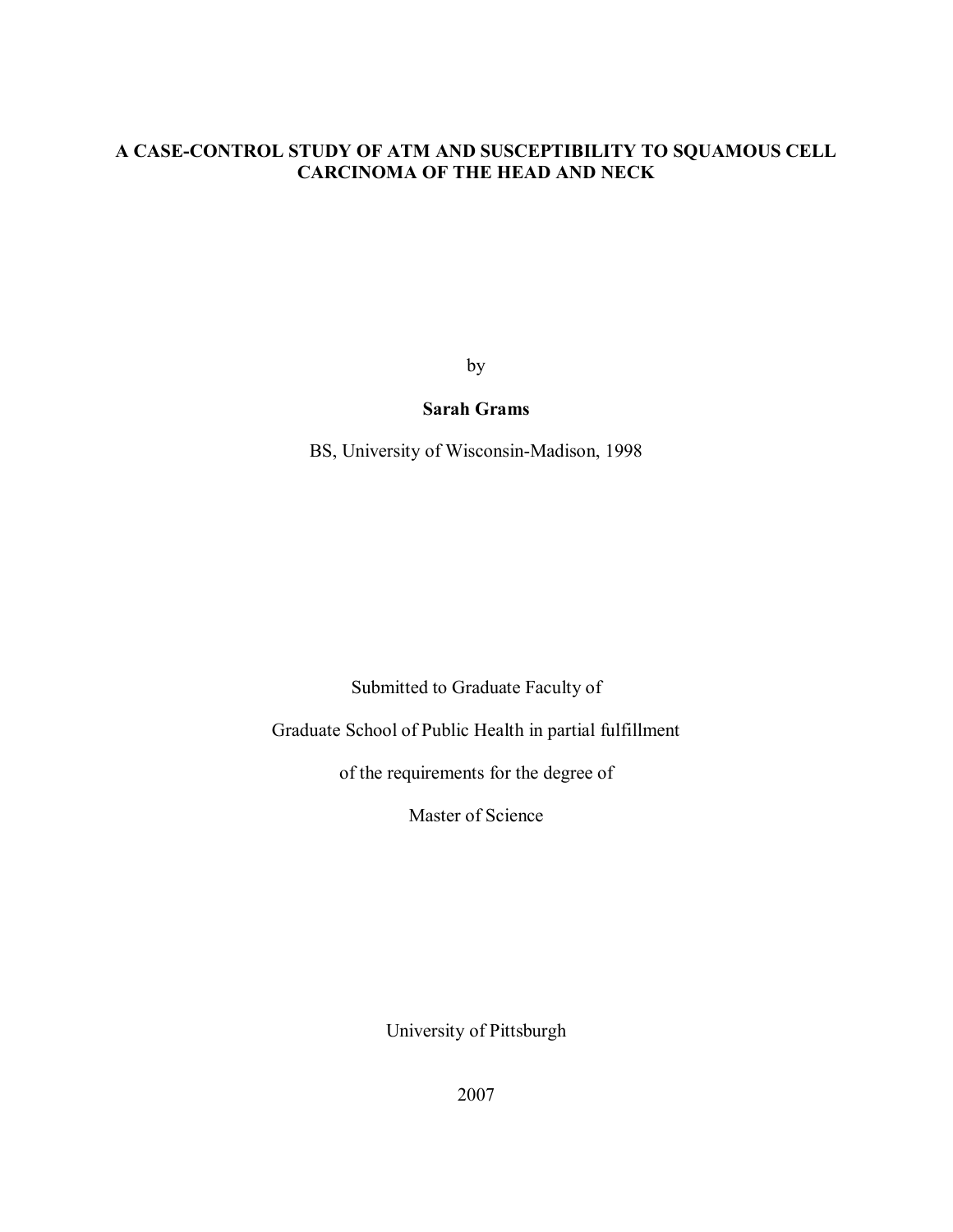# **A CASE-CONTROL STUDY OF ATM AND SUSCEPTIBILITY TO SQUAMOUS CELL CARCINOMA OF THE HEAD AND NECK**

by

# **Sarah Grams**

BS, University of Wisconsin-Madison, 1998

Submitted to Graduate Faculty of

Graduate School of Public Health in partial fulfillment

of the requirements for the degree of

Master of Science

University of Pittsburgh

2007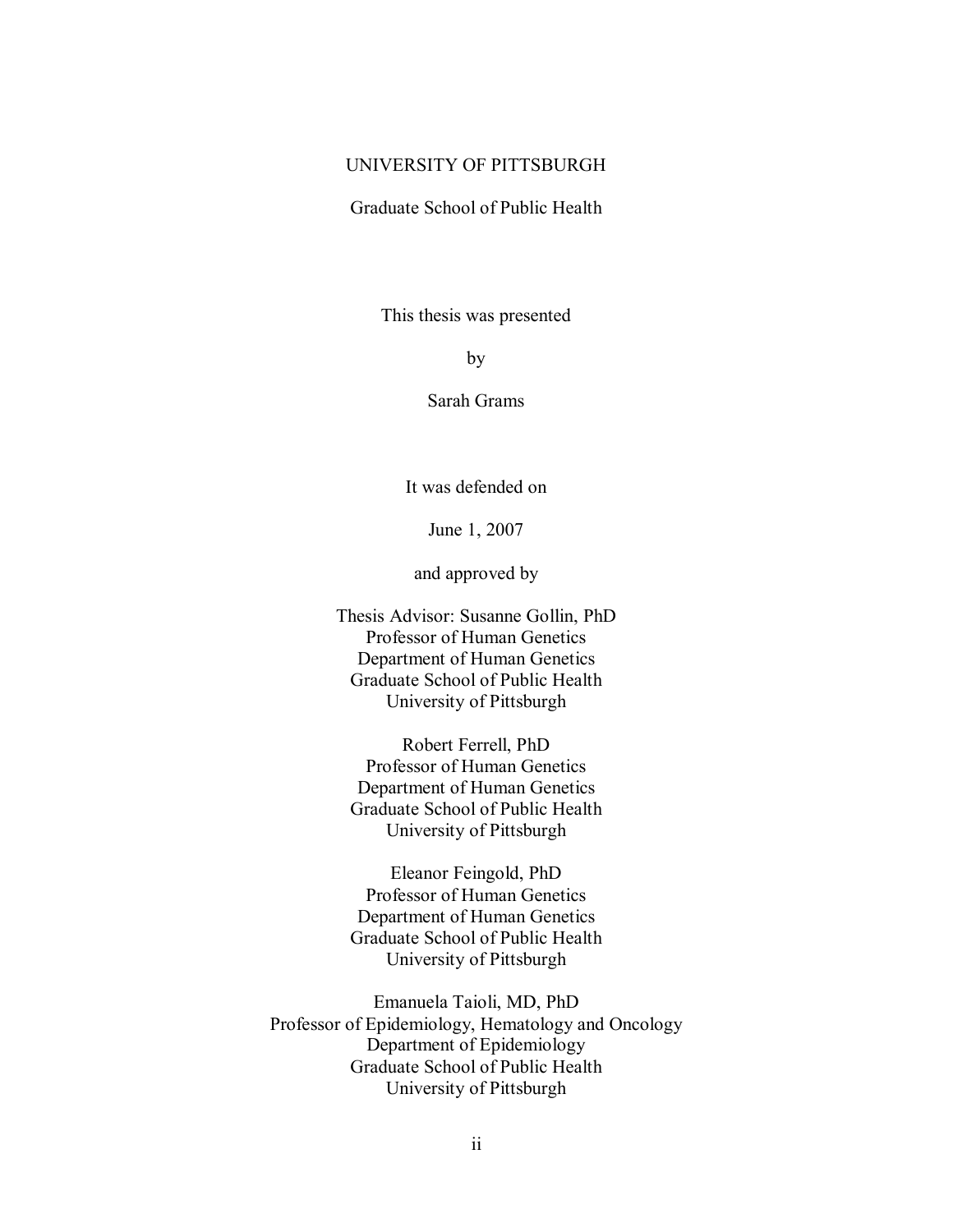## UNIVERSITY OF PITTSBURGH

Graduate School of Public Health

This thesis was presented

by

Sarah Grams

It was defended on

June 1, 2007

and approved by

Thesis Advisor: Susanne Gollin, PhD Professor of Human Genetics Department of Human Genetics Graduate School of Public Health University of Pittsburgh

Robert Ferrell, PhD Professor of Human Genetics Department of Human Genetics Graduate School of Public Health University of Pittsburgh

Eleanor Feingold, PhD Professor of Human Genetics Department of Human Genetics Graduate School of Public Health University of Pittsburgh

Emanuela Taioli, MD, PhD Professor of Epidemiology, Hematology and Oncology Department of Epidemiology Graduate School of Public Health University of Pittsburgh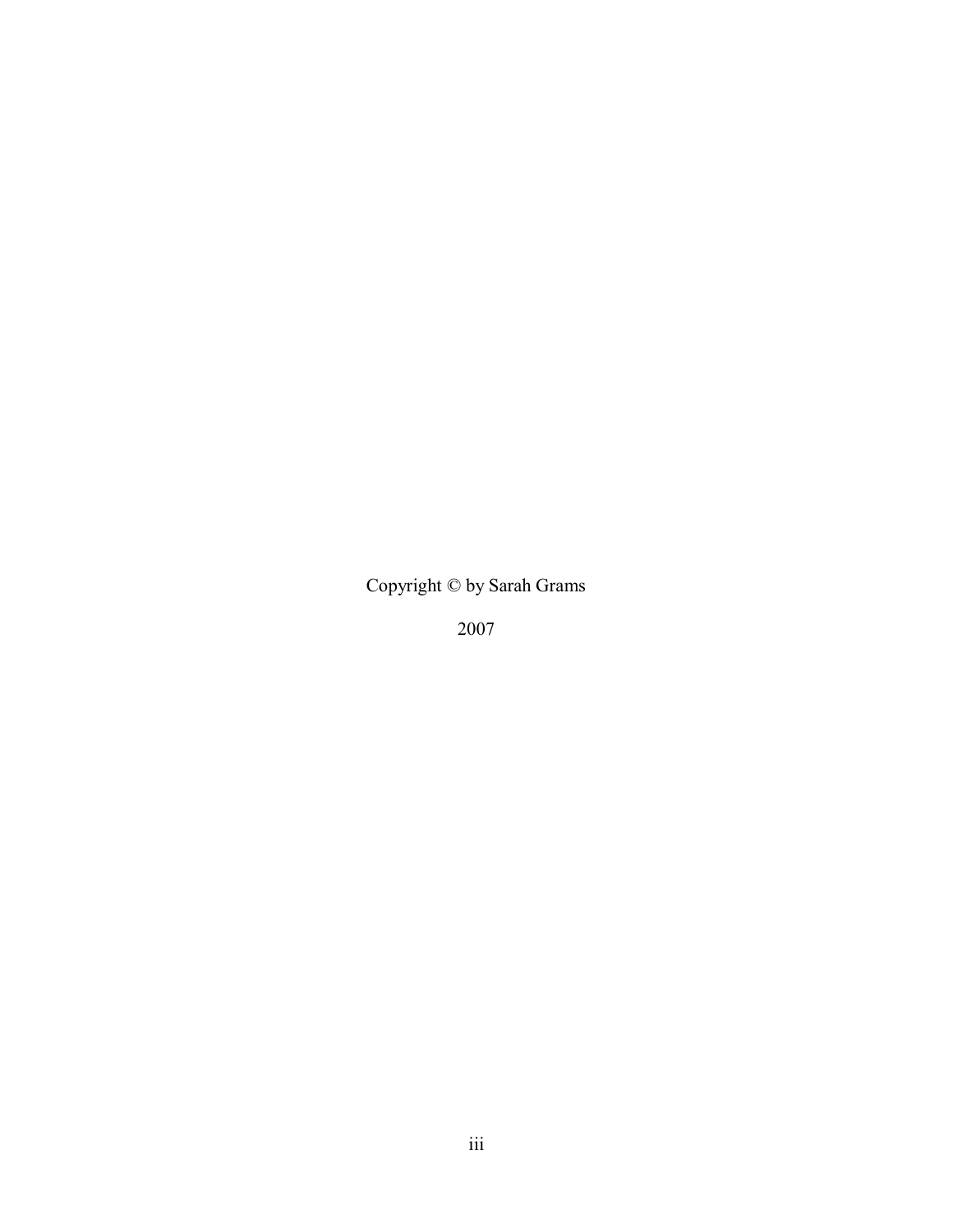Copyright © by Sarah Grams

2007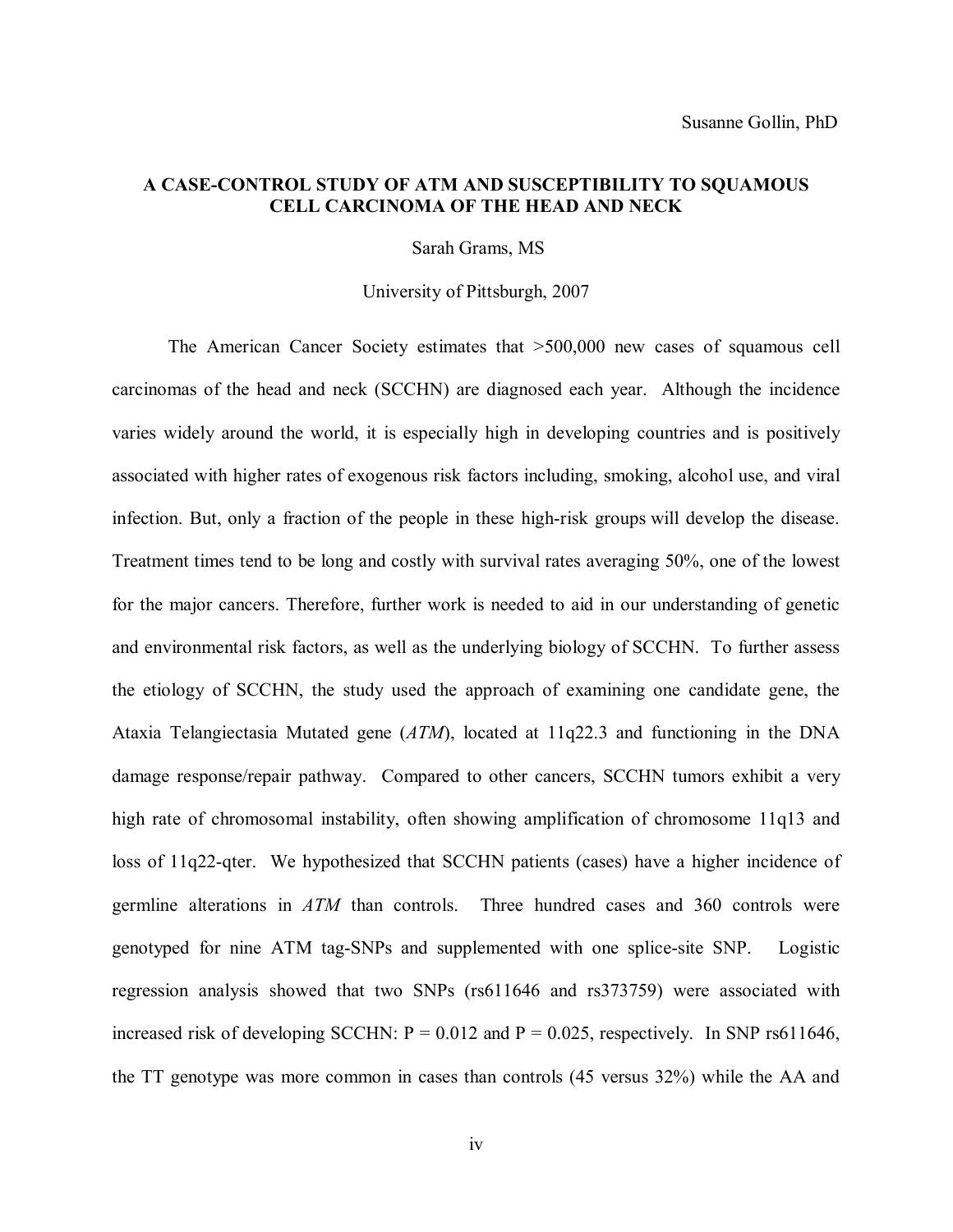## **A CASE-CONTROL STUDY OF ATM AND SUSCEPTIBILITY TO SQUAMOUS CELL CARCINOMA OF THE HEAD AND NECK**

Sarah Grams, MS

University of Pittsburgh, 2007

The American Cancer Society estimates that >500,000 new cases of squamous cell carcinomas of the head and neck (SCCHN) are diagnosed each year. Although the incidence varies widely around the world, it is especially high in developing countries and is positively associated with higher rates of exogenous risk factors including, smoking, alcohol use, and viral infection. But, only a fraction of the people in these high-risk groups will develop the disease. Treatment times tend to be long and costly with survival rates averaging 50%, one of the lowest for the major cancers. Therefore, further work is needed to aid in our understanding of genetic and environmental risk factors, as well as the underlying biology of SCCHN. To further assess the etiology of SCCHN, the study used the approach of examining one candidate gene, the Ataxia Telangiectasia Mutated gene (*ATM*), located at 11q22.3 and functioning in the DNA damage response/repair pathway. Compared to other cancers, SCCHN tumors exhibit a very high rate of chromosomal instability, often showing amplification of chromosome 11q13 and loss of 11q22-qter. We hypothesized that SCCHN patients (cases) have a higher incidence of germline alterations in *ATM* than controls. Three hundred cases and 360 controls were genotyped for nine ATM tag-SNPs and supplemented with one splice-site SNP. Logistic regression analysis showed that two SNPs (rs611646 and rs373759) were associated with increased risk of developing SCCHN:  $P = 0.012$  and  $P = 0.025$ , respectively. In SNP rs611646, the TT genotype was more common in cases than controls (45 versus 32%) while the AA and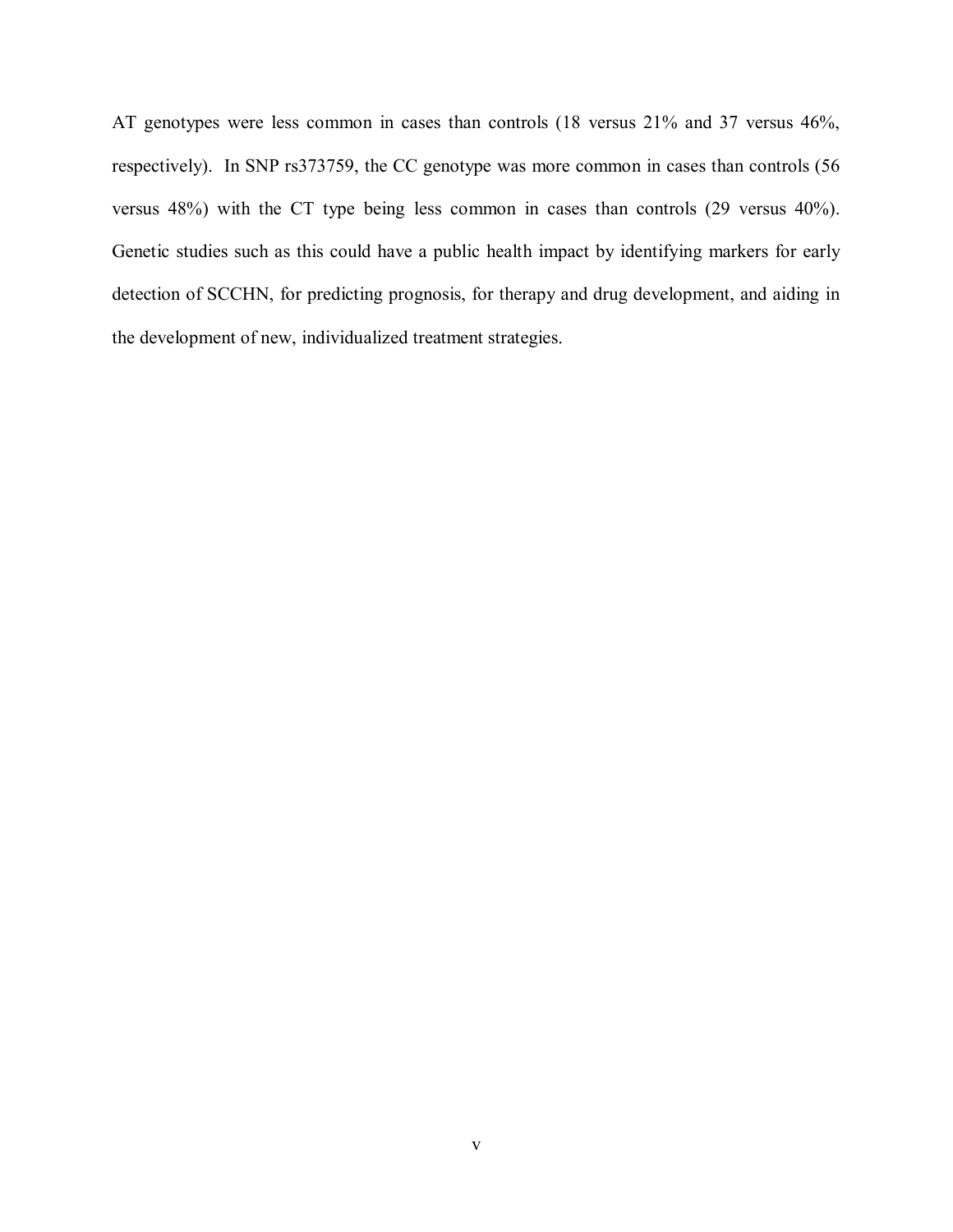AT genotypes were less common in cases than controls (18 versus 21% and 37 versus 46%, respectively). In SNP rs373759, the CC genotype was more common in cases than controls (56 versus 48%) with the CT type being less common in cases than controls (29 versus 40%). Genetic studies such as this could have a public health impact by identifying markers for early detection of SCCHN, for predicting prognosis, for therapy and drug development, and aiding in the development of new, individualized treatment strategies.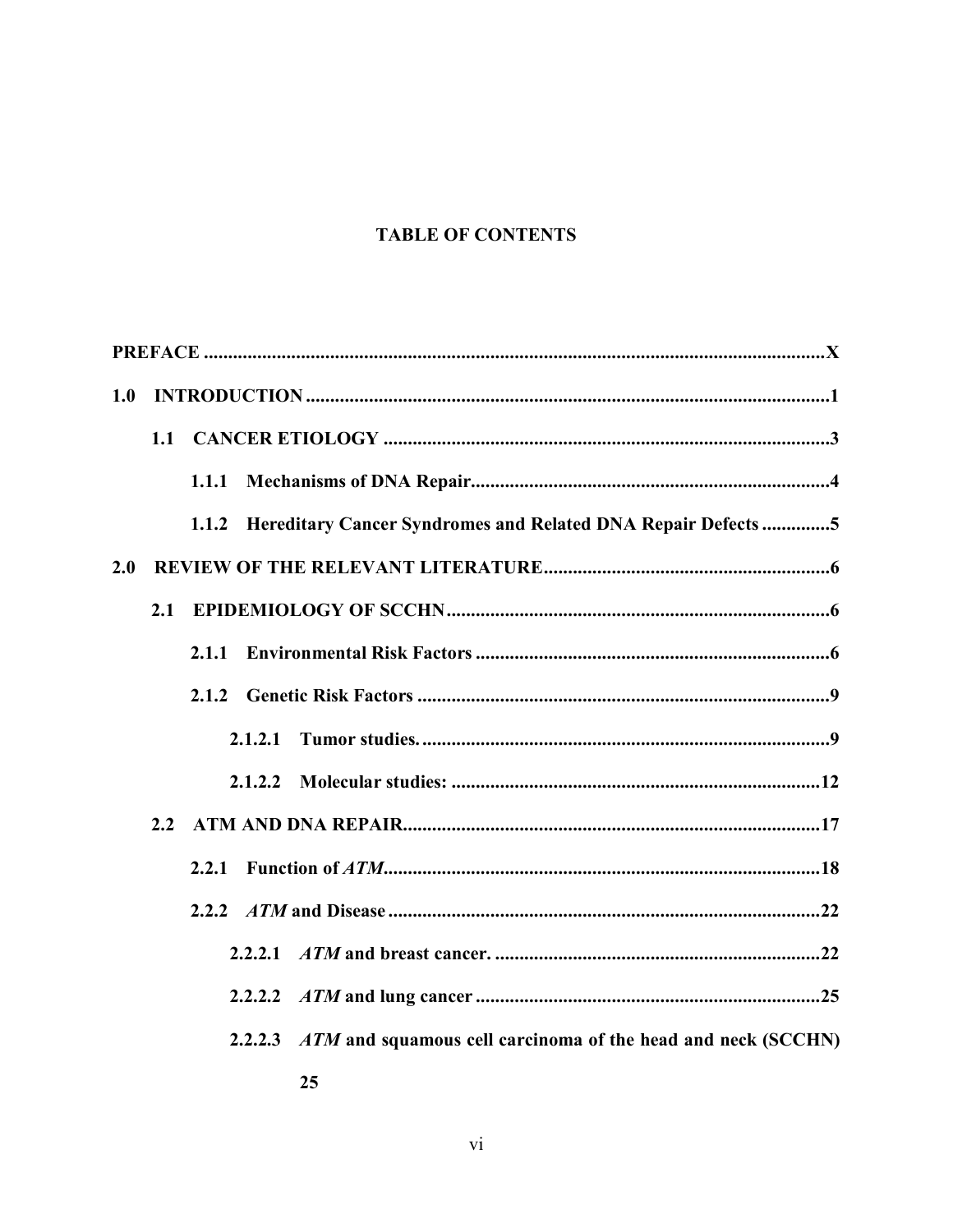# **TABLE OF CONTENTS**

| 1.0 |     |       |         |                                                                              |
|-----|-----|-------|---------|------------------------------------------------------------------------------|
|     |     |       |         |                                                                              |
|     |     | 1.1.1 |         |                                                                              |
|     |     | 1.1.2 |         | <b>EXECUTE: Hereditary Cancer Syndromes and Related DNA Repair Defects 5</b> |
| 2.0 |     |       |         |                                                                              |
|     | 2.1 |       |         |                                                                              |
|     |     | 2.1.1 |         |                                                                              |
|     |     |       |         |                                                                              |
|     |     |       | 2.1.2.1 |                                                                              |
|     |     |       | 2.1.2.2 |                                                                              |
|     | 2.2 |       |         |                                                                              |
|     |     | 2.2.1 |         |                                                                              |
|     |     |       |         |                                                                              |
|     |     |       | 2.2.2.1 |                                                                              |
|     |     |       |         |                                                                              |
|     |     |       |         | 2.2.2.3 ATM and squamous cell carcinoma of the head and neck (SCCHN)         |
|     |     |       |         | 25                                                                           |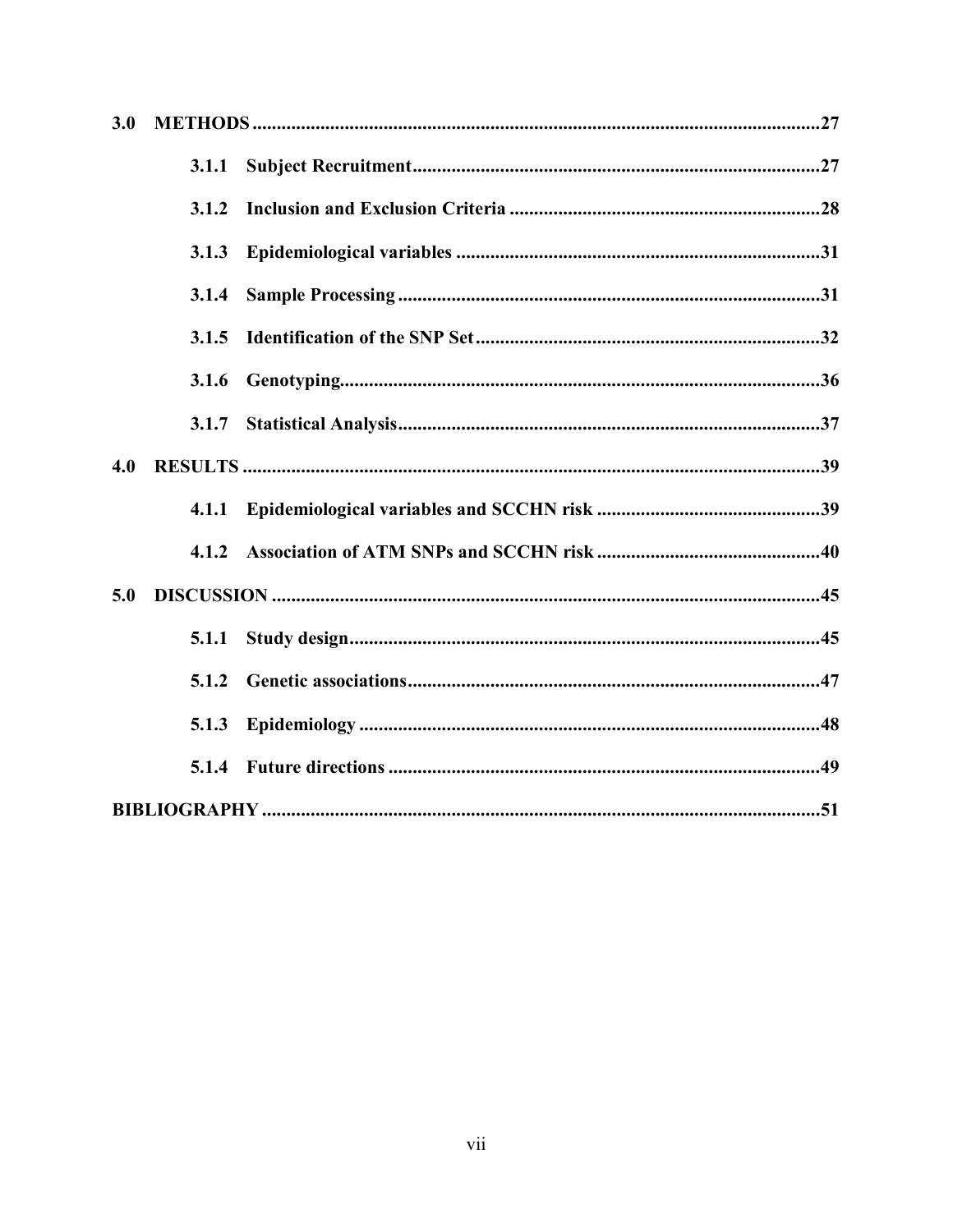| 3.0 |       |  |
|-----|-------|--|
|     | 3.1.1 |  |
|     | 3.1.2 |  |
|     | 3.1.3 |  |
|     | 3.1.4 |  |
|     | 3.1.5 |  |
|     | 3.1.6 |  |
|     | 3.1.7 |  |
| 4.0 |       |  |
|     |       |  |
|     | 4.1.2 |  |
| 5.0 |       |  |
|     | 5.1.1 |  |
|     | 5.1.2 |  |
|     | 5.1.3 |  |
|     |       |  |
|     |       |  |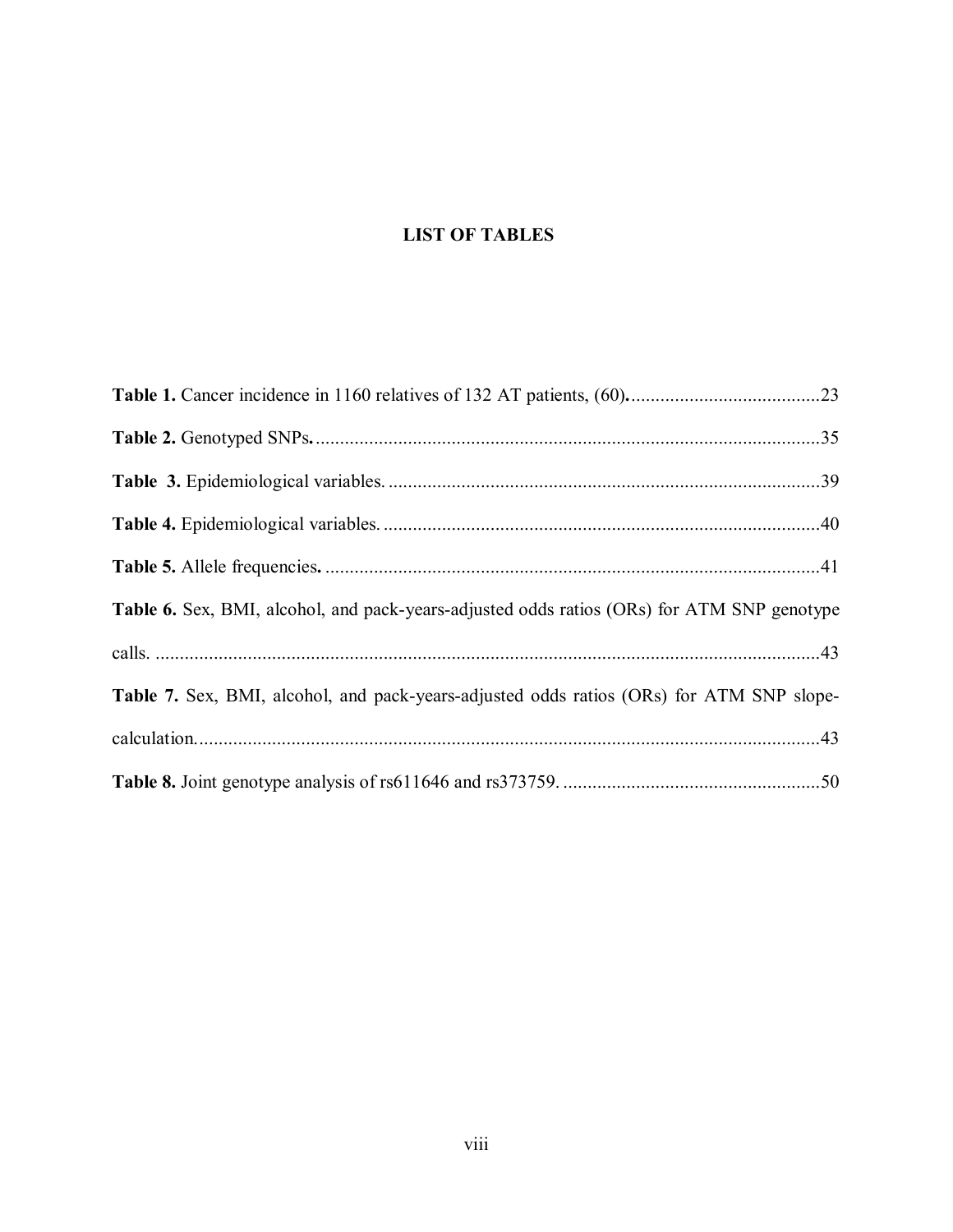# **LIST OF TABLES**

| <b>Table 6.</b> Sex, BMI, alcohol, and pack-years-adjusted odds ratios (ORs) for ATM SNP genotype |  |
|---------------------------------------------------------------------------------------------------|--|
|                                                                                                   |  |
| <b>Table 7.</b> Sex, BMI, alcohol, and pack-years-adjusted odds ratios (ORs) for ATM SNP slope-   |  |
|                                                                                                   |  |
|                                                                                                   |  |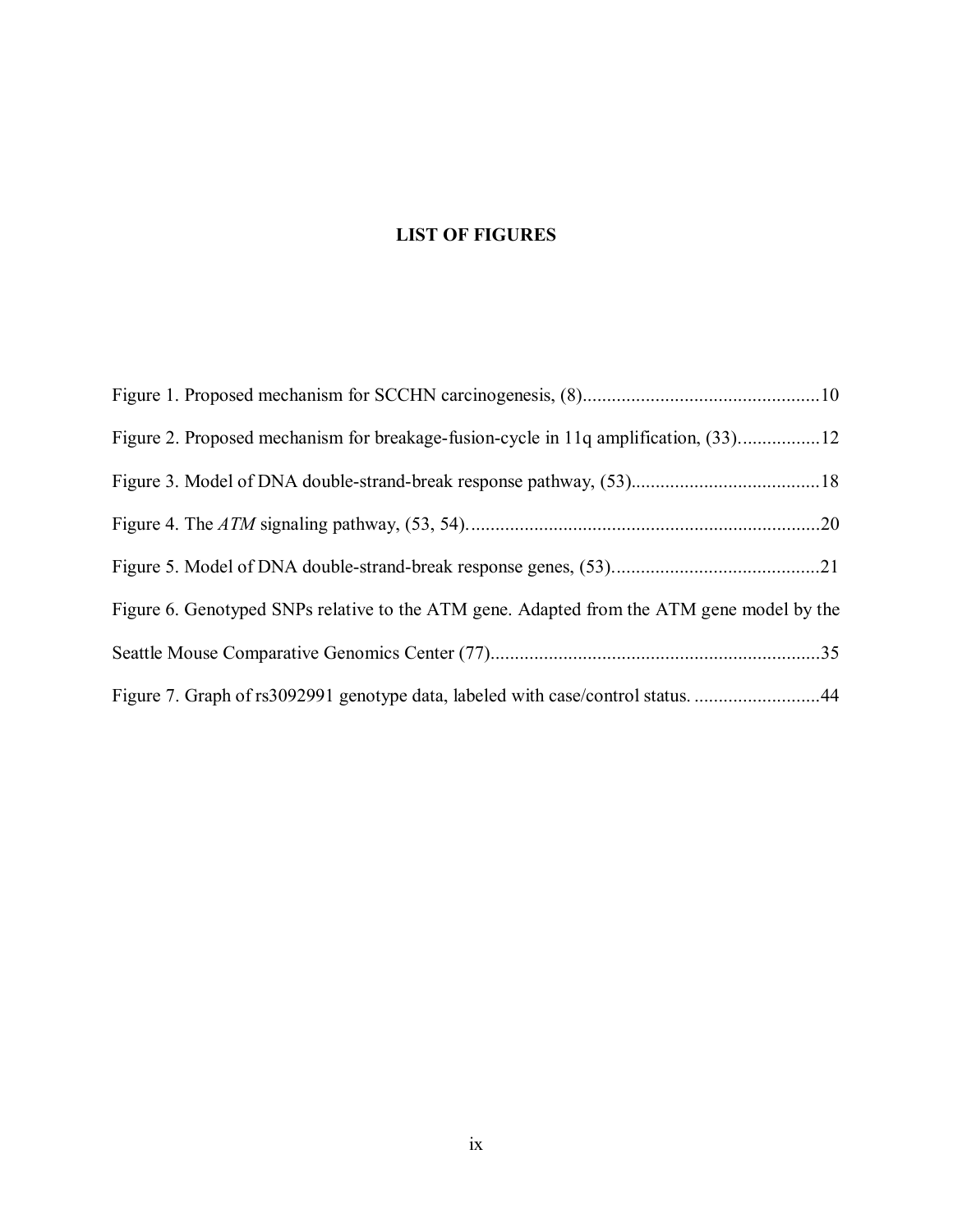# **LIST OF FIGURES**

| Figure 2. Proposed mechanism for breakage-fusion-cycle in 11q amplification, (33)12       |  |
|-------------------------------------------------------------------------------------------|--|
|                                                                                           |  |
|                                                                                           |  |
|                                                                                           |  |
| Figure 6. Genotyped SNPs relative to the ATM gene. Adapted from the ATM gene model by the |  |
|                                                                                           |  |
| Figure 7. Graph of rs3092991 genotype data, labeled with case/control status. 44          |  |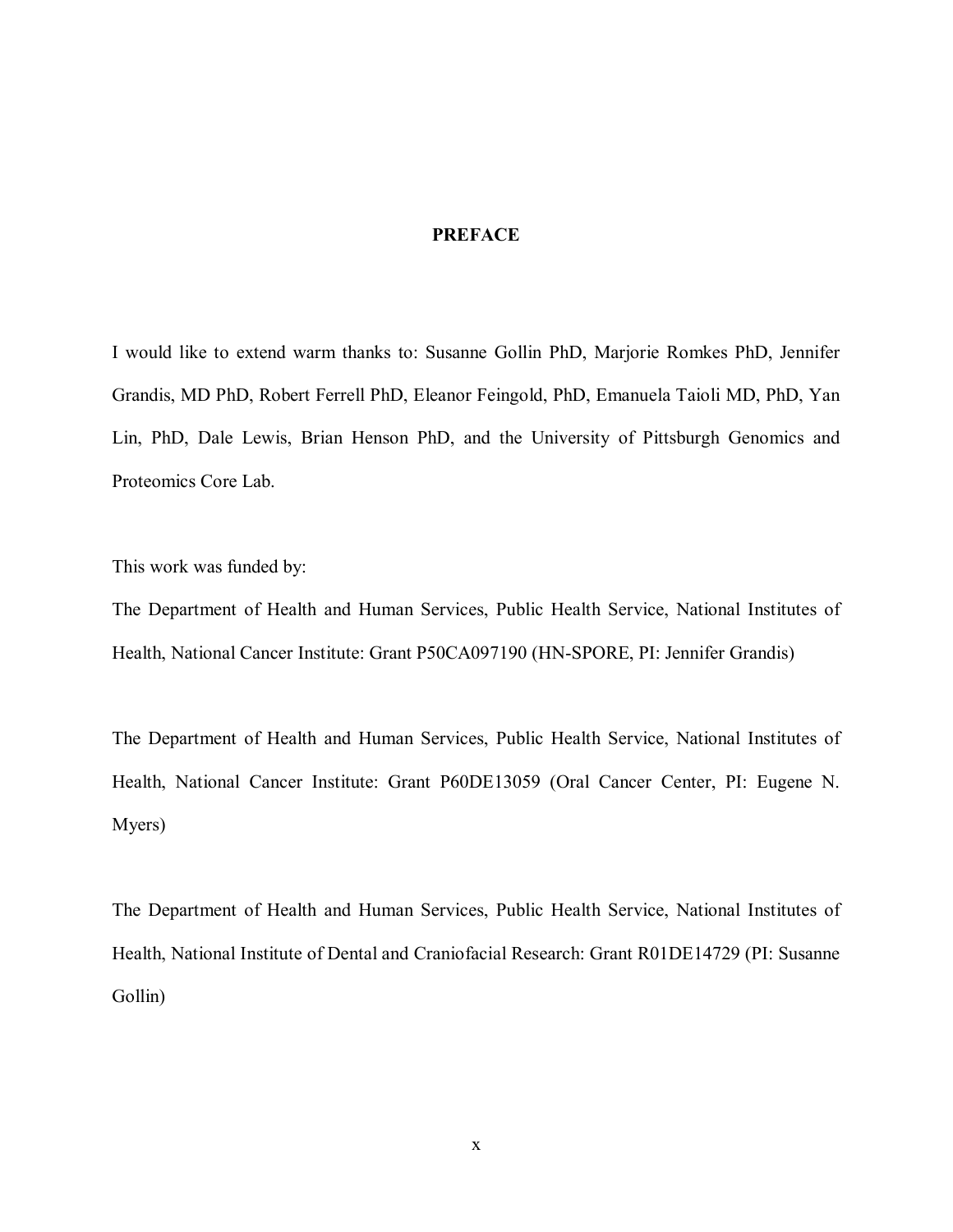# **PREFACE**

<span id="page-9-0"></span>I would like to extend warm thanks to: Susanne Gollin PhD, Marjorie Romkes PhD, Jennifer Grandis, MD PhD, Robert Ferrell PhD, Eleanor Feingold, PhD, Emanuela Taioli MD, PhD, Yan Lin, PhD, Dale Lewis, Brian Henson PhD, and the University of Pittsburgh Genomics and Proteomics Core Lab.

This work was funded by:

The Department of Health and Human Services, Public Health Service, National Institutes of Health, National Cancer Institute: Grant P50CA097190 (HN-SPORE, PI: Jennifer Grandis)

The Department of Health and Human Services, Public Health Service, National Institutes of Health, National Cancer Institute: Grant P60DE13059 (Oral Cancer Center, PI: Eugene N. Myers)

The Department of Health and Human Services, Public Health Service, National Institutes of Health, National Institute of Dental and Craniofacial Research: Grant R01DE14729 (PI: Susanne Gollin)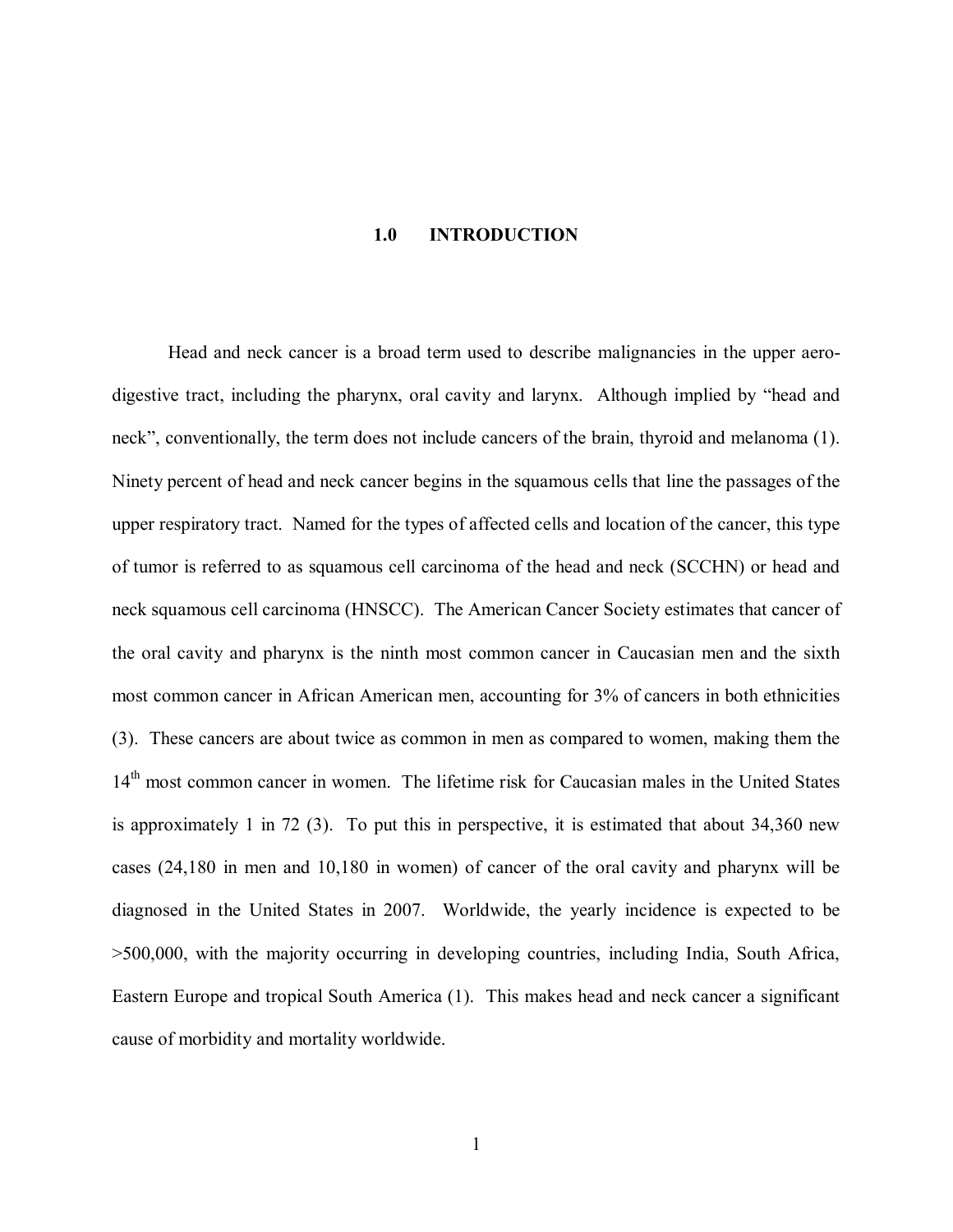#### **1.0 INTRODUCTION**

<span id="page-10-0"></span>Head and neck cancer is a broad term used to describe malignancies in the upper aerodigestive tract, including the pharynx, oral cavity and larynx. Although implied by "head and neck", conventionally, the term does not include cancers of the brain, thyroid and melanoma [\(1\).](#page-60-0) Ninety percent of head and neck cancer begins in the squamous cells that line the passages of the upper respiratory tract. Named for the types of affected cells and location of the cancer, this type of tumor is referred to as squamous cell carcinoma of the head and neck (SCCHN) or head and neck squamous cell carcinoma (HNSCC). The American Cancer Society estimates that cancer of the oral cavity and pharynx is the ninth most common cancer in Caucasian men and the sixth most common cancer in African American men, accounting for 3% of cancers in both ethnicities [\(3\).](#page-60-0) These cancers are about twice as common in men as compared to women, making them the 14<sup>th</sup> most common cancer in women. The lifetime risk for Caucasian males in the United States is approximately 1 in 72 [\(3\).](#page-60-0) To put this in perspective, it is estimated that about 34,360 new cases (24,180 in men and 10,180 in women) of cancer of the oral cavity and pharynx will be diagnosed in the United States in 2007. Worldwide, the yearly incidence is expected to be >500,000, with the majority occurring in developing countries, including India, South Africa, Eastern Europe and tropical South America [\(1\).](#page-60-0) This makes head and neck cancer a significant cause of morbidity and mortality worldwide.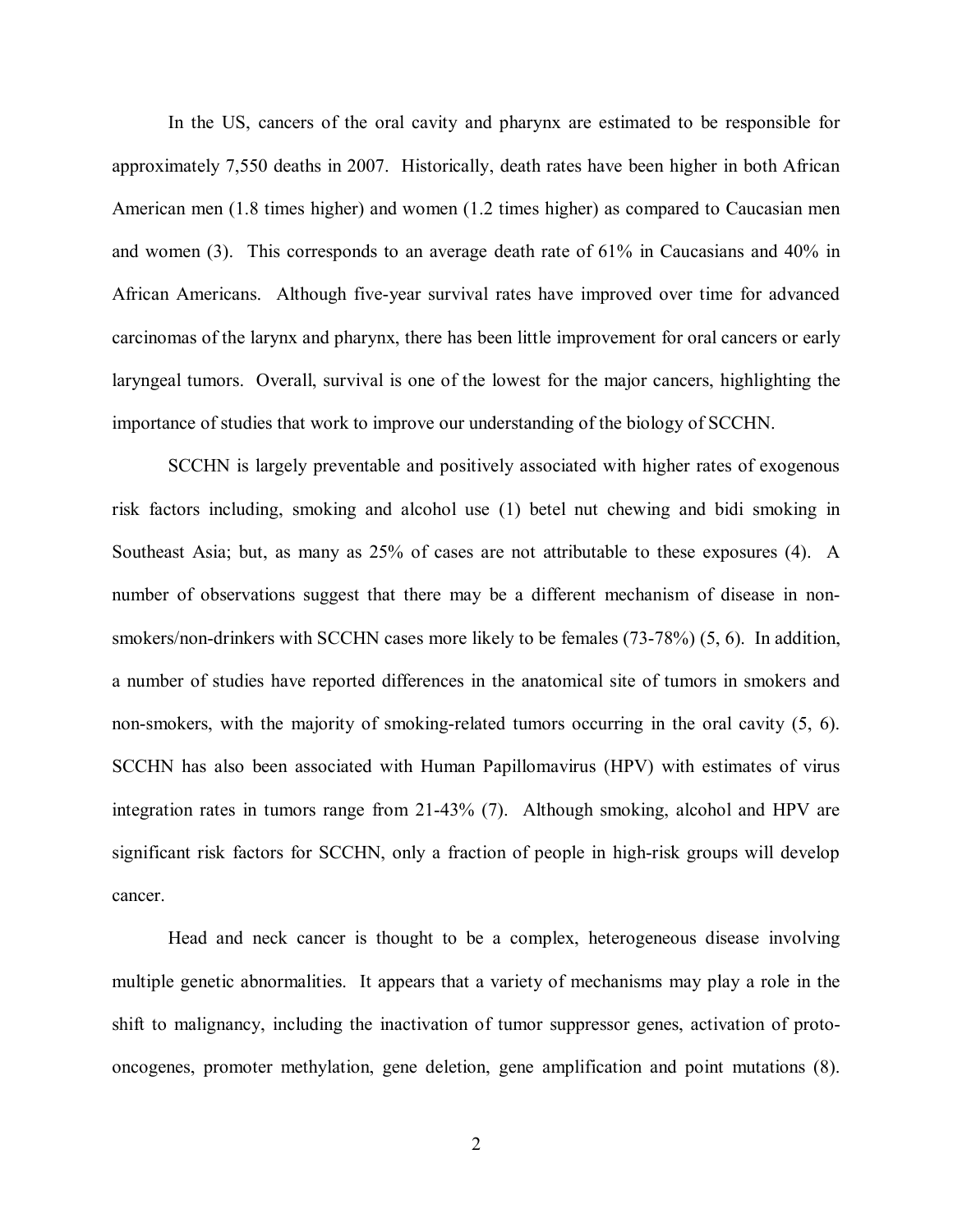In the US, cancers of the oral cavity and pharynx are estimated to be responsible for approximately 7,550 deaths in 2007. Historically, death rates have been higher in both African American men (1.8 times higher) and women (1.2 times higher) as compared to Caucasian men and wome[n \(3\).](#page-60-0) This corresponds to an average death rate of 61% in Caucasians and 40% in African Americans. Although five-year survival rates have improved over time for advanced carcinomas of the larynx and pharynx, there has been little improvement for oral cancers or early laryngeal tumors. Overall, survival is one of the lowest for the major cancers, highlighting the importance of studies that work to improve our understanding of the biology of SCCHN.

SCCHN is largely preventable and positively associated with higher rates of exogenous risk factors including, smoking and alcohol use [\(1\)](#page-60-0) betel nut chewing and bidi smoking in Southeast Asia; but, as many as 25% of cases are not attributable to these exposures [\(4\).](#page-60-0) A number of observations suggest that there may be a different mechanism of disease in nonsmokers/non-drinkers with SCCHN cases more likely to be females (73-78%) ([5, 6\)](#page-60-0). In addition, a number of studies have reported differences in the anatomical site of tumors in smokers and non-smokers, with the majority of smoking-related tumors occurring in the oral cavity ([5, 6\)](#page-60-0). SCCHN has also been associated with Human Papillomavirus (HPV) with estimates of virus integration rates in tumors range from 21-43% [\(7\).](#page-60-0) Although smoking, alcohol and HPV are significant risk factors for SCCHN, only a fraction of people in high-risk groups will develop cancer.

Head and neck cancer is thought to be a complex, heterogeneous disease involving multiple genetic abnormalities. It appears that a variety of mechanisms may play a role in the shift to malignancy, including the inactivation of tumor suppressor genes, activation of protooncogenes, promoter methylation, gene deletion, gene amplification and point mutations [\(8\).](#page-60-0)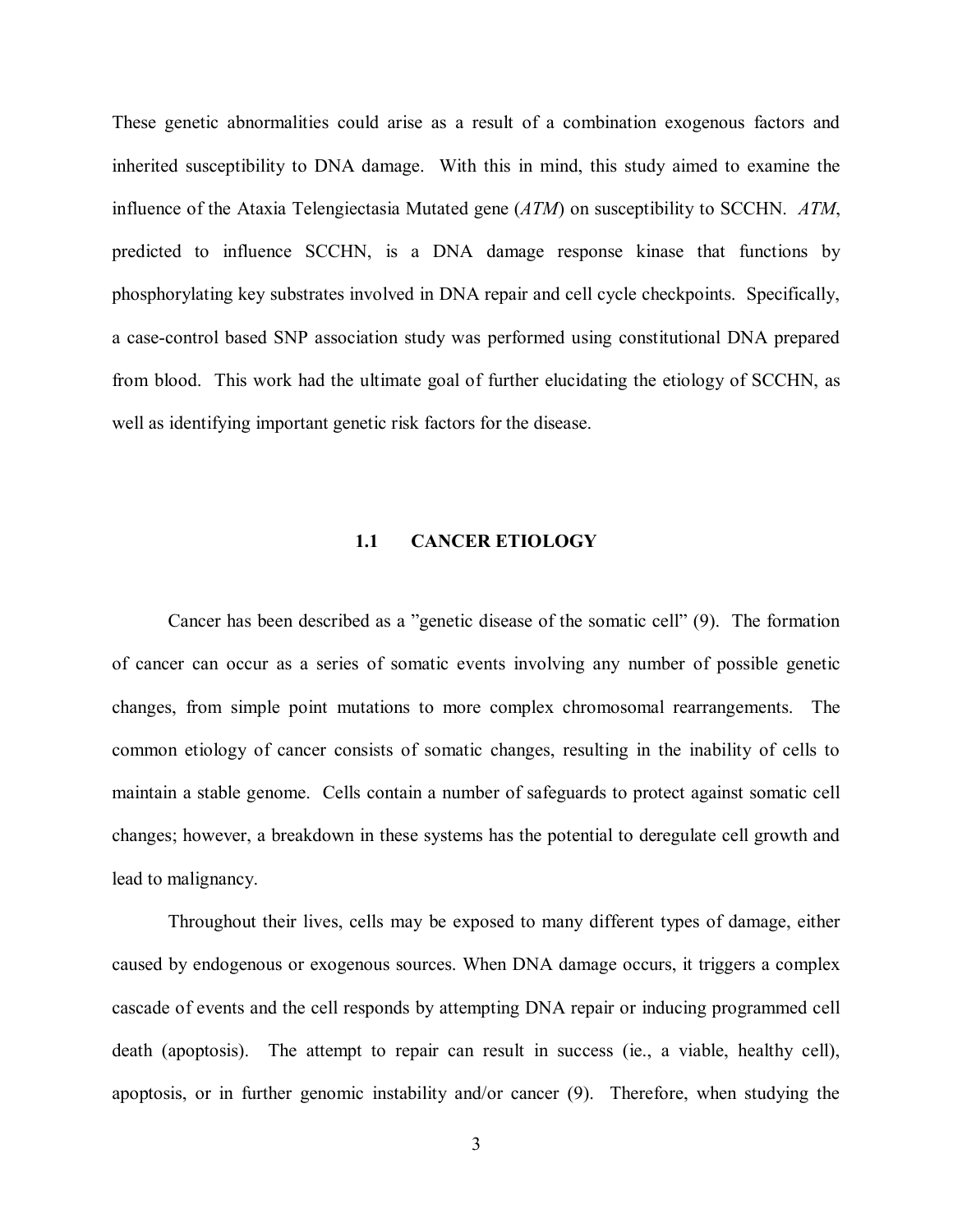<span id="page-12-0"></span>These genetic abnormalities could arise as a result of a combination exogenous factors and inherited susceptibility to DNA damage. With this in mind, this study aimed to examine the influence of the Ataxia Telengiectasia Mutated gene (*ATM*) on susceptibility to SCCHN. *ATM*, predicted to influence SCCHN, is a DNA damage response kinase that functions by phosphorylating key substrates involved in DNA repair and cell cycle checkpoints. Specifically, a case-control based SNP association study was performed using constitutional DNA prepared from blood. This work had the ultimate goal of further elucidating the etiology of SCCHN, as well as identifying important genetic risk factors for the disease.

## **1.1 CANCER ETIOLOGY**

Cancer has been described as a "genetic disease of the somatic cell" [\(9\).](#page-60-0) The formation of cancer can occur as a series of somatic events involving any number of possible genetic changes, from simple point mutations to more complex chromosomal rearrangements. The common etiology of cancer consists of somatic changes, resulting in the inability of cells to maintain a stable genome. Cells contain a number of safeguards to protect against somatic cell changes; however, a breakdown in these systems has the potential to deregulate cell growth and lead to malignancy.

Throughout their lives, cells may be exposed to many different types of damage, either caused by endogenous or exogenous sources. When DNA damage occurs, it triggers a complex cascade of events and the cell responds by attempting DNA repair or inducing programmed cell death (apoptosis). The attempt to repair can result in success (ie., a viable, healthy cell), apoptosis, or in further genomic instability and/or cancer [\(9\).](#page-60-0) Therefore, when studying the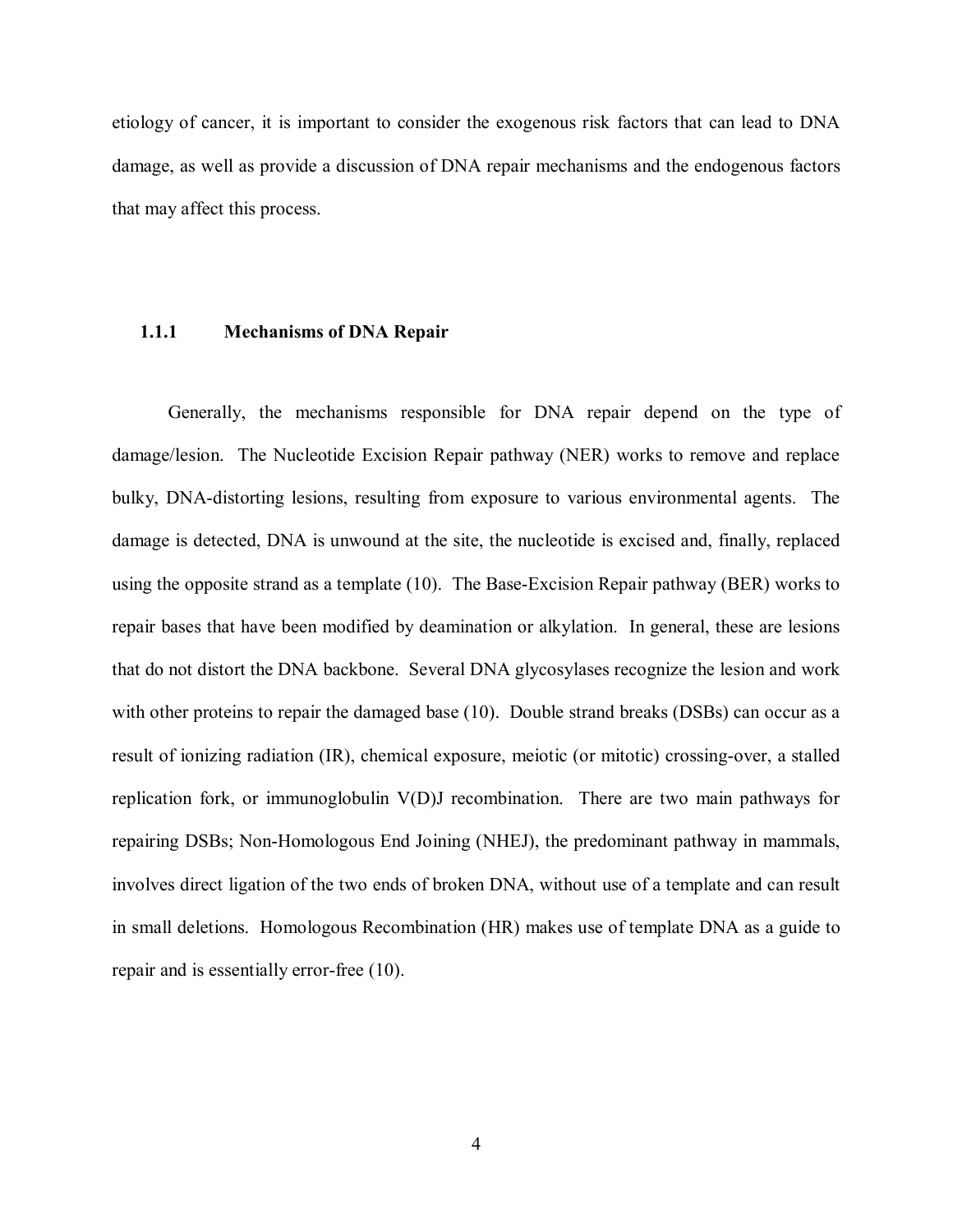<span id="page-13-0"></span>etiology of cancer, it is important to consider the exogenous risk factors that can lead to DNA damage, as well as provide a discussion of DNA repair mechanisms and the endogenous factors that may affect this process.

#### **1.1.1 Mechanisms of DNA Repair**

Generally, the mechanisms responsible for DNA repair depend on the type of damage/lesion. The Nucleotide Excision Repair pathway (NER) works to remove and replace bulky, DNA-distorting lesions, resulting from exposure to various environmental agents. The damage is detected, DNA is unwound at the site, the nucleotide is excised and, finally, replaced using the opposite strand as a template [\(10\)](#page-60-0). The Base-Excision Repair pathway (BER) works to repair bases that have been modified by deamination or alkylation. In general, these are lesions that do not distort the DNA backbone. Several DNA glycosylases recognize the lesion and work with other proteins to repair the damaged base [\(10\).](#page-60-0) Double strand breaks (DSBs) can occur as a result of ionizing radiation (IR), chemical exposure, meiotic (or mitotic) crossing-over, a stalled replication fork, or immunoglobulin V(D)J recombination. There are two main pathways for repairing DSBs; Non-Homologous End Joining (NHEJ), the predominant pathway in mammals, involves direct ligation of the two ends of broken DNA, without use of a template and can result in small deletions. Homologous Recombination (HR) makes use of template DNA as a guide to repair and is essentially error-free [\(10\).](#page-60-0)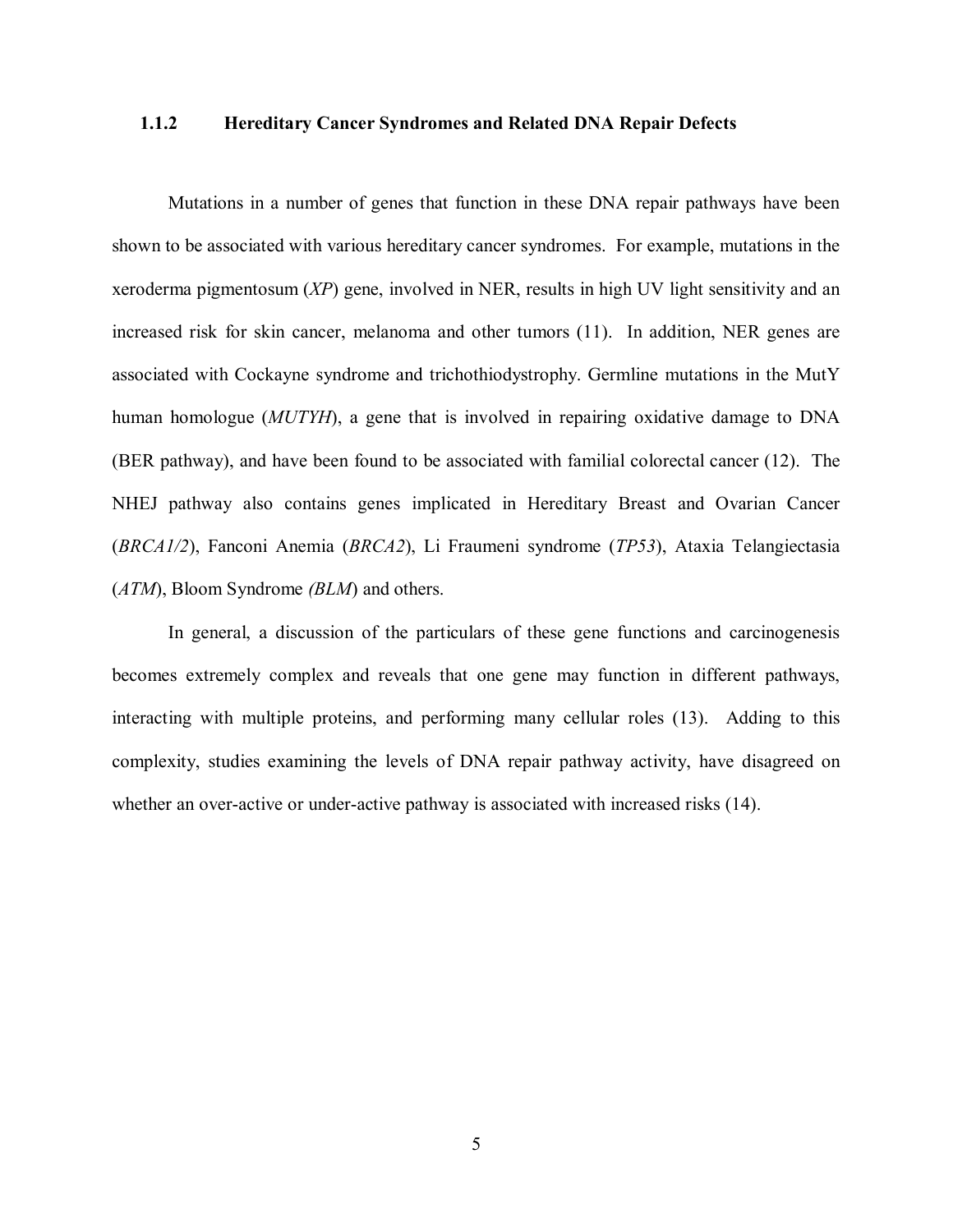## <span id="page-14-0"></span>**1.1.2 Hereditary Cancer Syndromes and Related DNA Repair Defects**

Mutations in a number of genes that function in these DNA repair pathways have been shown to be associated with various hereditary cancer syndromes. For example, mutations in the xeroderma pigmentosum (*XP*) gene, involved in NER, results in high UV light sensitivity and an increased risk for skin cancer, melanoma and other tumors [\(11\).](#page-60-0) In addition, NER genes are associated with Cockayne syndrome and trichothiodystrophy. Germline mutations in the MutY human homologue (*MUTYH*), a gene that is involved in repairing oxidative damage to DNA (BER pathway), and have been found to be associated with familial colorectal cancer [\(12\)](#page-61-0). The NHEJ pathway also contains genes implicated in Hereditary Breast and Ovarian Cancer (*BRCA1/2*), Fanconi Anemia (*BRCA2*), Li Fraumeni syndrome (*TP53*), Ataxia Telangiectasia (*ATM*), Bloom Syndrome *(BLM*) and others.

In general, a discussion of the particulars of these gene functions and carcinogenesis becomes extremely complex and reveals that one gene may function in different pathways, interacting with multiple proteins, and performing many cellular roles [\(13\)](#page-61-0). Adding to this complexity, studies examining the levels of DNA repair pathway activity, have disagreed on whether an over-active or under-active pathway is associated with increased risks  $(14)$ .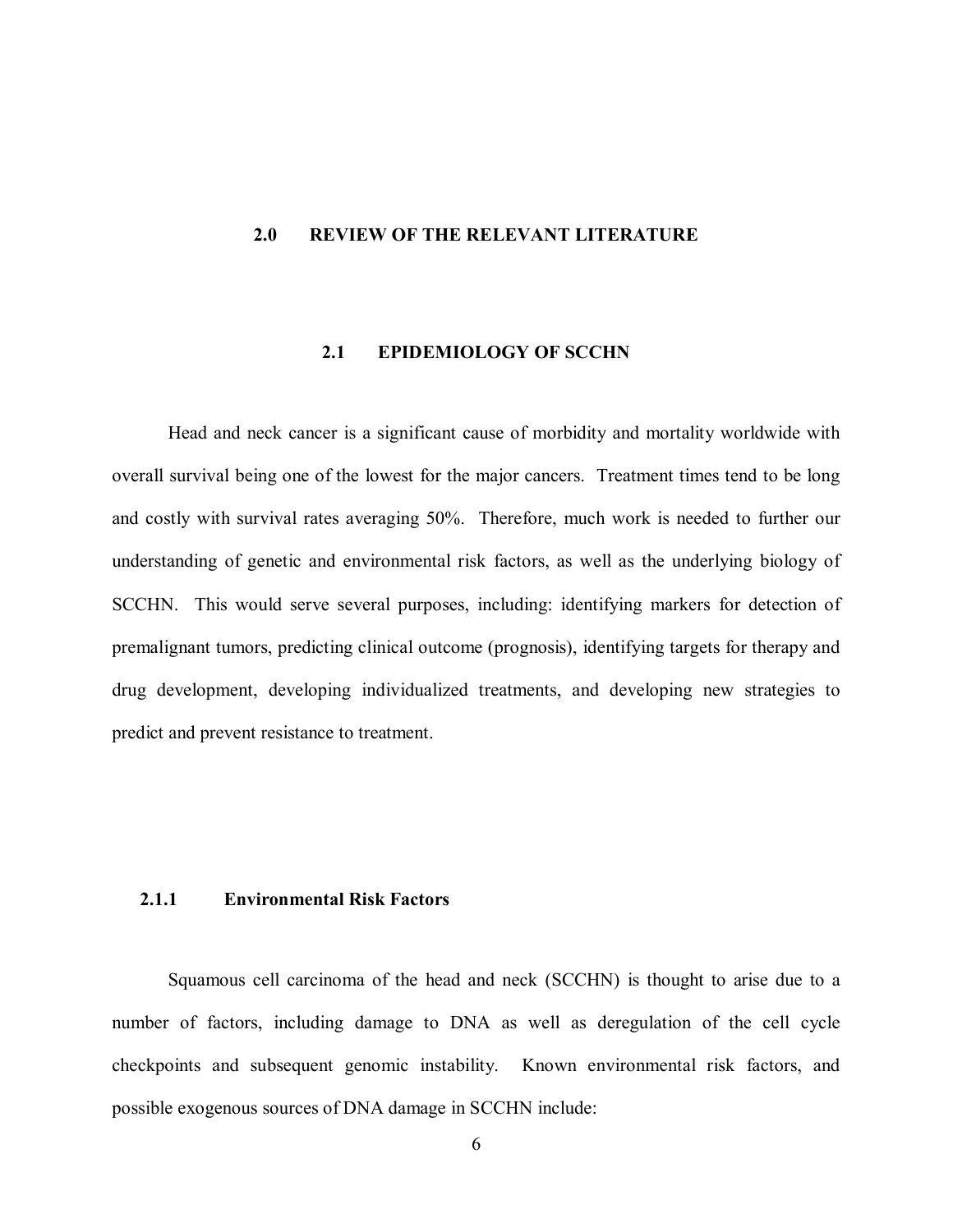### <span id="page-15-0"></span>**2.0 REVIEW OF THE RELEVANT LITERATURE**

## **2.1 EPIDEMIOLOGY OF SCCHN**

Head and neck cancer is a significant cause of morbidity and mortality worldwide with overall survival being one of the lowest for the major cancers. Treatment times tend to be long and costly with survival rates averaging 50%. Therefore, much work is needed to further our understanding of genetic and environmental risk factors, as well as the underlying biology of SCCHN. This would serve several purposes, including: identifying markers for detection of premalignant tumors, predicting clinical outcome (prognosis), identifying targets for therapy and drug development, developing individualized treatments, and developing new strategies to predict and prevent resistance to treatment.

# **2.1.1 Environmental Risk Factors**

Squamous cell carcinoma of the head and neck (SCCHN) is thought to arise due to a number of factors, including damage to DNA as well as deregulation of the cell cycle checkpoints and subsequent genomic instability. Known environmental risk factors, and possible exogenous sources of DNA damage in SCCHN include: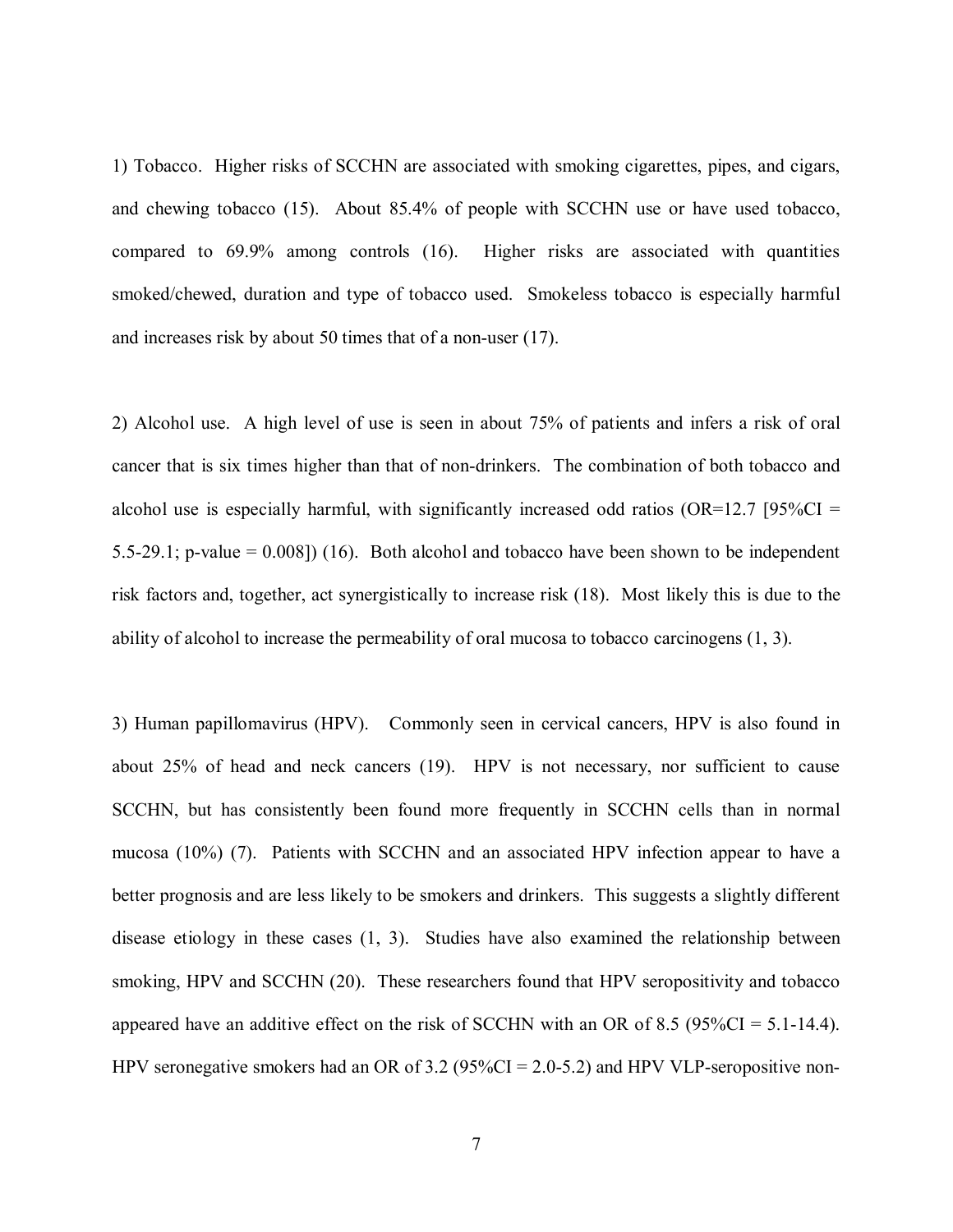1) Tobacco. Higher risks of SCCHN are associated with smoking cigarettes, pipes, and cigars, and chewing tobacco [\(15\)](#page-61-0). About 85.4% of people with SCCHN use or have used tobacco, compared to 69.9% among controls [\(16\)](#page-61-0). Higher risks are associated with quantities smoked/chewed, duration and type of tobacco used. Smokeless tobacco is especially harmful and increases risk by about 50 times that of a non-user [\(17\)](#page-61-0).

2) Alcohol use. A high level of use is seen in about 75% of patients and infers a risk of oral cancer that is six times higher than that of non-drinkers. The combination of both tobacco and alcohol use is especially harmful, with significantly increased odd ratios ( $OR=12.7$  [95%CI = 5.5-29.1; p-value =  $0.008$ ]) [\(16\)](#page-61-0). Both alcohol and tobacco have been shown to be independent risk factors and, together, act synergistically to increase risk [\(18\)](#page-61-0). Most likely this is due to the ability of alcohol to increase the permeability of oral mucosa to tobacco carcinogens [\(1, 3\)](#page-60-0).

3) Human papillomavirus (HPV). Commonly seen in cervical cancers, HPV is also found in about 25% of head and neck cancers [\(19\)](#page-61-0). HPV is not necessary, nor sufficient to cause SCCHN, but has consistently been found more frequently in SCCHN cells than in normal mucosa (10%) [\(7\).](#page-60-0) Patients with SCCHN and an associated HPV infection appear to have a better prognosis and are less likely to be smokers and drinkers. This suggests a slightly different disease etiology in these cases ([1, 3\)](#page-60-0). Studies have also examined the relationship between smoking, HPV and SCCHN [\(20\)](#page-61-0). These researchers found that HPV seropositivity and tobacco appeared have an additive effect on the risk of SCCHN with an OR of 8.5 ( $95\%CI = 5.1-14.4$ ). HPV seronegative smokers had an OR of 3.2 (95%CI = 2.0-5.2) and HPV VLP-seropositive non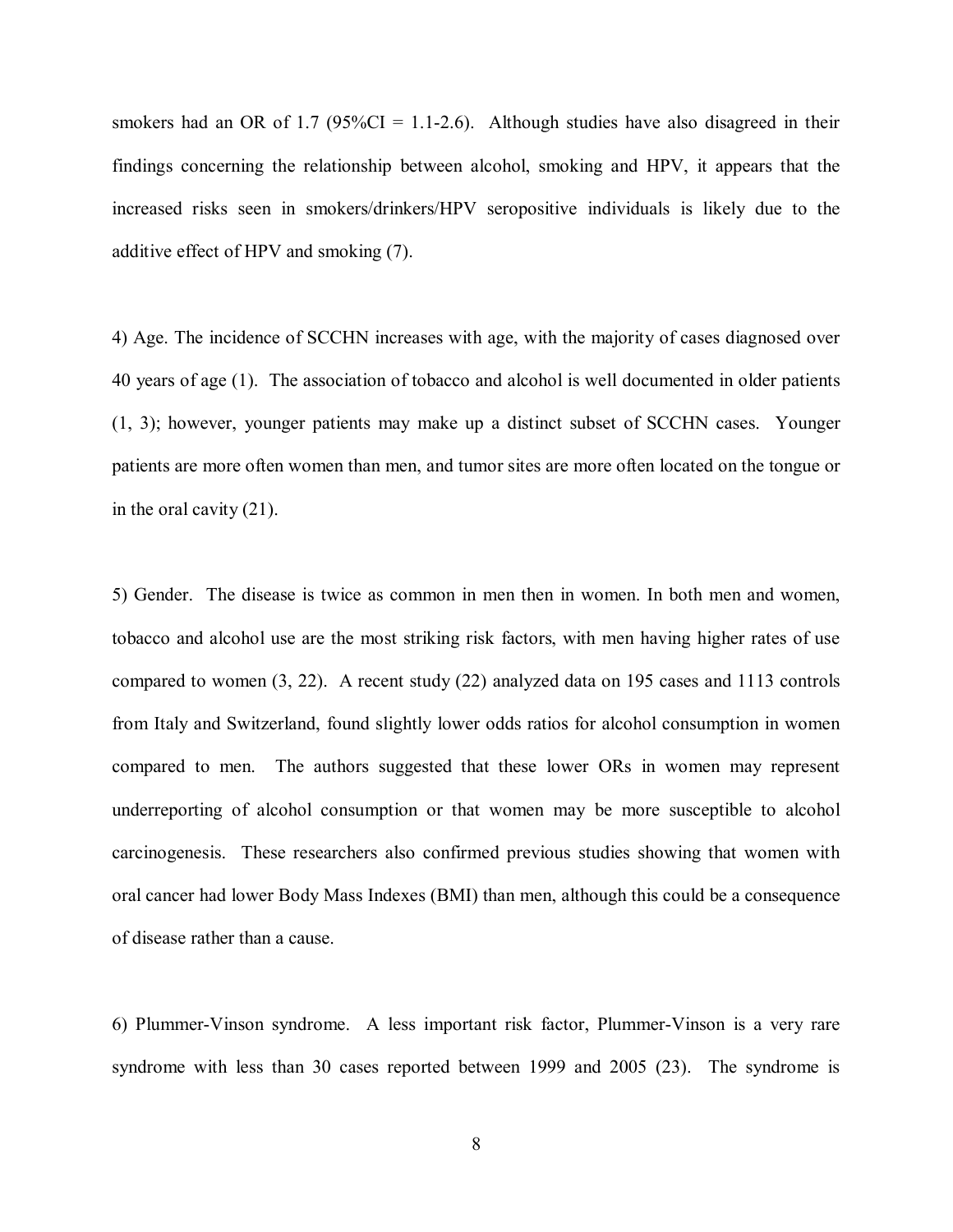smokers had an OR of 1.7 ( $95\%$ CI = 1.1-2.6). Although studies have also disagreed in their findings concerning the relationship between alcohol, smoking and HPV, it appears that the increased risks seen in smokers/drinkers/HPV seropositive individuals is likely due to the additive effect of HPV and smoking [\(7\).](#page-60-0) 

4) Age. The incidence of SCCHN increases with age, with the majority of cases diagnosed over 40 years of age [\(1\).](#page-60-0) The association of tobacco and alcohol is well documented in older patients ([1, 3\)](#page-60-0); however, younger patients may make up a distinct subset of SCCHN cases. Younger patients are more often women than men, and tumor sites are more often located on the tongue or in the oral cavity [\(21\).](#page-61-0)

5) Gender. The disease is twice as common in men then in women. In both men and women, tobacco and alcohol use are the most striking risk factors, with men having higher rates of use compared to wome[n \(3,](#page-60-0) [22\).](#page-61-0) A recent study [\(22\)](#page-61-0) analyzed data on 195 cases and 1113 controls from Italy and Switzerland, found slightly lower odds ratios for alcohol consumption in women compared to men. The authors suggested that these lower ORs in women may represent underreporting of alcohol consumption or that women may be more susceptible to alcohol carcinogenesis. These researchers also confirmed previous studies showing that women with oral cancer had lower Body Mass Indexes (BMI) than men, although this could be a consequence of disease rather than a cause.

6) Plummer-Vinson syndrome. A less important risk factor, Plummer-Vinson is a very rare syndrome with less than 30 cases reported between 1999 and 2005 [\(23\).](#page-61-0) The syndrome is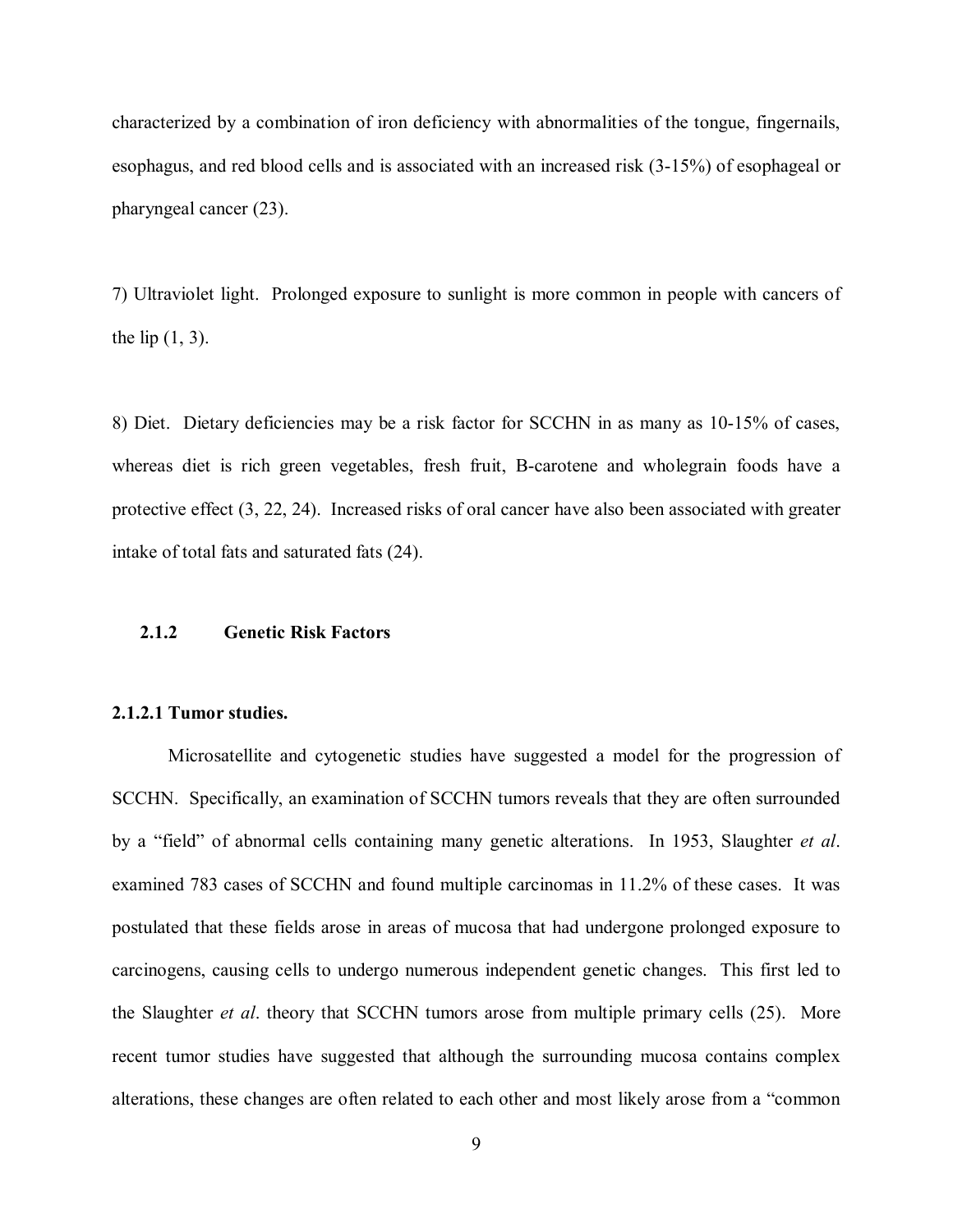<span id="page-18-0"></span>characterized by a combination of iron deficiency with abnormalities of the tongue, fingernails, esophagus, and red blood cells and is associated with an increased risk (3-15%) of esophageal or pharyngeal cancer [\(23\).](#page-61-0)

7) Ultraviolet light. Prolonged exposure to sunlight is more common in people with cancers of the lip  $(1, 3)$ .

8) Diet. Dietary deficiencies may be a risk factor for SCCHN in as many as 10-15% of cases, whereas diet is rich green vegetables, fresh fruit, B-carotene and wholegrain foods have a protective effec[t \(3,](#page-60-0) [22, 24\). Increa](#page-61-0)sed risks of oral cancer have also been associated with greater intake of total fats and saturated fats [\(24\).](#page-61-0) 

# **2.1.2 Genetic Risk Factors**

# **2.1.2.1 Tumor studies.**

Microsatellite and cytogenetic studies have suggested a model for the progression of SCCHN. Specifically, an examination of SCCHN tumors reveals that they are often surrounded by a "field" of abnormal cells containing many genetic alterations. In 1953, [Slaughter](#page-61-0) *et al*. examined 783 cases of SCCHN and found multiple carcinomas in 11.2% of these cases. It was postulated that these fields arose in areas of mucosa that had undergone prolonged exposure to carcinogens, causing cells to undergo numerous independent genetic changes. This first led to the [Slaughter](#page-61-0) *et al*. theory that SCCHN tumors arose from multiple primary cells [\(25\).](#page-61-0) More recent tumor studies have suggested that although the surrounding mucosa contains complex alterations, these changes are often related to each other and most likely arose from a "common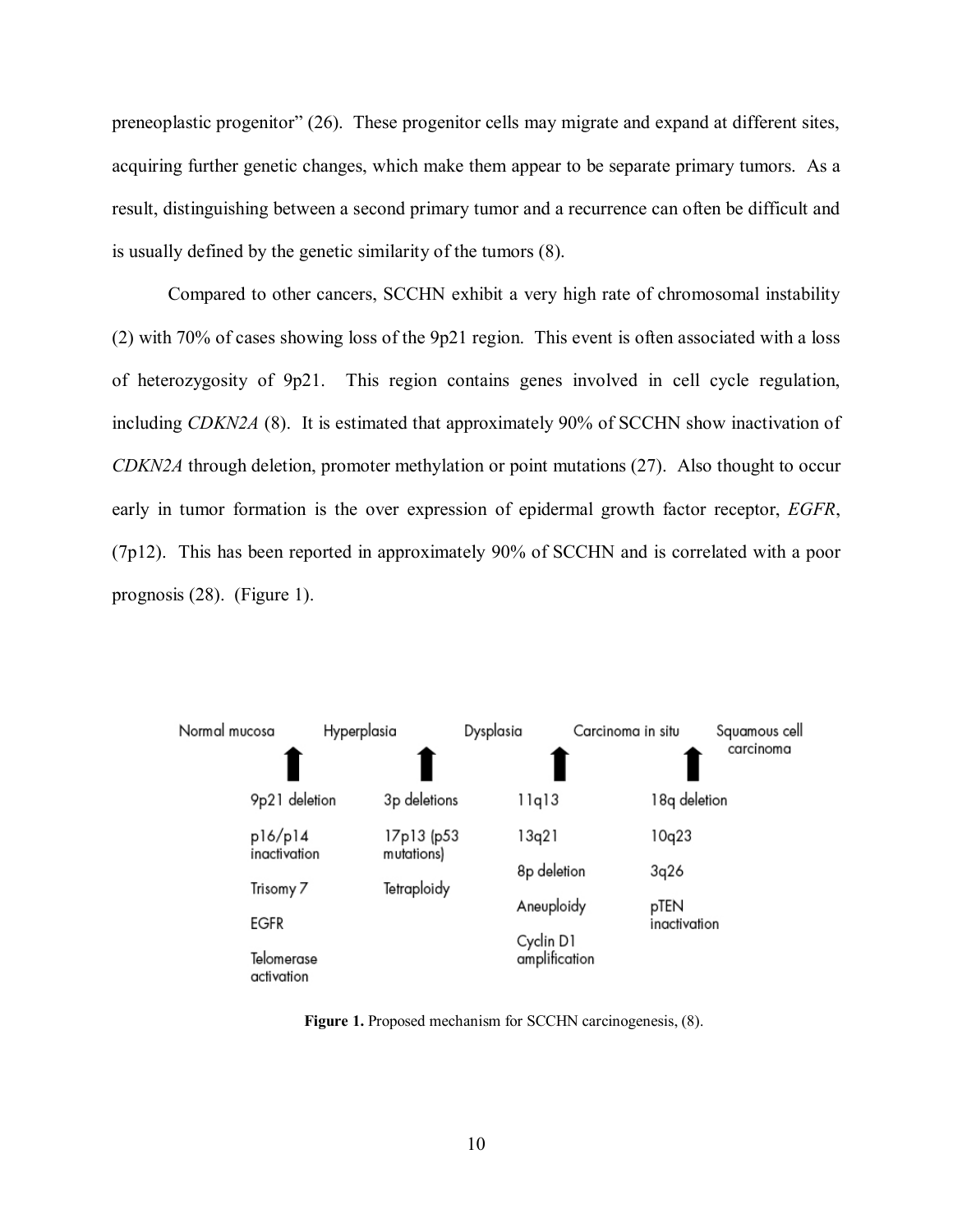<span id="page-19-0"></span>preneoplastic progenitor" [\(26\).](#page-62-0) These progenitor cells may migrate and expand at different sites, acquiring further genetic changes, which make them appear to be separate primary tumors. As a result, distinguishing between a second primary tumor and a recurrence can often be difficult and is usually defined by the genetic similarity of the tumor[s \(8\).](#page-60-0) 

Compared to other cancers, SCCHN exhibit a very high rate of chromosomal instability [\(2\) w](#page-60-0)ith 70% of cases showing loss of the 9p21 region. This event is often associated with a loss of heterozygosity of 9p21. This region contains genes involved in cell cycle regulation, including *CDKN2A* [\(8\).](#page-60-0) It is estimated that approximately 90% of SCCHN show inactivation of *CDKN2A* through deletion, promoter methylation or point mutations (27). Also thought to occur early in tumor formation is the over expression of epidermal growth factor receptor, *EGFR*, (7p12). This has been reported in approximately 90% of SCCHN and is correlated with a poor prognosis [\(28\).](#page-62-0) (Figure 1).



Figure 1. Proposed mechanism for SCCHN carcinogenesis,  $(8)$ .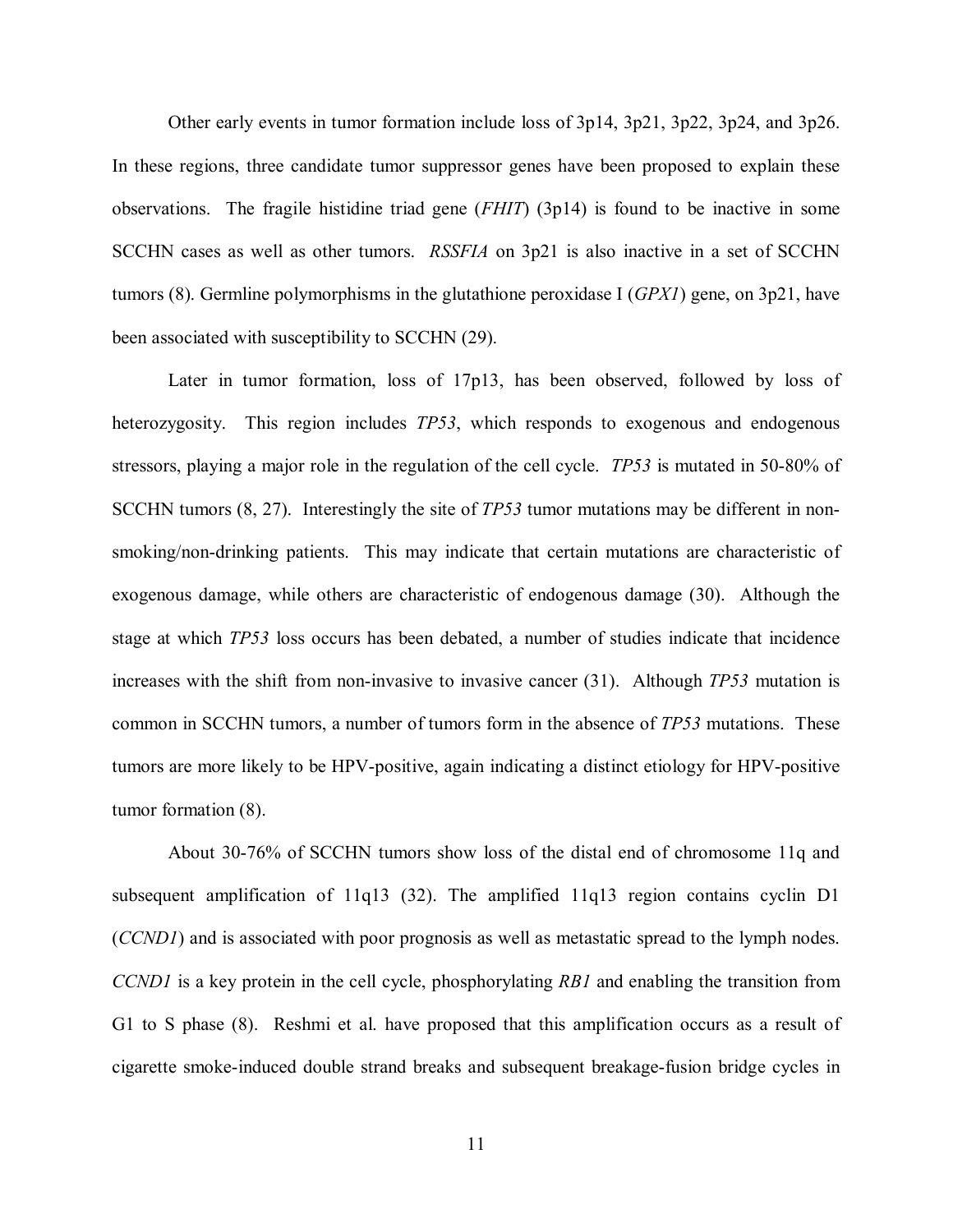Other early events in tumor formation include loss of 3p14, 3p21, 3p22, 3p24, and 3p26. In these regions, three candidate tumor suppressor genes have been proposed to explain these observations. The fragile histidine triad gene (*FHIT*) (3p14) is found to be inactive in some SCCHN cases as well as other tumors. *RSSFIA* on 3p21 is also inactive in a set of SCCHN tumors [\(8\).](#page-60-0) Germline polymorphisms in the glutathione peroxidase I (*GPX1*) gene, on 3p21, have been associated with susceptibility to SCCHN [\(29\).](#page-62-0)

Later in tumor formation, loss of 17p13, has been observed, followed by loss of heterozygosity. This region includes *TP53*, which responds to exogenous and endogenous stressors, playing a major role in the regulation of the cell cycle. *TP53* is mutated in 50-80% of SCCHN tumor[s \(8,](#page-60-0) [27\).](#page-62-0) Interestingly the site of *TP53* tumor mutations may be different in nonsmoking/non-drinking patients. This may indicate that certain mutations are characteristic of exogenous damage, while others are characteristic of endogenous damage [\(30\).](#page-62-0) Although the stage at which *TP53* loss occurs has been debated, a number of studies indicate that incidence increases with the shift from non-invasive to invasive cancer [\(31\).](#page-62-0) Although *TP53* mutation is common in SCCHN tumors, a number of tumors form in the absence of *TP53* mutations. These tumors are more likely to be HPV-positive, again indicating a distinct etiology for HPV-positive tumor formatio[n \(8\).](#page-60-0)

About 30-76% of SCCHN tumors show loss of the distal end of chromosome 11q and subsequent amplification of 11q13 [\(32\).](#page-62-0) The amplified 11q13 region contains cyclin D1 (*CCND1*) and is associated with poor prognosis as well as metastatic spread to the lymph nodes. *CCND1* is a key protein in the cell cycle, phosphorylating *RB1* and enabling the transition from G1 to S phase [\(8\).](#page-60-0) Reshmi et al. have proposed that this amplification occurs as a result of cigarette smoke-induced double strand breaks and subsequent breakage-fusion bridge cycles in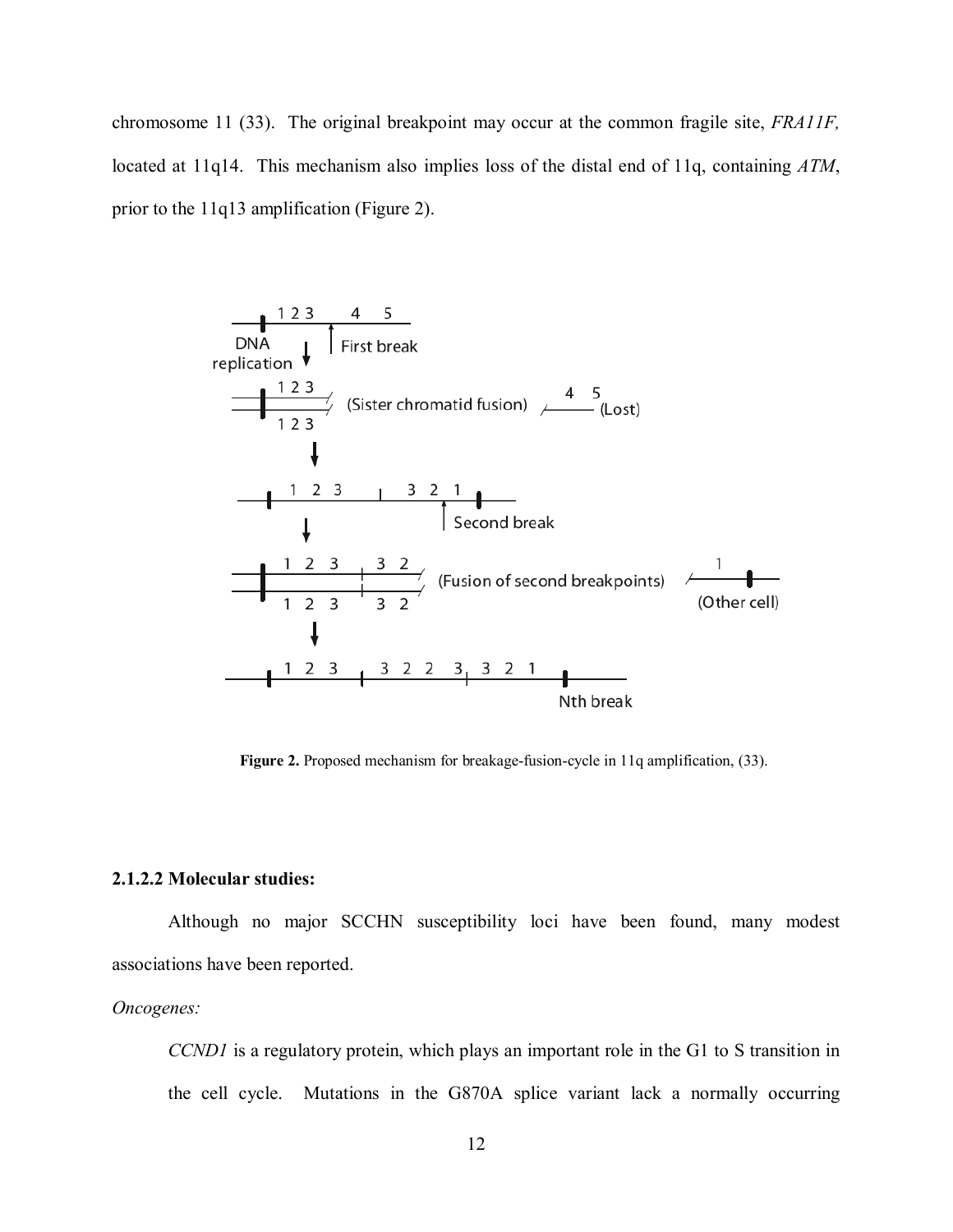<span id="page-21-0"></span>chromosome 11 [\(33\)](#page-62-0). The original breakpoint may occur at the common fragile site, *FRA11F,* located at 11q14. This mechanism also implies loss of the distal end of 11q, containing *ATM*, prior to the 11q13 amplification (Figure 2).



**Figure 2.** Proposed mechanism for breakage-fusion-cycle in 11q amplification, [\(33\).](#page-62-0) 

#### **2.1.2.2 Molecular studies:**

Although no major SCCHN susceptibility loci have been found, many modest associations have been reported.

#### *Oncogenes:*

*CCND1* is a regulatory protein, which plays an important role in the G1 to S transition in the cell cycle. Mutations in the G870A splice variant lack a normally occurring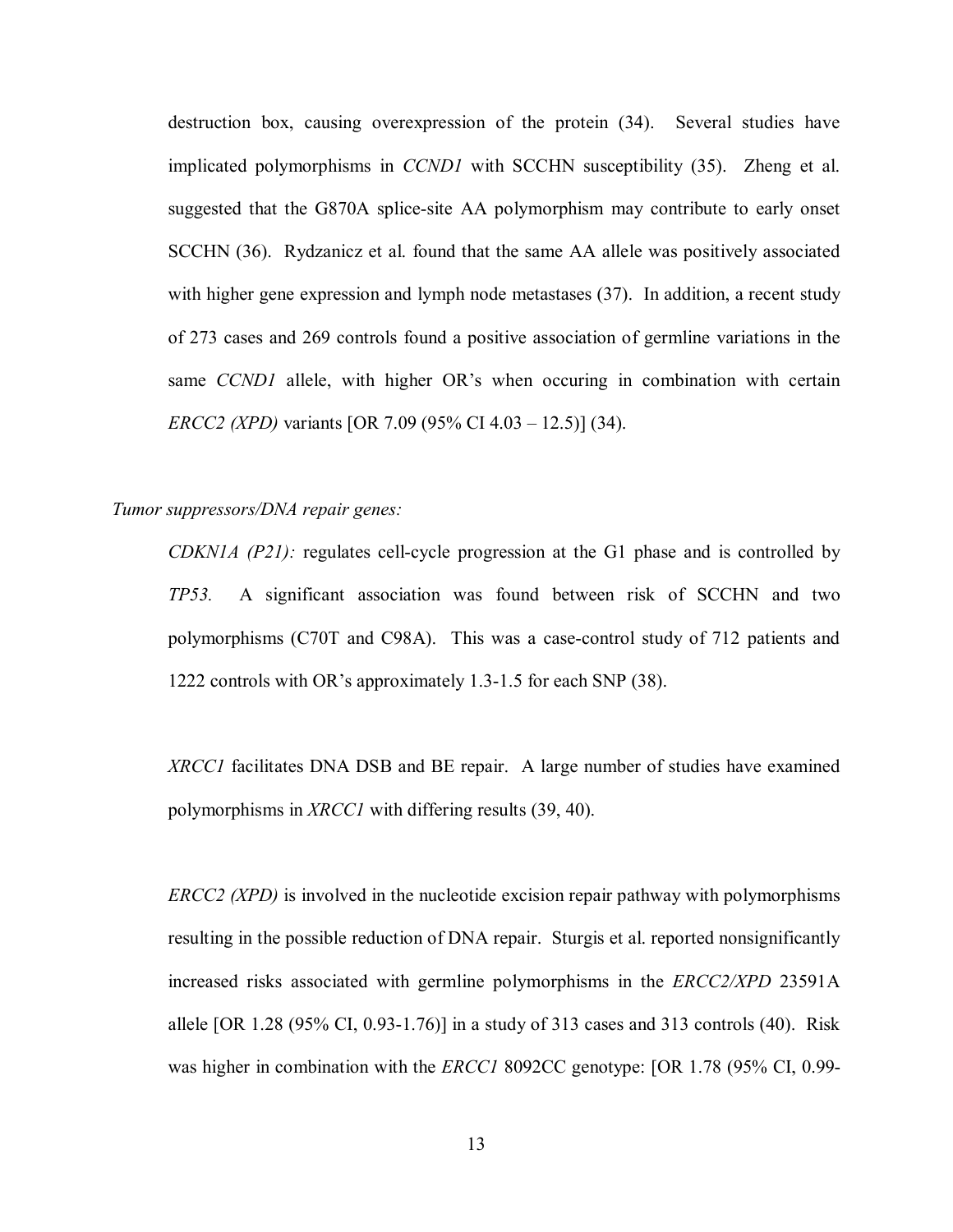destruction box, causing overexpression of the protein [\(34\)](#page-62-0). Several studies have implicated polymorphisms in *CCND1* with SCCHN susceptibility [\(35\)](#page-62-0). Zheng et al. suggested that the G870A splice-site AA polymorphism may contribute to early onset SCCHN [\(36\).](#page-62-0) Rydzanicz et al. found that the same AA allele was positively associated with higher gene expression and lymph node metastases [\(37\).](#page-62-0) In addition, a recent study of 273 cases and 269 controls found a positive association of germline variations in the same *CCND1* allele, with higher OR's when occuring in combination with certain *ERCC2 (XPD)* variants [OR 7.09 (95% CI 4.03 – 12.5)] [\(34\).](#page-62-0)

## *Tumor suppressors/DNA repair genes:*

*CDKN1A (P21):* regulates cell-cycle progression at the G1 phase and is controlled by *TP53.* A significant association was found between risk of SCCHN and two polymorphisms (C70T and C98A). This was a case-control study of 712 patients and 1222 controls with OR's approximately 1.3-1.5 for each SNP [\(38\).](#page-63-0) 

*XRCC1* facilitates DNA DSB and BE repair. A large number of studies have examined polymorphisms in *XRCC1* with differing results [\(39, 40\).](#page-63-0) 

*ERCC2 (XPD)* is involved in the nucleotide excision repair pathway with polymorphisms resulting in the possible reduction of DNA repair. Sturgis et al. reported nonsignificantly increased risks associated with germline polymorphisms in the *ERCC2/XPD* 23591A allele [OR 1.28 (95% CI, 0.93-1.76)] in a study of 313 cases and 313 controls [\(40\).](#page-63-0) Risk was higher in combination with the *ERCC1* 8092CC genotype: [OR 1.78 (95% CI, 0.99-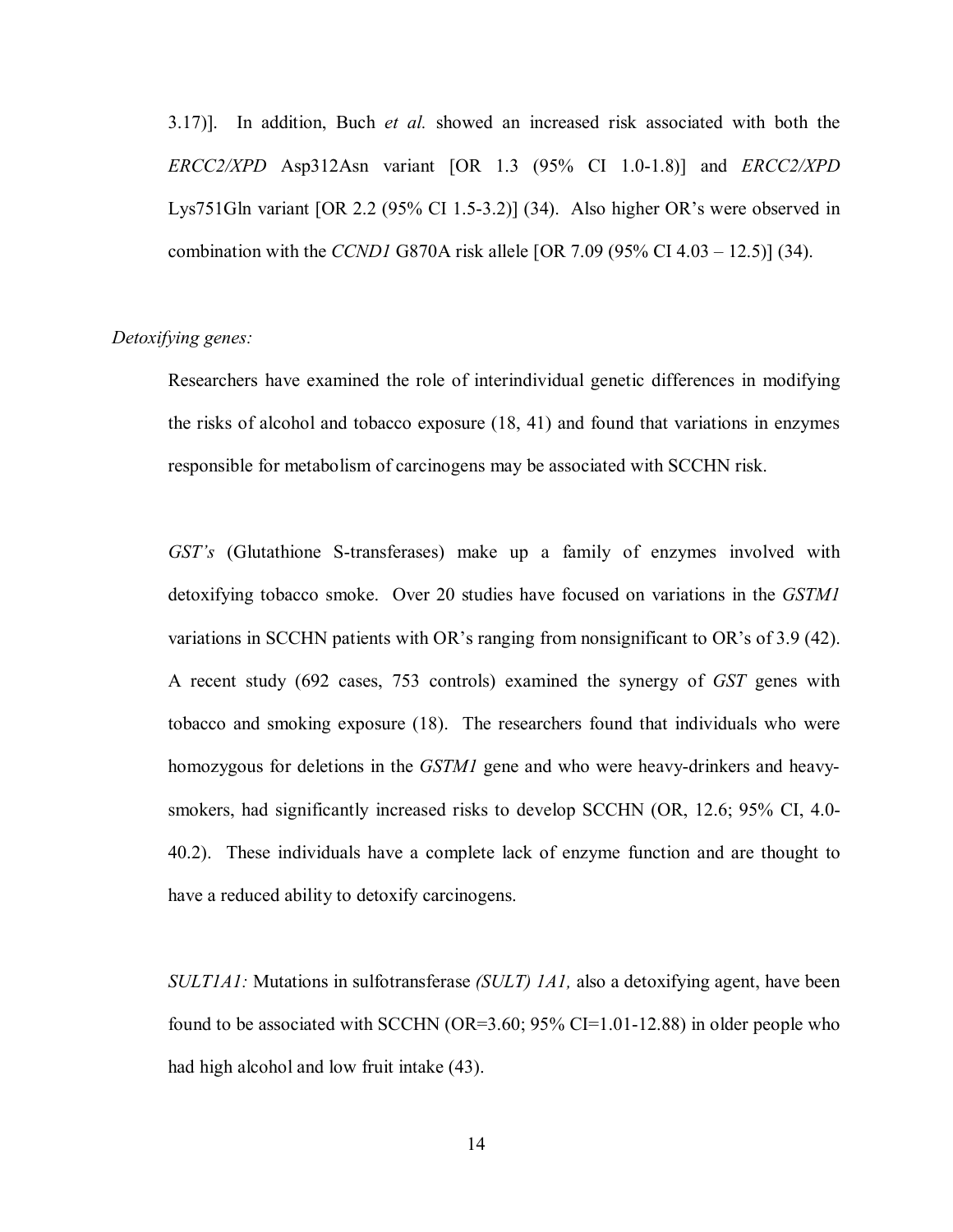3.17)]. In addition, Buch *et al.* showed an increased risk associated with both the *ERCC2/XPD* Asp312Asn variant [OR 1.3 (95% CI 1.0-1.8)] and *ERCC2/XPD* Lys751Gln variant [OR 2.2 (95% CI 1.5-3.2)] [\(34\).](#page-62-0) Also higher OR's were observed in combination with the *CCND1* G870A risk allele [OR 7.09 (95% CI 4.03 – 12.5)[\] \(34\).](#page-62-0)

# *Detoxifying genes:*

Researchers have examined the role of interindividual genetic differences in modifying the risks of alcohol and tobacco exposure [\(18,](#page-61-0) [41\) a](#page-63-0)nd found that variations in enzymes responsible for metabolism of carcinogens may be associated with SCCHN risk.

*GST's* (Glutathione S-transferases) make up a family of enzymes involved with detoxifying tobacco smoke. Over 20 studies have focused on variations in the *GSTM1* variations in SCCHN patients with OR's ranging from nonsignificant to OR's of 3.9 [\(42\).](#page-63-0)  A recent study (692 cases, 753 controls) examined the synergy of *GST* genes with tobacco and smoking exposure [\(18\)](#page-61-0). The researchers found that individuals who were homozygous for deletions in the *GSTM1* gene and who were heavy-drinkers and heavysmokers, had significantly increased risks to develop SCCHN (OR, 12.6; 95% CI, 4.0- 40.2). These individuals have a complete lack of enzyme function and are thought to have a reduced ability to detoxify carcinogens.

*SULT1A1:* Mutations in sulfotransferase *(SULT) 1A1,* also a detoxifying agent, have been found to be associated with SCCHN (OR=3.60; 95% CI=1.01-12.88) in older people who had high alcohol and low fruit intake [\(43\).](#page-63-0) 

14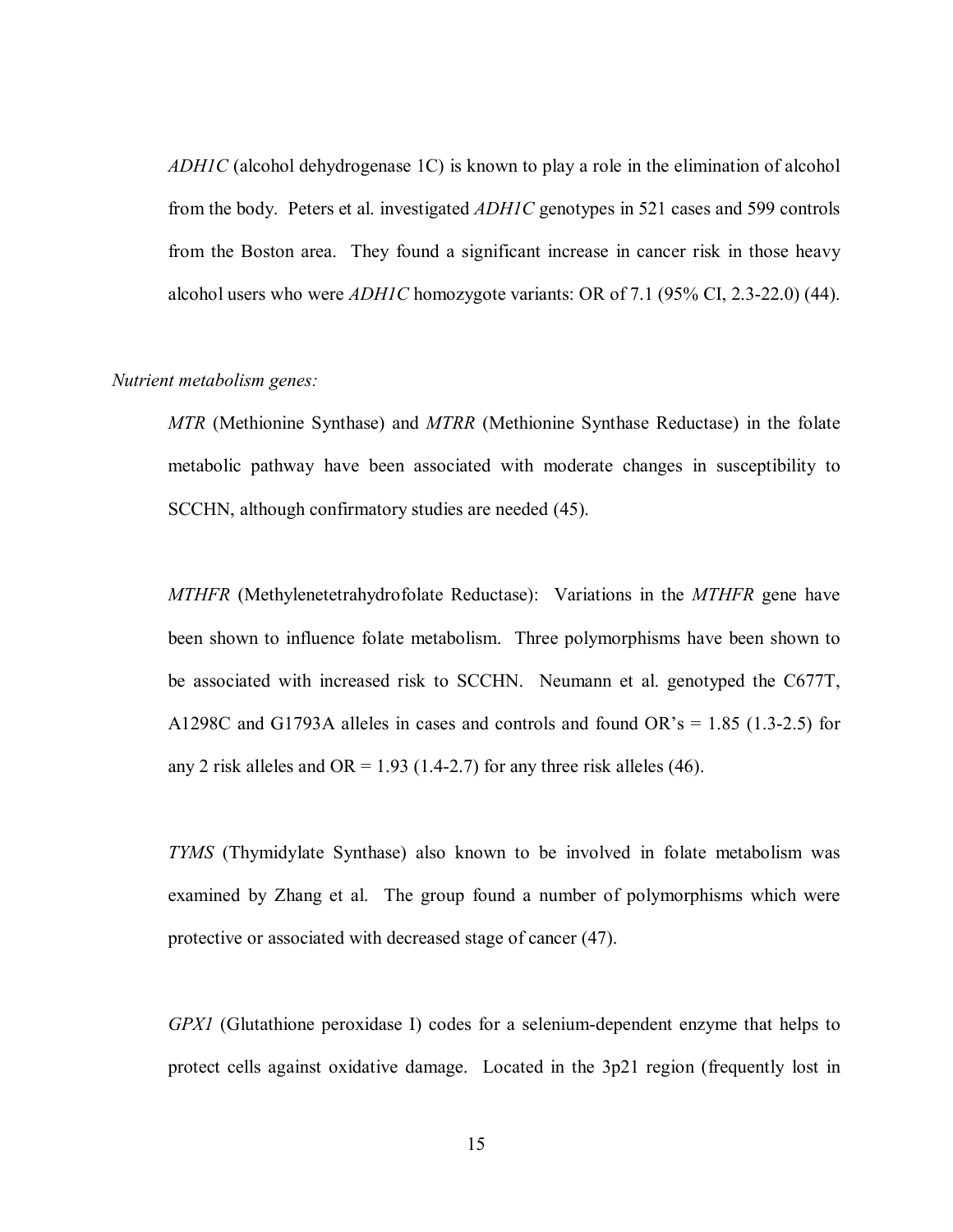*ADH1C* (alcohol dehydrogenase 1C) is known to play a role in the elimination of alcohol from the body. Peters et al. investigated *ADH1C* genotypes in 521 cases and 599 controls from the Boston area. They found a significant increase in cancer risk in those heavy alcohol users who were *ADH1C* homozygote variants: OR of 7.1 (95% CI, 2.3-22.0) [\(44\).](#page-63-0) 

## *Nutrient metabolism genes:*

*MTR* (Methionine Synthase) and *MTRR* (Methionine Synthase Reductase) in the folate metabolic pathway have been associated with moderate changes in susceptibility to SCCHN, although confirmatory studies are needed [\(45\).](#page-63-0) 

*MTHFR* (Methylenetetrahydrofolate Reductase): Variations in the *MTHFR* gene have been shown to influence folate metabolism. Three polymorphisms have been shown to be associated with increased risk to SCCHN. Neumann et al. genotyped the C677T, A1298C and G1793A alleles in cases and controls and found  $OR's = 1.85$  (1.3-2.5) for any 2 risk alleles and OR = 1.93 (1.4-2.7) for any three risk alleles (46).

*TYMS* (Thymidylate Synthase) also known to be involved in folate metabolism was examined by Zhang et al. The group found a number of polymorphisms which were protective or associated with decreased stage of cancer [\(47\).](#page-63-0) 

*GPX1* (Glutathione peroxidase I) codes for a selenium-dependent enzyme that helps to protect cells against oxidative damage. Located in the 3p21 region (frequently lost in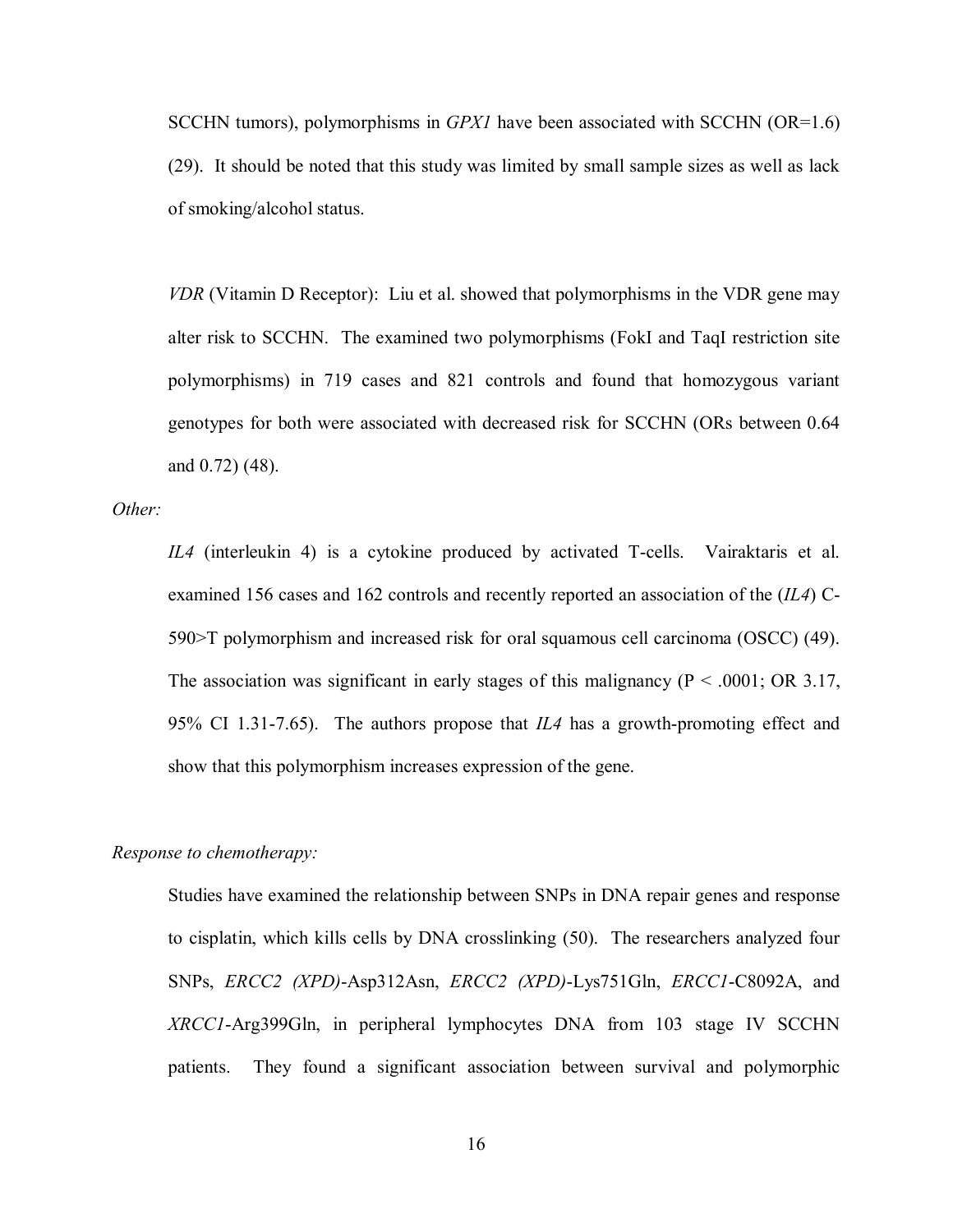SCCHN tumors), polymorphisms in *GPX1* have been associated with SCCHN (OR=1.6) [\(29\).](#page-62-0) It should be noted that this study was limited by small sample sizes as well as lack of smoking/alcohol status.

*VDR* (Vitamin D Receptor[\): Liu et al. sho](#page-63-0)wed that polymorphisms in the VDR gene may alter risk to SCCHN. The examined two polymorphisms (FokI and TaqI restriction site polymorphisms) in 719 cases and 821 controls and found that homozygous variant genotypes for both were associated with decreased risk for SCCHN (ORs between 0.64 and 0.72[\) \(48\).](#page-63-0)

*Other:* 

*IL4* (interleukin 4) is a cytokine produced by activated T-cells. [Vairaktaris et al.](#page-63-0) examined 156 cases and 162 controls and recently reported an association of the (*IL4*) C-590>T polymorphism and increased risk for oral squamous cell carcinoma (OSCC) [\(49\).](#page-63-0)  The association was significant in early stages of this malignancy ( $P < .0001$ ; OR 3.17, 95% CI 1.31-7.65). The authors propose that *IL4* has a growth-promoting effect and show that this polymorphism increases expression of the gene.

#### *Response to chemotherapy:*

Studies have examined the relationship between SNPs in DNA repair genes and response to cisplatin, which kills cells by DNA crosslinking [\(50\).](#page-64-0) The researchers analyzed four SNPs, *ERCC2 (XPD)*-Asp312Asn, *ERCC2 (XPD)*-Lys751Gln, *ERCC1*-C8092A, and *XRCC1*-Arg399Gln, in peripheral lymphocytes DNA from 103 stage IV SCCHN patients. They found a significant association between survival and polymorphic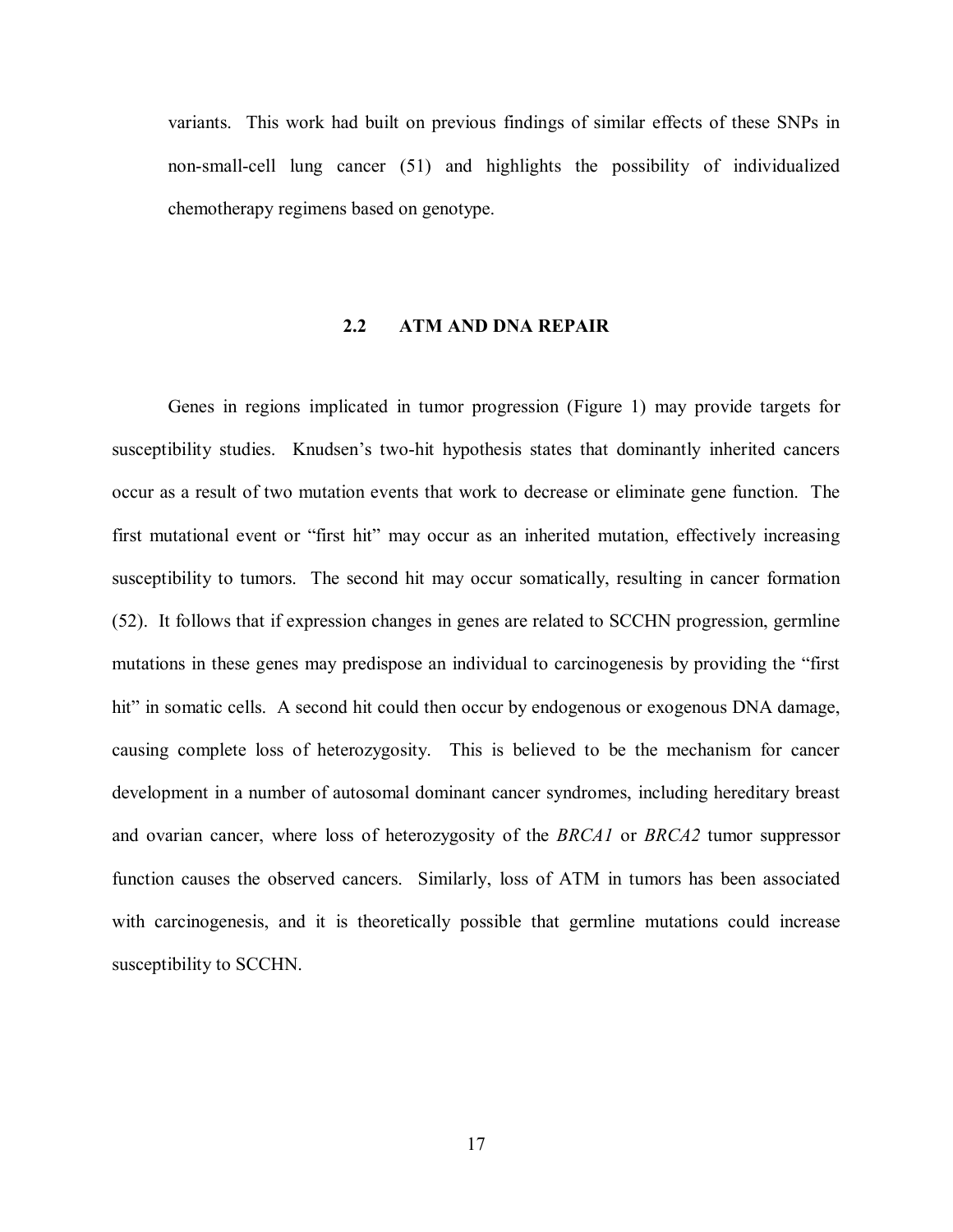<span id="page-26-0"></span>variants. This work had built on previous findings of similar effects of these SNPs in non-small-cell lung cancer [\(51\)](#page-64-0) and highlights the possibility of individualized chemotherapy regimens based on genotype.

## **2.2 ATM AND DNA REPAIR**

Genes in regions implicated in tumor progression (Figure 1) may provide targets for susceptibility studies. Knudsen's two-hit hypothesis states that dominantly inherited cancers occur as a result of two mutation events that work to decrease or eliminate gene function. The first mutational event or "first hit" may occur as an inherited mutation, effectively increasing susceptibility to tumors. The second hit may occur somatically, resulting in cancer formation [\(52\).](#page-64-0) It follows that if expression changes in genes are related to SCCHN progression, germline mutations in these genes may predispose an individual to carcinogenesis by providing the "first hit" in somatic cells. A second hit could then occur by endogenous or exogenous DNA damage, causing complete loss of heterozygosity. This is believed to be the mechanism for cancer development in a number of autosomal dominant cancer syndromes, including hereditary breast and ovarian cancer, where loss of heterozygosity of the *BRCA1* or *BRCA2* tumor suppressor function causes the observed cancers. Similarly, loss of ATM in tumors has been associated with carcinogenesis, and it is theoretically possible that germline mutations could increase susceptibility to SCCHN.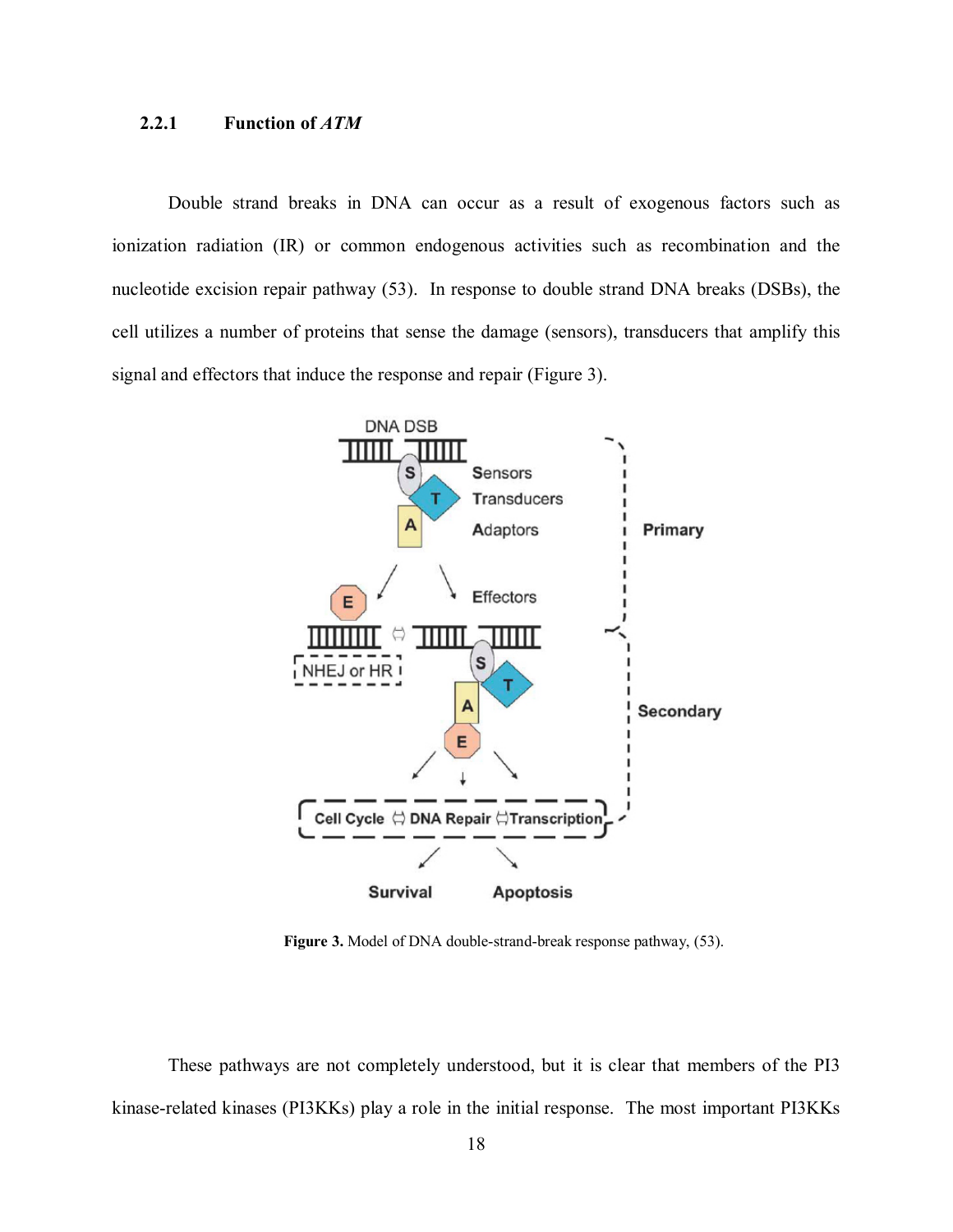# <span id="page-27-0"></span>2.2.1 Function of *ATM*

Double strand breaks in DNA can occur as a result of exogenous factors such as ionization radiation (IR) or common endogenous activities such as recombination and the nucleotide excision repair pathway [\(53\).](#page-64-0) In response to double strand DNA breaks (DSBs), the cell utilizes a number of proteins that sense the damage (sensors), transducers that amplify this signal and effectors that induce the response and repair (Figure 3).



**Figure 3.** Model of DNA double-strand-break response pathwa[y, \(53\).](#page-64-0) 

These pathways are not completely understood, but it is clear that members of the PI3 kinase-related kinases (PI3KKs) play a role in the initial response. The most important PI3KKs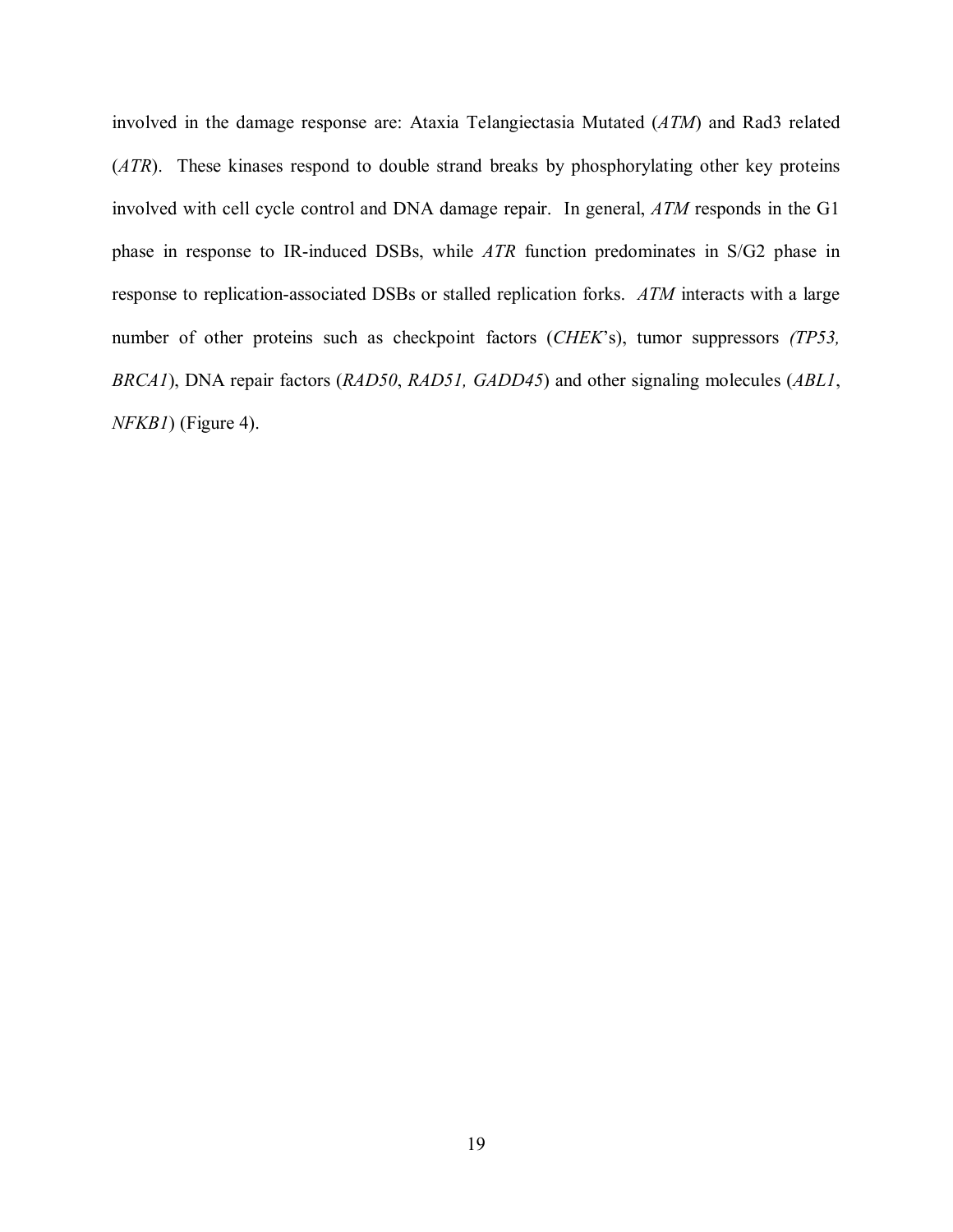involved in the damage response are: Ataxia Telangiectasia Mutated (*ATM*) and Rad3 related (*ATR*). These kinases respond to double strand breaks by phosphorylating other key proteins involved with cell cycle control and DNA damage repair. In general, *ATM* responds in the G1 phase in response to IR-induced DSBs, while *ATR* function predominates in S/G2 phase in response to replication-associated DSBs or stalled replication forks. *ATM* interacts with a large number of other proteins such as checkpoint factors (*CHEK*'s), tumor suppressors *(TP53, BRCA1*), DNA repair factors (*RAD50*, *RAD51, GADD45*) and other signaling molecules (*ABL1*, *NFKB1*) [\(Figure 4\).](#page-29-0)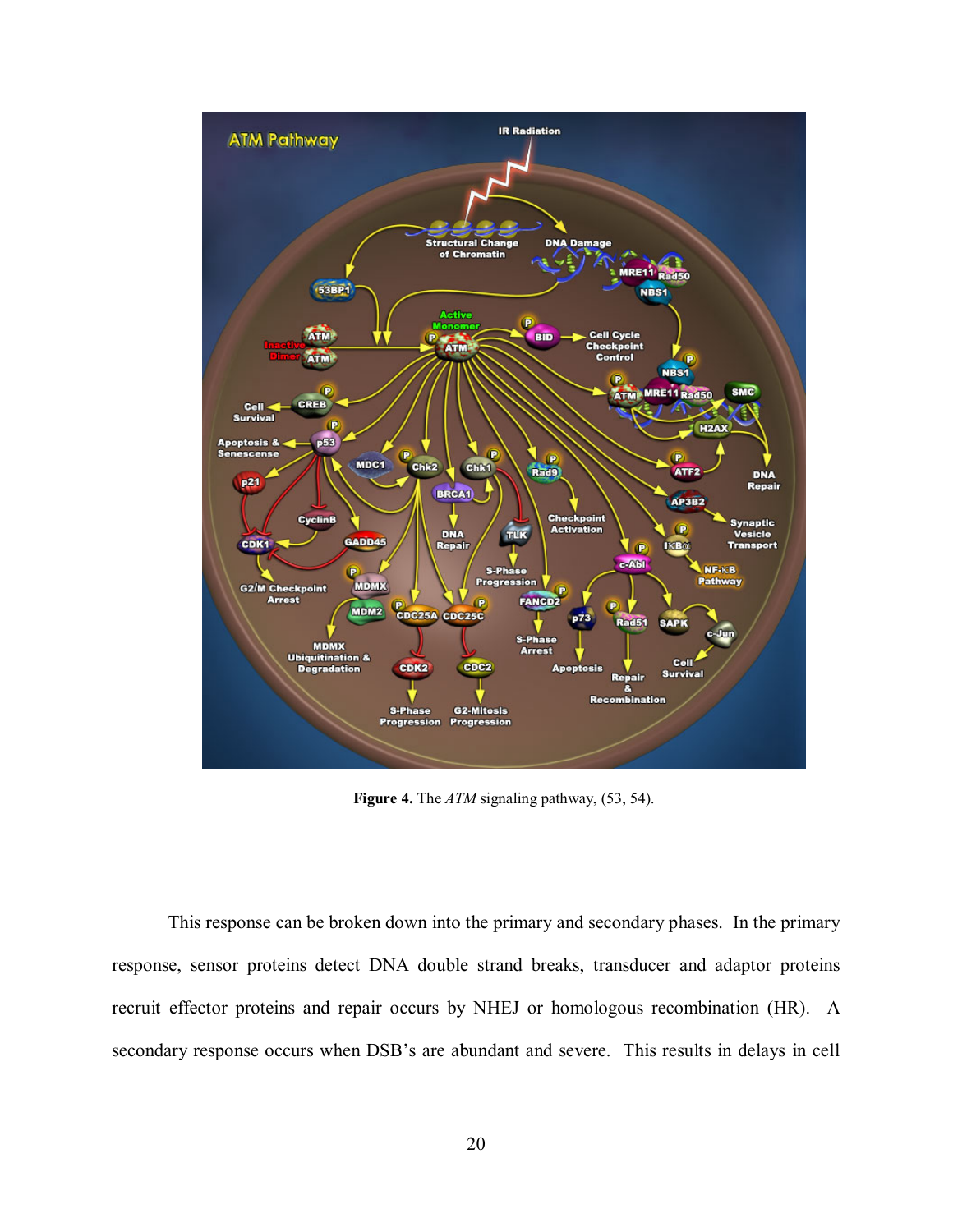<span id="page-29-0"></span>

**Figure 4.** The *ATM* signaling pathway, [\(53, 54\).](#page-64-0) 

This response can be broken down into the primary and secondary phases. In the primary response, sensor proteins detect DNA double strand breaks, transducer and adaptor proteins recruit effector proteins and repair occurs by NHEJ or homologous recombination (HR). A secondary response occurs when DSB's are abundant and severe. This results in delays in cell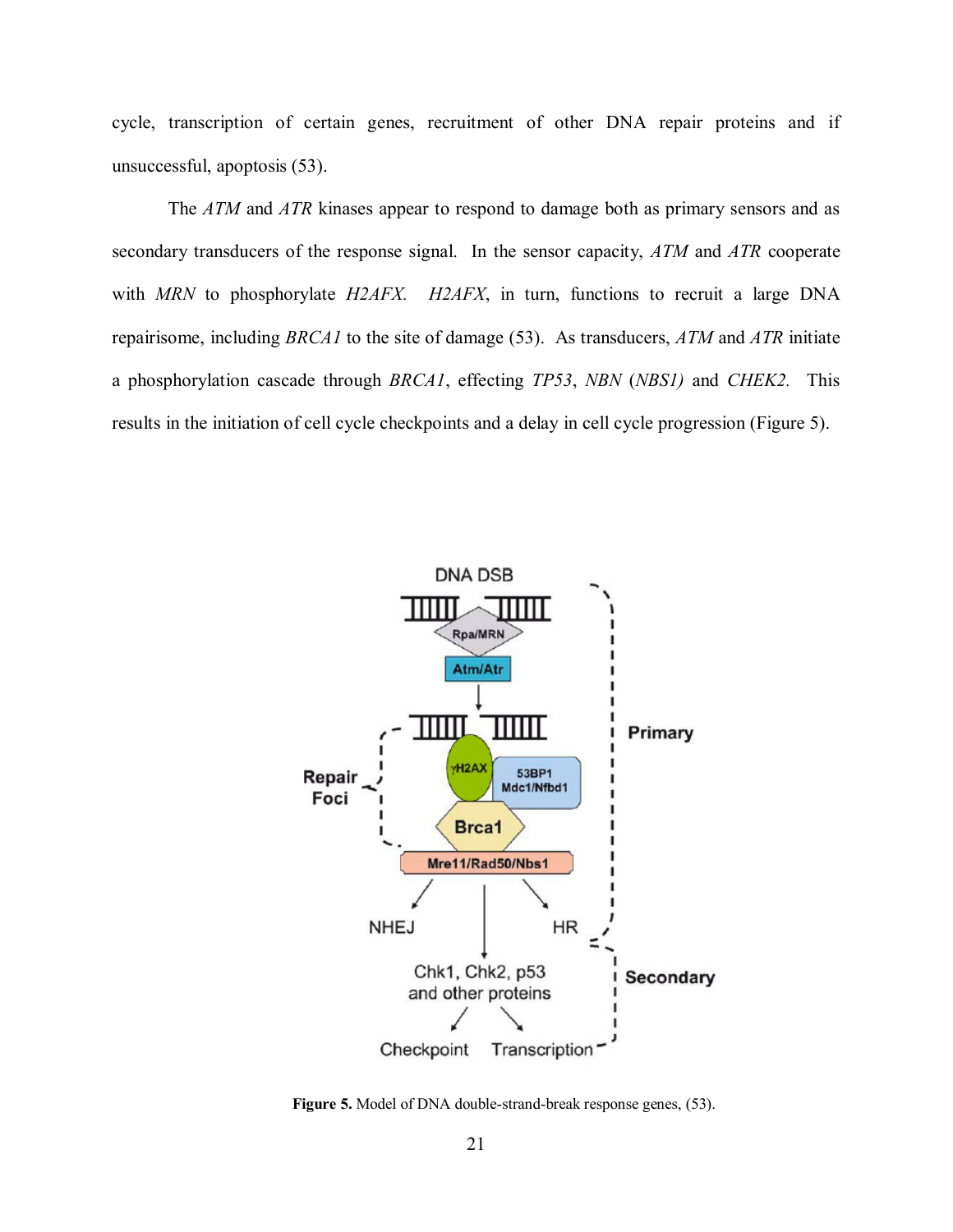<span id="page-30-0"></span>cycle, transcription of certain genes, recruitment of other DNA repair proteins and if unsuccessful, apoptosis [\(53\).](#page-64-0)

The *ATM* and *ATR* kinases appear to respond to damage both as primary sensors and as secondary transducers of the response signal. In the sensor capacity, *ATM* and *ATR* cooperate with *MRN* to phosphorylate *H2AFX. H2AFX*, in turn, functions to recruit a large DNA repairisome, including *BRCA1* to the site of damage [\(53\).](#page-64-0) As transducers, *ATM* and *ATR* initiate a phosphorylation cascade through *BRCA1*, effecting *TP53*, *NBN* (*NBS1)* and *CHEK2.* This results in the initiation of cell cycle checkpoints and a delay in cell cycle progression (Figure 5).



**Figure 5.** Model of DNA double-strand-break response gene[s, \(53\).](#page-64-0)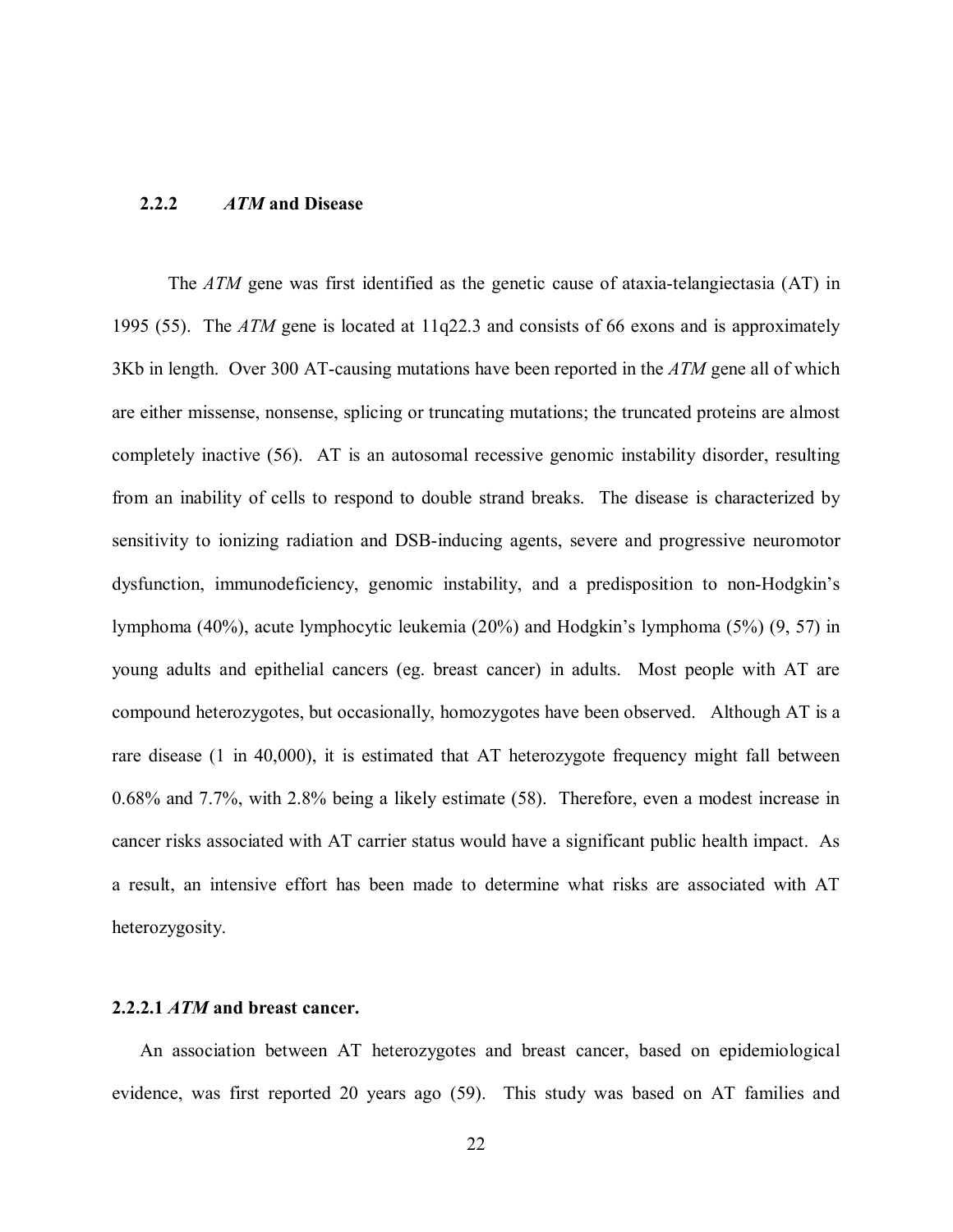#### <span id="page-31-0"></span>**2.2.2** *ATM* **and Disease**

The *ATM* gene was first identified as the genetic cause of ataxia-telangiectasia (AT) in 1995 [\(55\).](#page-64-0) The *ATM* gene is located at 11q22.3 and consists of 66 exons and is approximately 3Kb in length. Over 300 AT-causing mutations have been reported in the *ATM* gene all of which are either missense, nonsense, splicing or truncating mutations; the truncated proteins are almost completely inactive [\(56\).](#page-64-0) AT is an autosomal recessive genomic instability disorder, resulting from an inability of cells to respond to double strand breaks. The disease is characterized by sensitivity to ionizing radiation and DSB-inducing agents, severe and progressive neuromotor dysfunction, immunodeficiency, genomic instability, and a predisposition to non-Hodgkin's lymphoma (40%), acute lymphocytic leukemia (20%) and Hodgkin's lymphoma (5%[\) \(9,](#page-60-0) [57\) in](#page-64-0) young adults and epithelial cancers (eg. breast cancer) in adults. Most people with AT are compound heterozygotes, but occasionally, homozygotes have been observed. Although AT is a rare disease (1 in 40,000), it is estimated that AT heterozygote frequency might fall between 0.68% and 7.7%, with 2.8% being a likely estimate [\(58\).](#page-64-0) Therefore, even a modest increase in cancer risks associated with AT carrier status would have a significant public health impact. As a result, an intensive effort has been made to determine what risks are associated with AT heterozygosity.

#### **2.2.2.1** *ATM* **and breast cancer.**

An association between AT heterozygotes and breast cancer, based on epidemiological evidence, was first reported 20 years ago [\(59\).](#page-64-0) This study was based on AT families and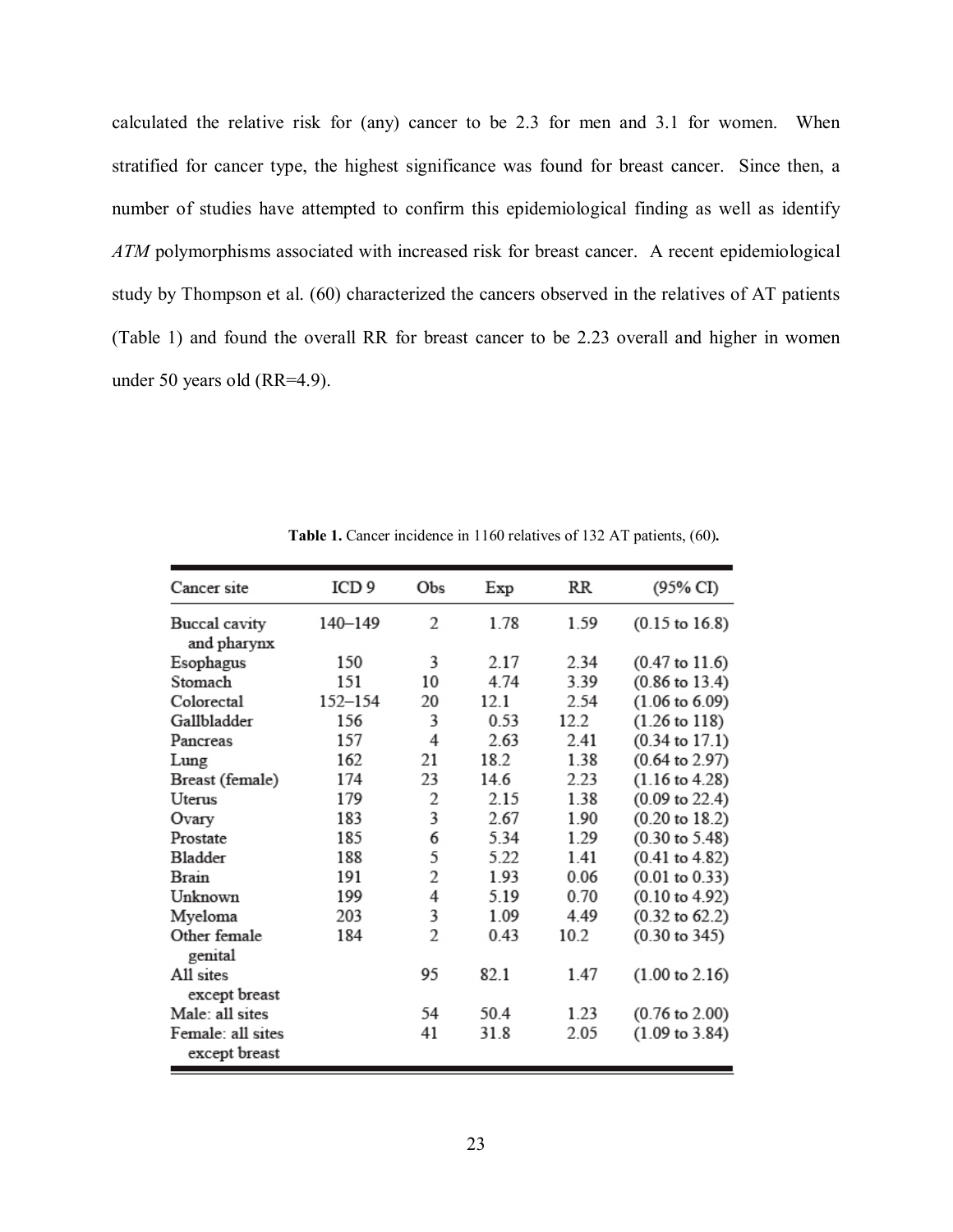<span id="page-32-0"></span>calculated the relative risk for (any) cancer to be 2.3 for men and 3.1 for women. When stratified for cancer type, the highest significance was found for breast cancer. Since then, a number of studies have attempted to confirm this epidemiological finding as well as identify *ATM* polymorphisms associated with increased risk for breast cancer. A recent epidemiological study by Thompson et al. [\(60\)](#page-64-0) characterized the cancers observed in the relatives of AT patients (Table 1) and found the overall RR for breast cancer to be 2.23 overall and higher in women under 50 years old (RR=4.9).

| Cancer site                        | ICD 9   | Obs            | Exp  | RR   | (95% CI)                  |
|------------------------------------|---------|----------------|------|------|---------------------------|
| Buccal cavity<br>and pharynx       | 140-149 | 2              | 1.78 | 1.59 | $(0.15 \text{ to } 16.8)$ |
| Esophagus                          | 150     | 3              | 2.17 | 2.34 | $(0.47 \text{ to } 11.6)$ |
| Stomach                            | 151     | 10             | 4.74 | 3.39 | $(0.86 \text{ to } 13.4)$ |
| Colorectal                         | 152-154 | 20             | 12.1 | 2.54 | $(1.06 \text{ to } 6.09)$ |
| Gallbladder                        | 156     | 3              | 0.53 | 12.2 | $(1.26 \text{ to } 118)$  |
| Pancreas                           | 157     | 4              | 2.63 | 2.41 | $(0.34 \text{ to } 17.1)$ |
| Lung                               | 162     | 21             | 18.2 | 1.38 | $(0.64 \text{ to } 2.97)$ |
| Breast (female)                    | 174     | 23             | 14.6 | 2.23 | $(1.16 \text{ to } 4.28)$ |
| Uterus                             | 179     | 2              | 2.15 | 1.38 | $(0.09 \text{ to } 22.4)$ |
| Ovary                              | 183     | 3              | 2.67 | 1.90 | $(0.20 \text{ to } 18.2)$ |
| Prostate                           | 185     | 6              | 5.34 | 1.29 | $(0.30 \text{ to } 5.48)$ |
| Bladder                            | 188     | 5              | 5.22 | 1.41 | $(0.41 \text{ to } 4.82)$ |
| Brain                              | 191     | 2              | 1.93 | 0.06 | $(0.01 \text{ to } 0.33)$ |
| Unknown                            | 199     | 4              | 5.19 | 0.70 | $(0.10 \text{ to } 4.92)$ |
| Myeloma                            | 203     | 3              | 1.09 | 4.49 | $(0.32 \text{ to } 62.2)$ |
| Other female<br>genital            | 184     | $\overline{2}$ | 0.43 | 10.2 | $(0.30 \text{ to } 345)$  |
| All sites<br>except breast         |         | 95             | 82.1 | 1.47 | $(1.00 \text{ to } 2.16)$ |
| Male: all sites                    |         | 54             | 50.4 | 1.23 | $(0.76 \text{ to } 2.00)$ |
| Female: all sites<br>except breast |         | 41             | 31.8 | 2.05 | $(1.09 \text{ to } 3.84)$ |

**Table 1.** Cancer incidence in 1160 relatives of 132 AT patients, (60)**.**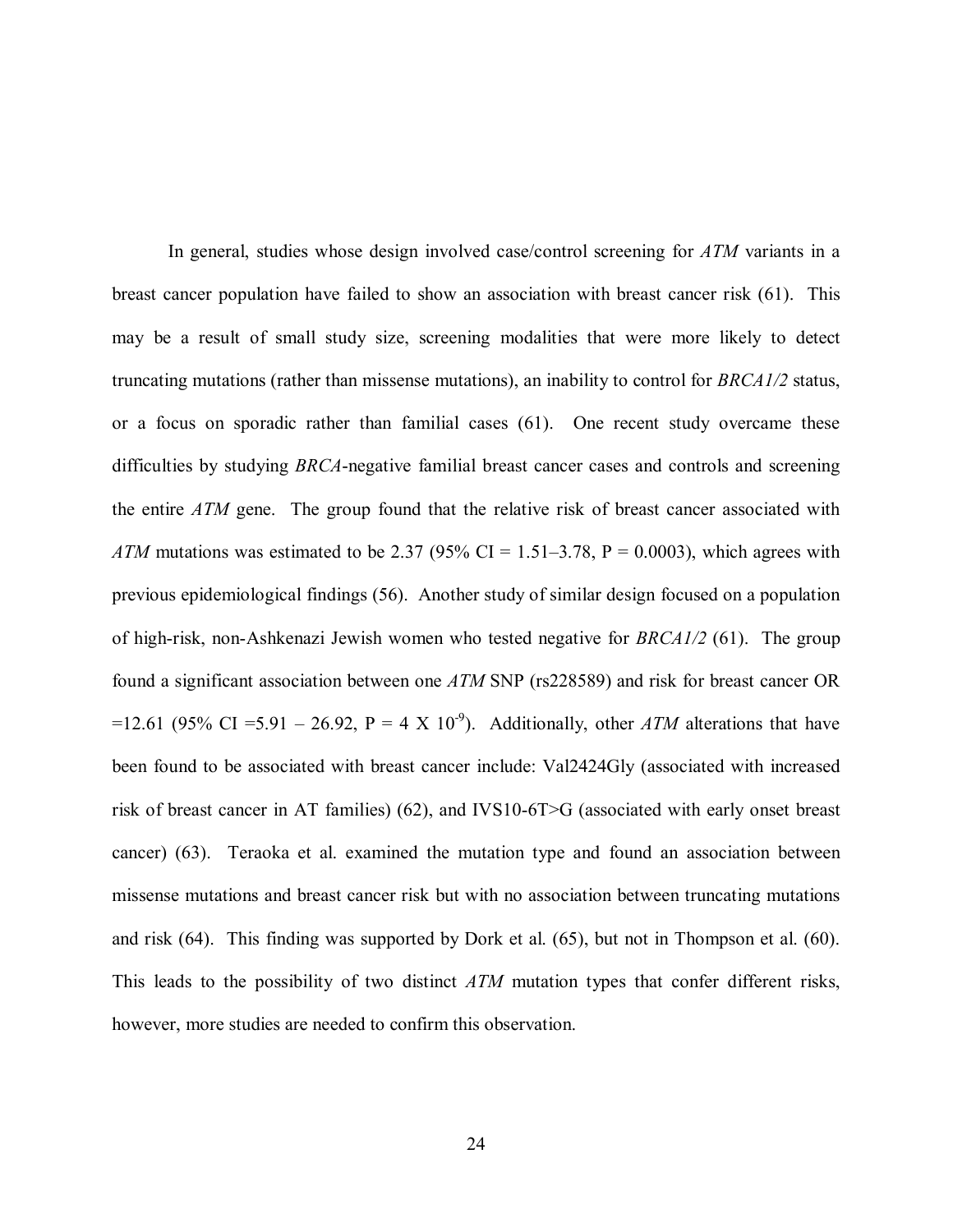In general, studies whose design involved case/control screening for *ATM* variants in a breast cancer population have failed to show an association with breast cancer risk [\(61\).](#page-64-0) This may be a result of small study size, screening modalities that were more likely to detect truncating mutations (rather than missense mutations), an inability to control for *BRCA1/2* status, or a focus on sporadic rather than familial cases [\(61\).](#page-64-0) One recent study overcame these difficulties by studying *BRCA*-negative familial breast cancer cases and controls and screening the entire *ATM* gene. The group found that the relative risk of breast cancer associated with *ATM* mutations was estimated to be 2.37 (95% CI = 1.51–3.78, P = 0.0003), which agrees with previous epidemiological findings [\(56\).](#page-64-0) Another study of similar design focused on a population of high-risk, non-Ashkenazi Jewish women who tested negative for *BRCA1/2* [\(61\).](#page-64-0) The group found a significant association between one *ATM* SNP (rs228589) and risk for breast cancer OR =12.61 (95% CI =5.91 – 26.92, P = 4 X 10<sup>-9</sup>). Additionally, other *ATM* alterations that have been found to be associated with breast cancer include: Val2424Gly (associated with increased risk of breast cancer in AT families) [\(62\),](#page-64-0) and IVS10-6T>G (associated with early onset breast cancer) [\(63\)](#page-64-0). Teraoka et al. examined the mutation type and found an association between missense mutations and breast cancer risk but with no association between truncating mutations and risk [\(64\).](#page-65-0) This finding was supported by Dork et al. [\(65\),](#page-65-0) but not in Thompson et al. [\(60\).](#page-65-0)  This leads to the possibility of two distinct *ATM* mutation types that confer different risks, however, more studies are needed to confirm this observation.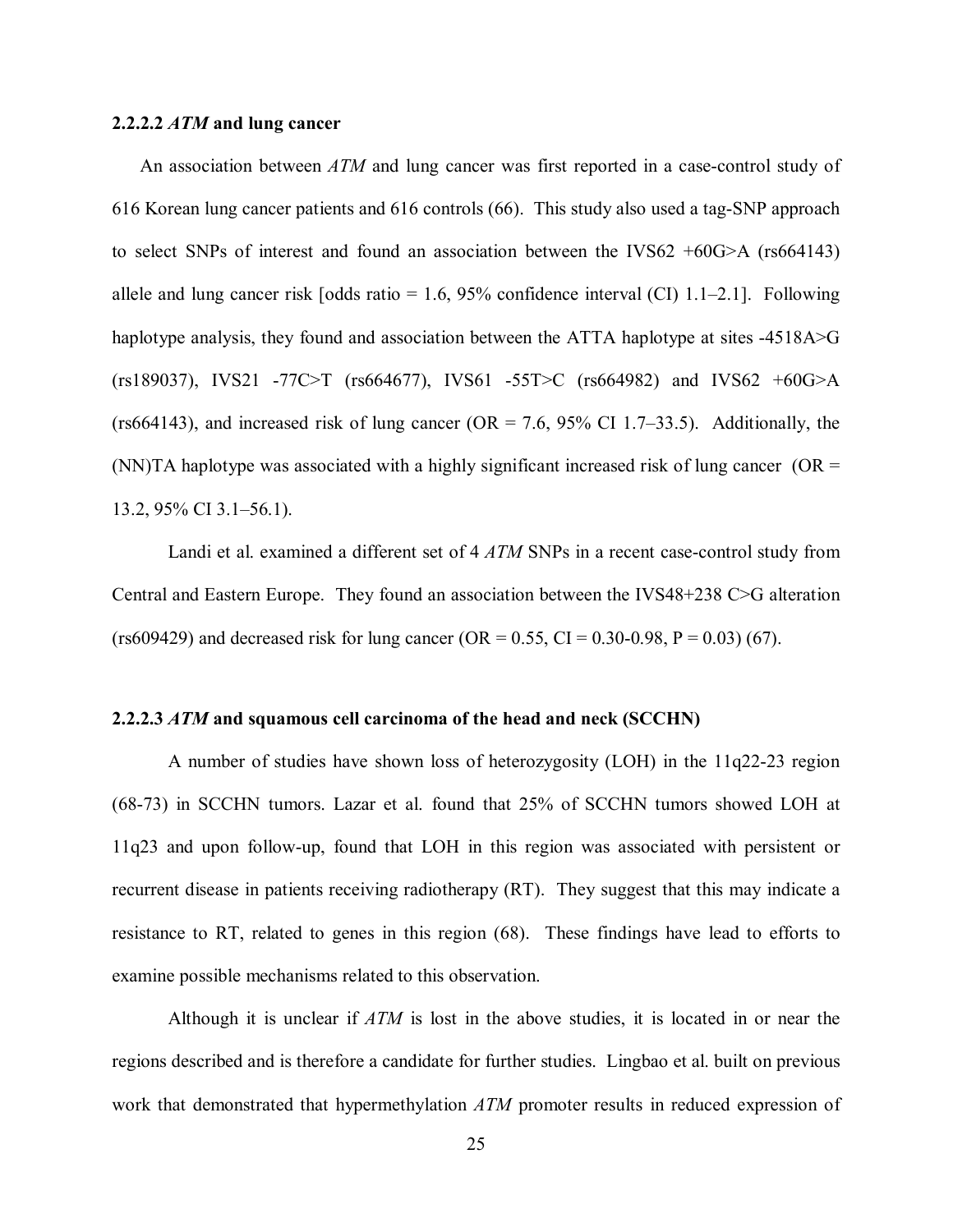### <span id="page-34-0"></span>**2.2.2.2** *ATM* **and lung cancer**

An association between *ATM* and lung cancer was first reported in a case-control study of 616 Korean lung cancer patients and 616 controls [\(66\).](#page-65-0) This study also used a tag-SNP approach to select SNPs of interest and found an association between the IVS62  $+60G>A$  (rs664143) allele and lung cancer risk  $[odds \text{ ratio} = 1.6, 95\% \text{ confidence interval (CI) } 1.1-2.1]$ . Following haplotype analysis, they found and association between the ATTA haplotype at sites -4518A>G (rs189037), IVS21 -77C>T (rs664677), IVS61 -55T>C (rs664982) and IVS62 +60G>A (rs664143), and increased risk of lung cancer ( $OR = 7.6$ , 95% CI 1.7–33.5). Additionally, the (NN)TA haplotype was associated with a highly significant increased risk of lung cancer ( $OR =$ 13.2, 95% CI 3.1–56.1).

Landi et al. examined a different set of 4 *ATM* SNPs in a recent case-control study from Central and Eastern Europe. They found an association between the IVS48+238 C>G alteration (rs609429) and decreased risk for lung cancer (OR =  $0.55$ , CI =  $0.30$ - $0.98$ , P =  $0.03$ ) [\(67\).](#page-65-0)

## **2.2.2.3** *ATM* **and squamous cell carcinoma of the head and neck (SCCHN)**

A number of studies have shown loss of heterozygosity (LOH) in the 11q22-23 region [\(68-73\) in SC](#page-65-0)CHN tumors. Lazar et al. found that 25% of SCCHN tumors showed LOH at 11q23 and upon follow-up, found that LOH in this region was associated with persistent or recurrent disease in patients receiving radiotherapy (RT). They suggest that this may indicate a resistance to RT, related to genes in this region [\(68\).](#page-65-0) These findings have lead to efforts to examine possible mechanisms related to this observation.

Although it is unclear if *ATM* is lost in the above studies, it is located in or near the regions described and is therefore a candidate for further studies. Lingbao et al. built on previous work that demonstrated that hypermethylation *ATM* promoter results in reduced expression of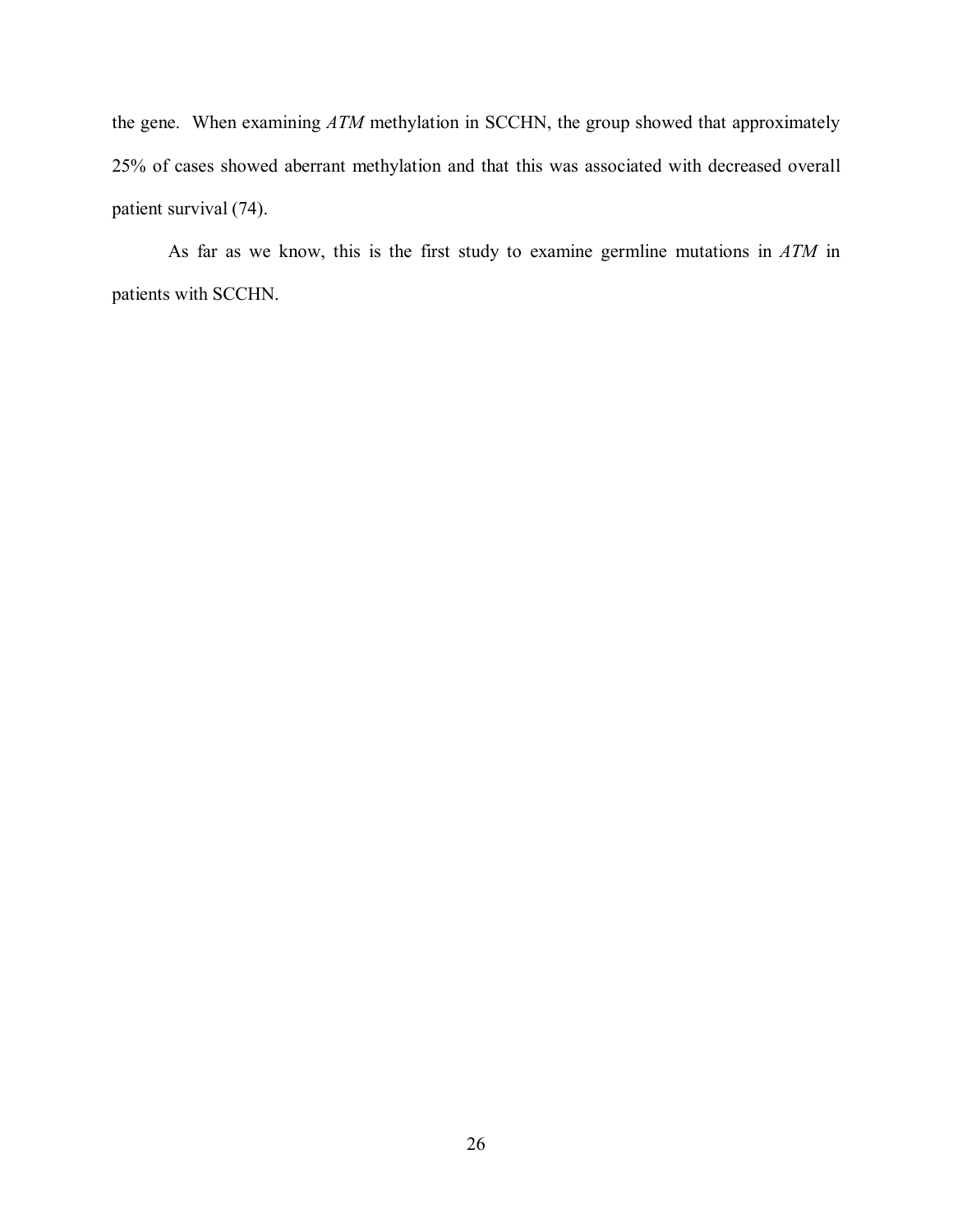the gene. When examining *ATM* methylation in SCCHN, the group showed that approximately 25% of cases showed aberrant methylation and that this was associated with decreased overall patient survival [\(74\).](#page-65-0)

As far as we know, this is the first study to examine germline mutations in *ATM* in patients with SCCHN.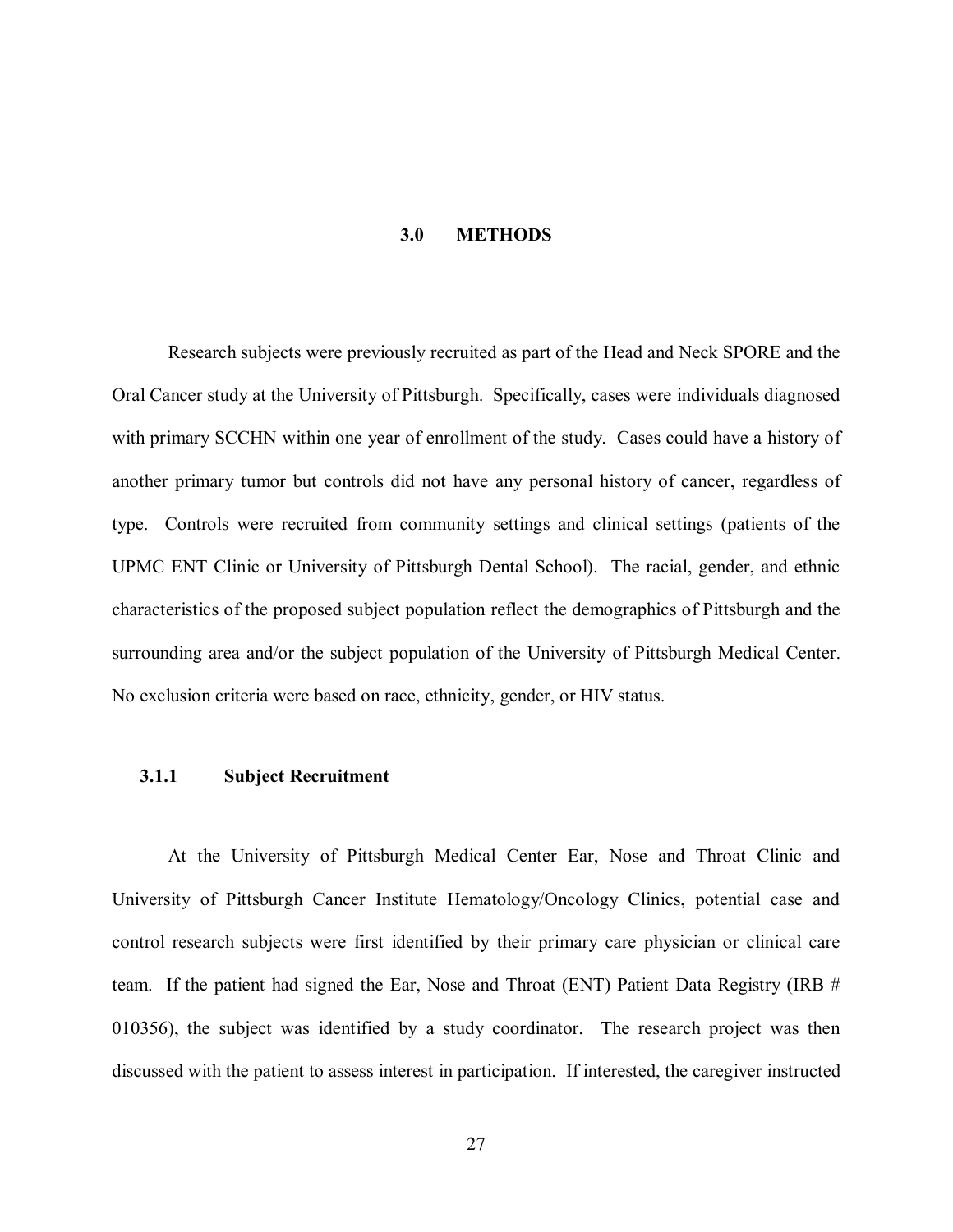#### **3.0 METHODS**

<span id="page-36-0"></span>Research subjects were previously recruited as part of the Head and Neck SPORE and the Oral Cancer study at the University of Pittsburgh. Specifically, cases were individuals diagnosed with primary SCCHN within one year of enrollment of the study. Cases could have a history of another primary tumor but controls did not have any personal history of cancer, regardless of type. Controls were recruited from community settings and clinical settings (patients of the UPMC ENT Clinic or University of Pittsburgh Dental School). The racial, gender, and ethnic characteristics of the proposed subject population reflect the demographics of Pittsburgh and the surrounding area and/or the subject population of the University of Pittsburgh Medical Center. No exclusion criteria were based on race, ethnicity, gender, or HIV status.

#### **3.1.1 Subject Recruitment**

At the University of Pittsburgh Medical Center Ear, Nose and Throat Clinic and University of Pittsburgh Cancer Institute Hematology/Oncology Clinics, potential case and control research subjects were first identified by their primary care physician or clinical care team. If the patient had signed the Ear, Nose and Throat (ENT) Patient Data Registry (IRB # 010356), the subject was identified by a study coordinator. The research project was then discussed with the patient to assess interest in participation. If interested, the caregiver instructed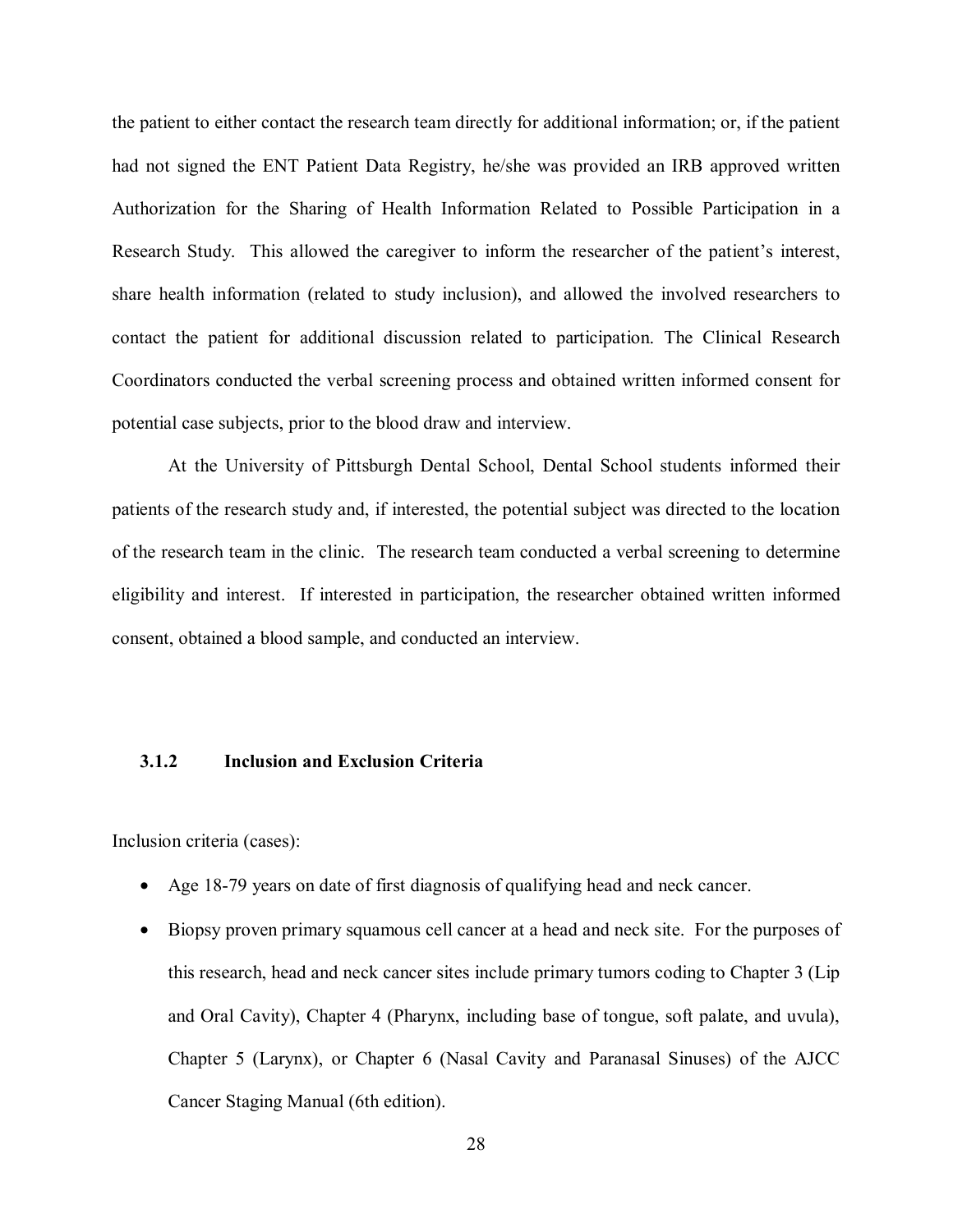<span id="page-37-0"></span>the patient to either contact the research team directly for additional information; or, if the patient had not signed the ENT Patient Data Registry, he/she was provided an IRB approved written Authorization for the Sharing of Health Information Related to Possible Participation in a Research Study. This allowed the caregiver to inform the researcher of the patient's interest, share health information (related to study inclusion), and allowed the involved researchers to contact the patient for additional discussion related to participation. The Clinical Research Coordinators conducted the verbal screening process and obtained written informed consent for potential case subjects, prior to the blood draw and interview.

At the University of Pittsburgh Dental School, Dental School students informed their patients of the research study and, if interested, the potential subject was directed to the location of the research team in the clinic. The research team conducted a verbal screening to determine eligibility and interest. If interested in participation, the researcher obtained written informed consent, obtained a blood sample, and conducted an interview.

# **3.1.2 Inclusion and Exclusion Criteria**

Inclusion criteria (cases):

- Age 18-79 years on date of first diagnosis of qualifying head and neck cancer.
- Biopsy proven primary squamous cell cancer at a head and neck site. For the purposes of this research, head and neck cancer sites include primary tumors coding to Chapter 3 (Lip and Oral Cavity), Chapter 4 (Pharynx, including base of tongue, soft palate, and uvula), Chapter 5 (Larynx), or Chapter 6 (Nasal Cavity and Paranasal Sinuses) of the AJCC Cancer Staging Manual (6th edition).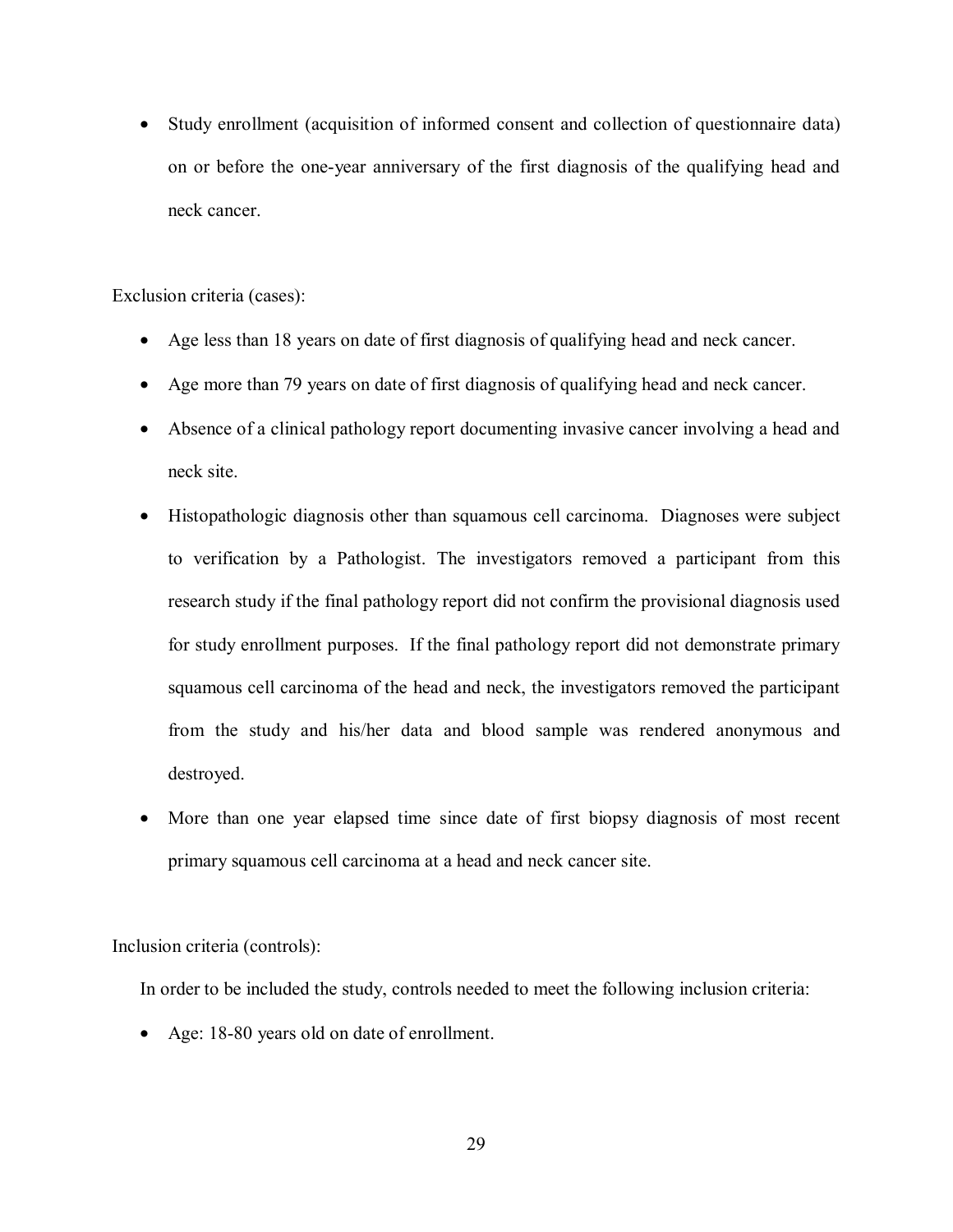• Study enrollment (acquisition of informed consent and collection of questionnaire data) on or before the one-year anniversary of the first diagnosis of the qualifying head and neck cancer.

Exclusion criteria (cases):

- Age less than 18 years on date of first diagnosis of qualifying head and neck cancer.
- Age more than 79 years on date of first diagnosis of qualifying head and neck cancer.
- Absence of a clinical pathology report documenting invasive cancer involving a head and neck site.
- Histopathologic diagnosis other than squamous cell carcinoma. Diagnoses were subject to verification by a Pathologist. The investigators removed a participant from this research study if the final pathology report did not confirm the provisional diagnosis used for study enrollment purposes. If the final pathology report did not demonstrate primary squamous cell carcinoma of the head and neck, the investigators removed the participant from the study and his/her data and blood sample was rendered anonymous and destroyed.
- More than one year elapsed time since date of first biopsy diagnosis of most recent primary squamous cell carcinoma at a head and neck cancer site.

Inclusion criteria (controls):

In order to be included the study, controls needed to meet the following inclusion criteria:

• Age: 18-80 years old on date of enrollment.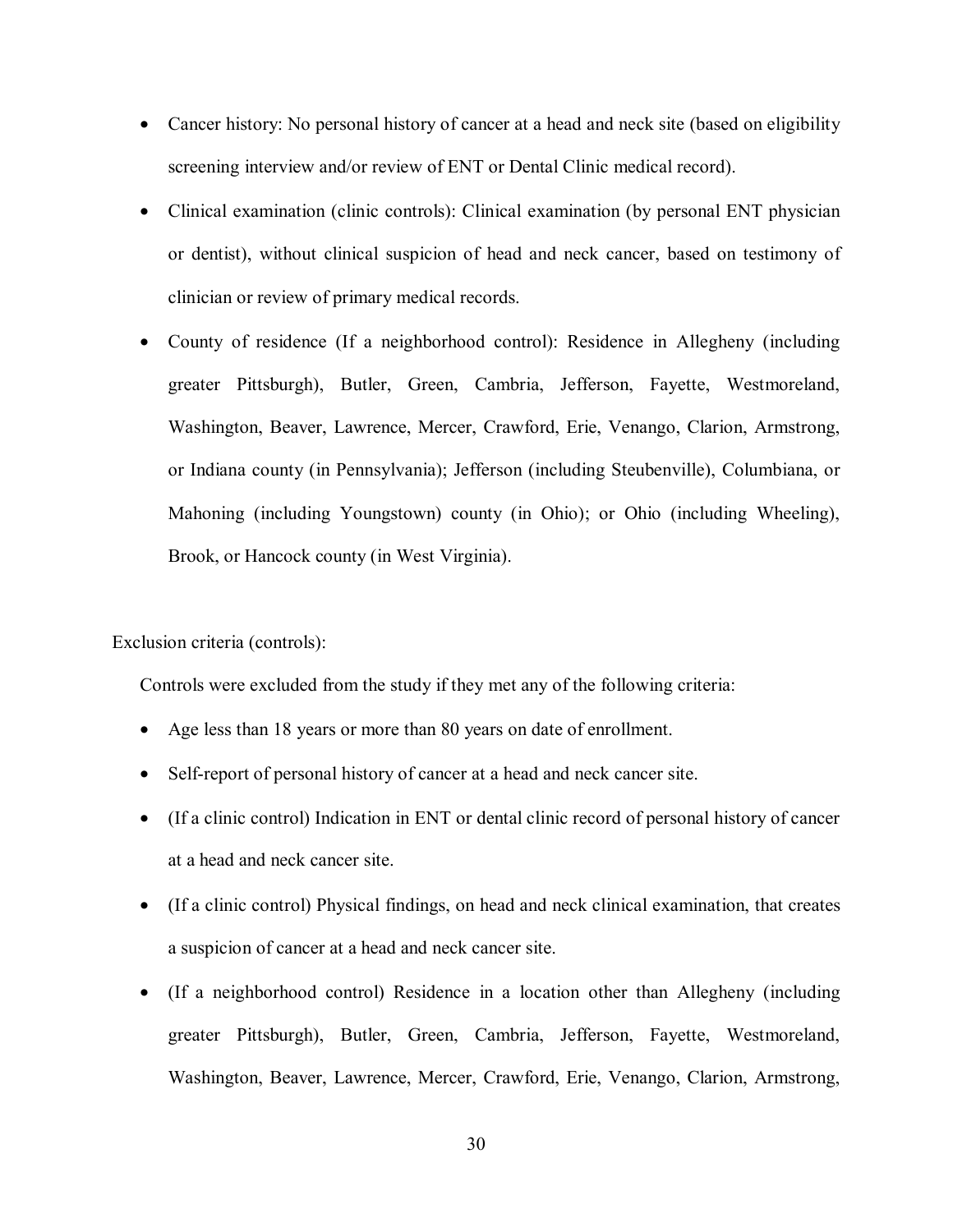- Cancer history: No personal history of cancer at a head and neck site (based on eligibility screening interview and/or review of ENT or Dental Clinic medical record).
- Clinical examination (clinic controls): Clinical examination (by personal ENT physician or dentist), without clinical suspicion of head and neck cancer, based on testimony of clinician or review of primary medical records.
- County of residence (If a neighborhood control): Residence in Allegheny (including greater Pittsburgh), Butler, Green, Cambria, Jefferson, Fayette, Westmoreland, Washington, Beaver, Lawrence, Mercer, Crawford, Erie, Venango, Clarion, Armstrong, or Indiana county (in Pennsylvania); Jefferson (including Steubenville), Columbiana, or Mahoning (including Youngstown) county (in Ohio); or Ohio (including Wheeling), Brook, or Hancock county (in West Virginia).

Exclusion criteria (controls):

Controls were excluded from the study if they met any of the following criteria:

- Age less than 18 years or more than 80 years on date of enrollment.
- Self-report of personal history of cancer at a head and neck cancer site.
- (If a clinic control) Indication in ENT or dental clinic record of personal history of cancer at a head and neck cancer site.
- (If a clinic control) Physical findings, on head and neck clinical examination, that creates a suspicion of cancer at a head and neck cancer site.
- (If a neighborhood control) Residence in a location other than Allegheny (including greater Pittsburgh), Butler, Green, Cambria, Jefferson, Fayette, Westmoreland, Washington, Beaver, Lawrence, Mercer, Crawford, Erie, Venango, Clarion, Armstrong,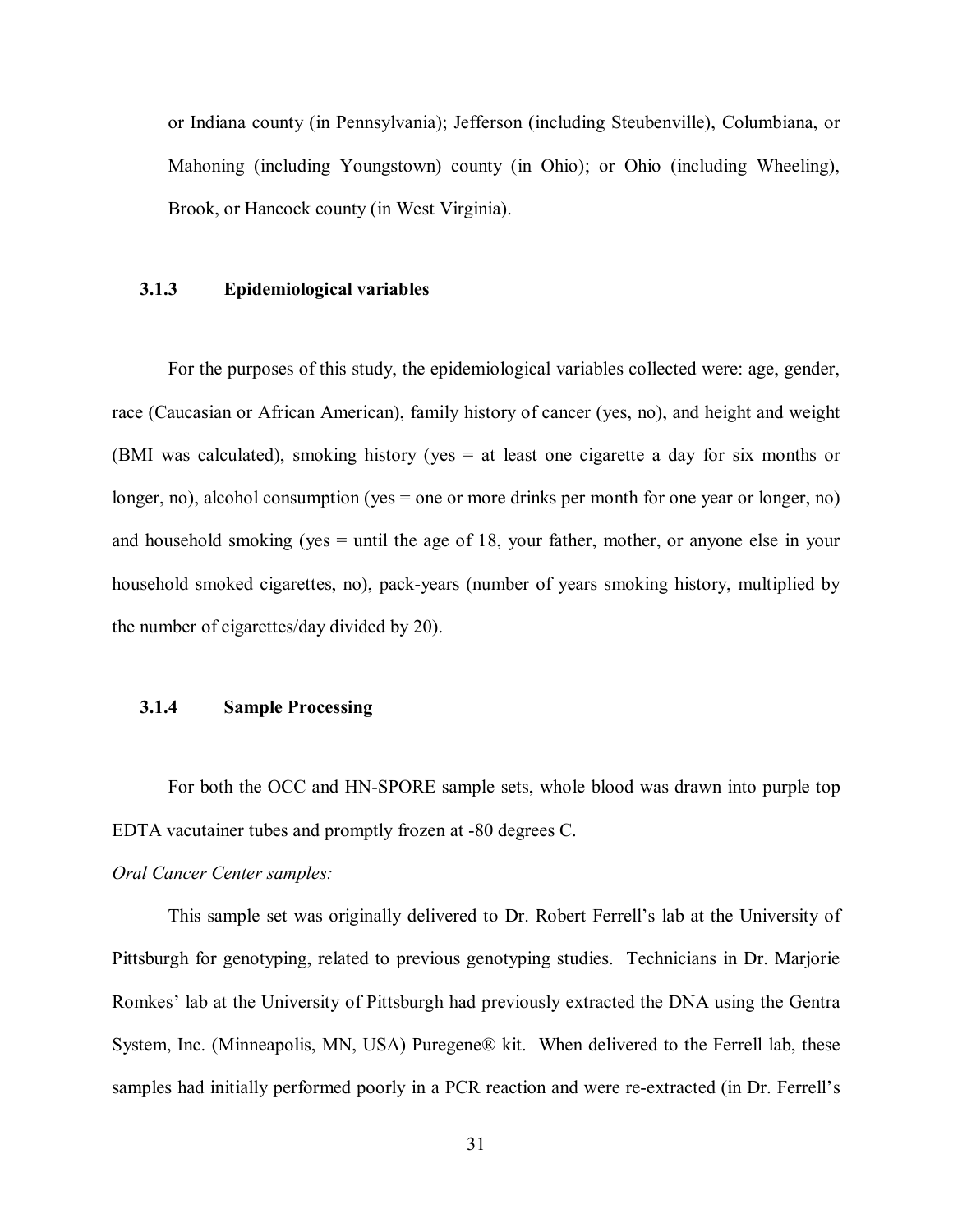<span id="page-40-0"></span>or Indiana county (in Pennsylvania); Jefferson (including Steubenville), Columbiana, or Mahoning (including Youngstown) county (in Ohio); or Ohio (including Wheeling), Brook, or Hancock county (in West Virginia).

#### **3.1.3 Epidemiological variables**

For the purposes of this study, the epidemiological variables collected were: age, gender, race (Caucasian or African American), family history of cancer (yes, no), and height and weight (BMI was calculated), smoking history (yes = at least one cigarette a day for six months or longer, no), alcohol consumption (yes = one or more drinks per month for one year or longer, no) and household smoking (yes = until the age of 18, your father, mother, or anyone else in your household smoked cigarettes, no), pack-years (number of years smoking history, multiplied by the number of cigarettes/day divided by 20).

## **3.1.4 Sample Processing**

For both the OCC and HN-SPORE sample sets, whole blood was drawn into purple top EDTA vacutainer tubes and promptly frozen at -80 degrees C.

# *Oral Cancer Center samples:*

This sample set was originally delivered to Dr. Robert Ferrell's lab at the University of Pittsburgh for genotyping, related to previous genotyping studies. Technicians in Dr. Marjorie Romkes' lab at the University of Pittsburgh had previously extracted the DNA using the Gentra System, Inc. (Minneapolis, MN, USA) Puregene® kit. When delivered to the Ferrell lab, these samples had initially performed poorly in a PCR reaction and were re-extracted (in Dr. Ferrell's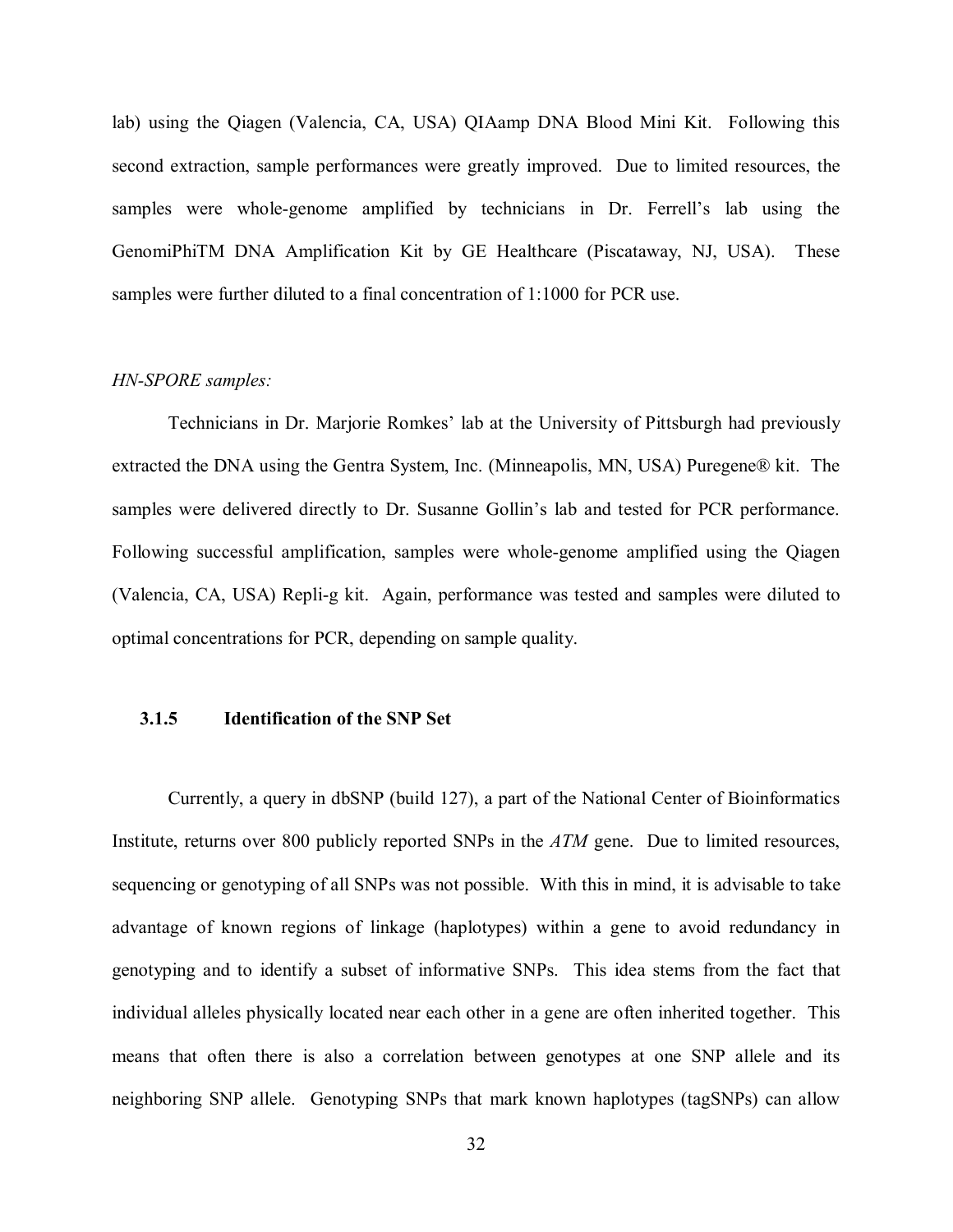<span id="page-41-0"></span>lab) using the Qiagen (Valencia, CA, USA) QIAamp DNA Blood Mini Kit. Following this second extraction, sample performances were greatly improved. Due to limited resources, the samples were whole-genome amplified by technicians in Dr. Ferrell's lab using the GenomiPhiTM DNA Amplification Kit by GE Healthcare (Piscataway, NJ, USA). These samples were further diluted to a final concentration of 1:1000 for PCR use.

## *HN-SPORE samples:*

Technicians in Dr. Marjorie Romkes' lab at the University of Pittsburgh had previously extracted the DNA using the Gentra System, Inc. (Minneapolis, MN, USA) Puregene® kit. The samples were delivered directly to Dr. Susanne Gollin's lab and tested for PCR performance. Following successful amplification, samples were whole-genome amplified using the Qiagen (Valencia, CA, USA) Repli-g kit. Again, performance was tested and samples were diluted to optimal concentrations for PCR, depending on sample quality.

# **3.1.5 Identification of the SNP Set**

 Currently, a query in dbSNP (build 127), a part of the National Center of Bioinformatics Institute, returns over 800 publicly reported SNPs in the *ATM* gene. Due to limited resources, sequencing or genotyping of all SNPs was not possible. With this in mind, it is advisable to take advantage of known regions of linkage (haplotypes) within a gene to avoid redundancy in genotyping and to identify a subset of informative SNPs. This idea stems from the fact that individual alleles physically located near each other in a gene are often inherited together. This means that often there is also a correlation between genotypes at one SNP allele and its neighboring SNP allele. Genotyping SNPs that mark known haplotypes (tagSNPs) can allow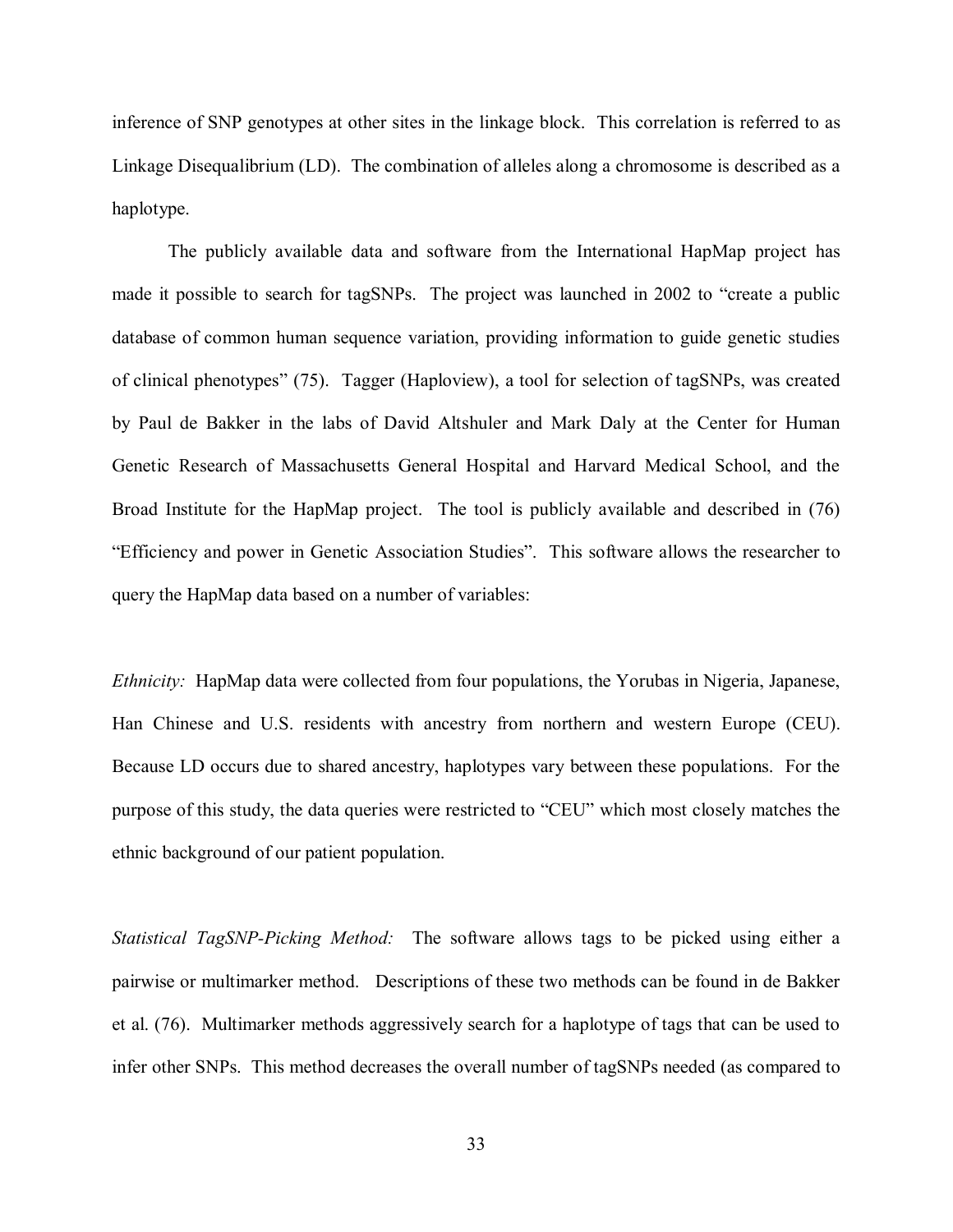inference of SNP genotypes at other sites in the linkage block. This correlation is referred to as Linkage Disequalibrium (LD). The combination of alleles along a chromosome is described as a haplotype.

The publicly available data and software from the International HapMap project has made it possible to search for tagSNPs. The project was launched in 2002 to "create a public database of common human sequence variation, providing information to guide genetic studies of clinical phenotypes" [\(75\).](#page-65-0) Tagger (Haploview), a tool for selection of tagSNPs, was created by Paul de Bakker in the labs of David Altshuler and Mark Daly at the Center for Human Genetic Research of Massachusetts General Hospital and Harvard Medical School, and the Broad Institute for the HapMap project. The tool is publicly available and described in [\(76\)](#page-65-0)  "Efficiency and power in Genetic Association Studies". This software allows the researcher to query the HapMap data based on a number of variables:

*Ethnicity:* HapMap data were collected from four populations, the Yorubas in Nigeria, Japanese, Han Chinese and U.S. residents with ancestry from northern and western Europe (CEU). Because LD occurs due to shared ancestry, haplotypes vary between these populations. For the purpose of this study, the data queries were restricted to "CEU" which most closely matches the ethnic background of our patient population.

*Statistical TagSNP-Picking Method:* The software allows tags to be picked using either a pairwise or multimarker method. Descriptions of these two methods can be found in de Bakker et al. [\(76\).](#page-65-0) Multimarker methods aggressively search for a haplotype of tags that can be used to infer other SNPs. This method decreases the overall number of tagSNPs needed (as compared to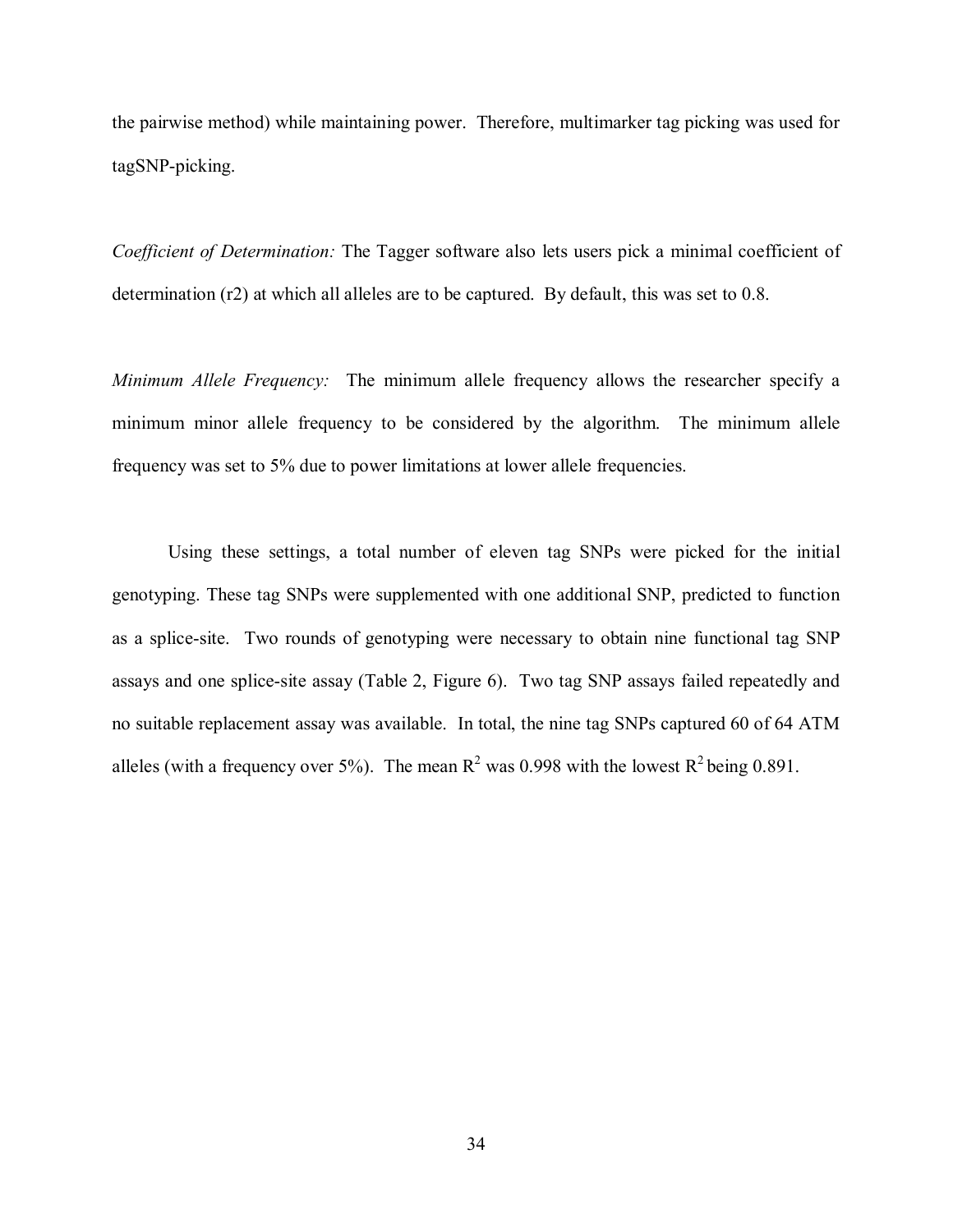the pairwise method) while maintaining power. Therefore, multimarker tag picking was used for tagSNP-picking.

*Coefficient of Determination:* The Tagger software also lets users pick a minimal coefficient of determination (r2) at which all alleles are to be captured. By default, this was set to 0.8.

*Minimum Allele Frequency:* The minimum allele frequency allows the researcher specify a minimum minor allele frequency to be considered by the algorithm. The minimum allele frequency was set to 5% due to power limitations at lower allele frequencies.

Using these settings, a total number of eleven tag SNPs were picked for the initial genotyping. These tag SNPs were supplemented with one additional SNP, predicted to function as a splice-site. Two rounds of genotyping were necessary to obtain nine functional tag SNP assays and one splice-site assay [\(Table 2, Figure 6\).](#page-44-0) Two tag SNP assays failed repeatedly and no suitable replacement assay was available. In total, the nine tag SNPs captured 60 of 64 ATM alleles (with a frequency over 5%). The mean  $R^2$  was 0.998 with the lowest  $R^2$  being 0.891.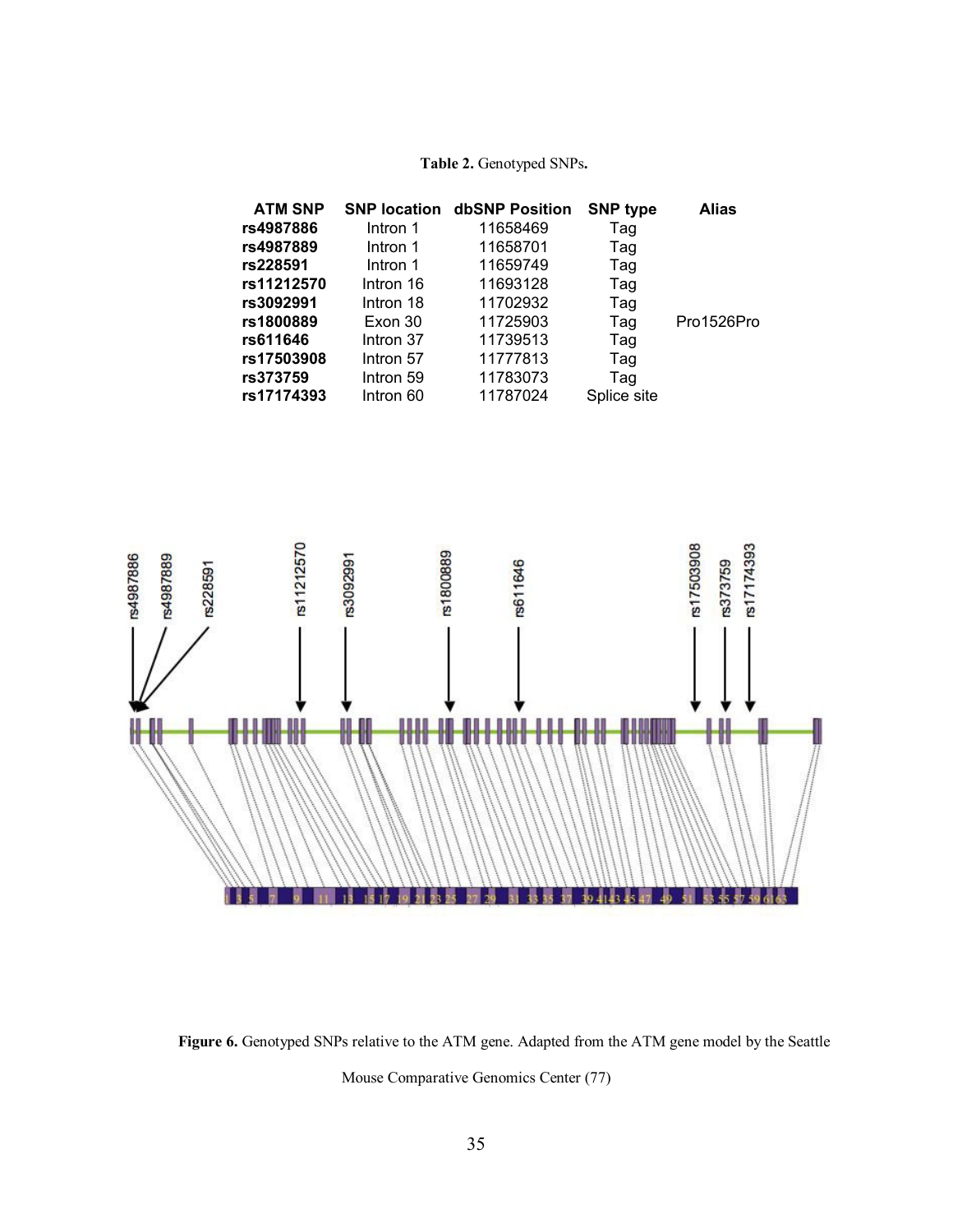# **Table 2.** Genotyped SNPs**.**

<span id="page-44-0"></span>

| <b>ATM SNP</b> | <b>SNP location</b> | dbSNP Position | <b>SNP type</b> | <b>Alias</b> |
|----------------|---------------------|----------------|-----------------|--------------|
| rs4987886      | Intron 1            | 11658469       | Tag             |              |
| rs4987889      | Intron 1            | 11658701       | Tag             |              |
| rs228591       | Intron 1            | 11659749       | Tag             |              |
| rs11212570     | Intron 16           | 11693128       | Tag             |              |
| rs3092991      | Intron 18           | 11702932       | Tag             |              |
| rs1800889      | Exon 30             | 11725903       | Tag             | Pro1526Pro   |
| rs611646       | Intron 37           | 11739513       | Tag             |              |
| rs17503908     | Intron 57           | 11777813       | Tag             |              |
| rs373759       | Intron 59           | 11783073       | Tag             |              |
| rs17174393     | Intron 60           | 11787024       | Splice site     |              |



**Figure 6.** Genotyped SNPs relative to the ATM gene. Adapted from the ATM gene model by the Seattle Mouse Comparative Genomics Cente[r \(77\)](#page-66-0)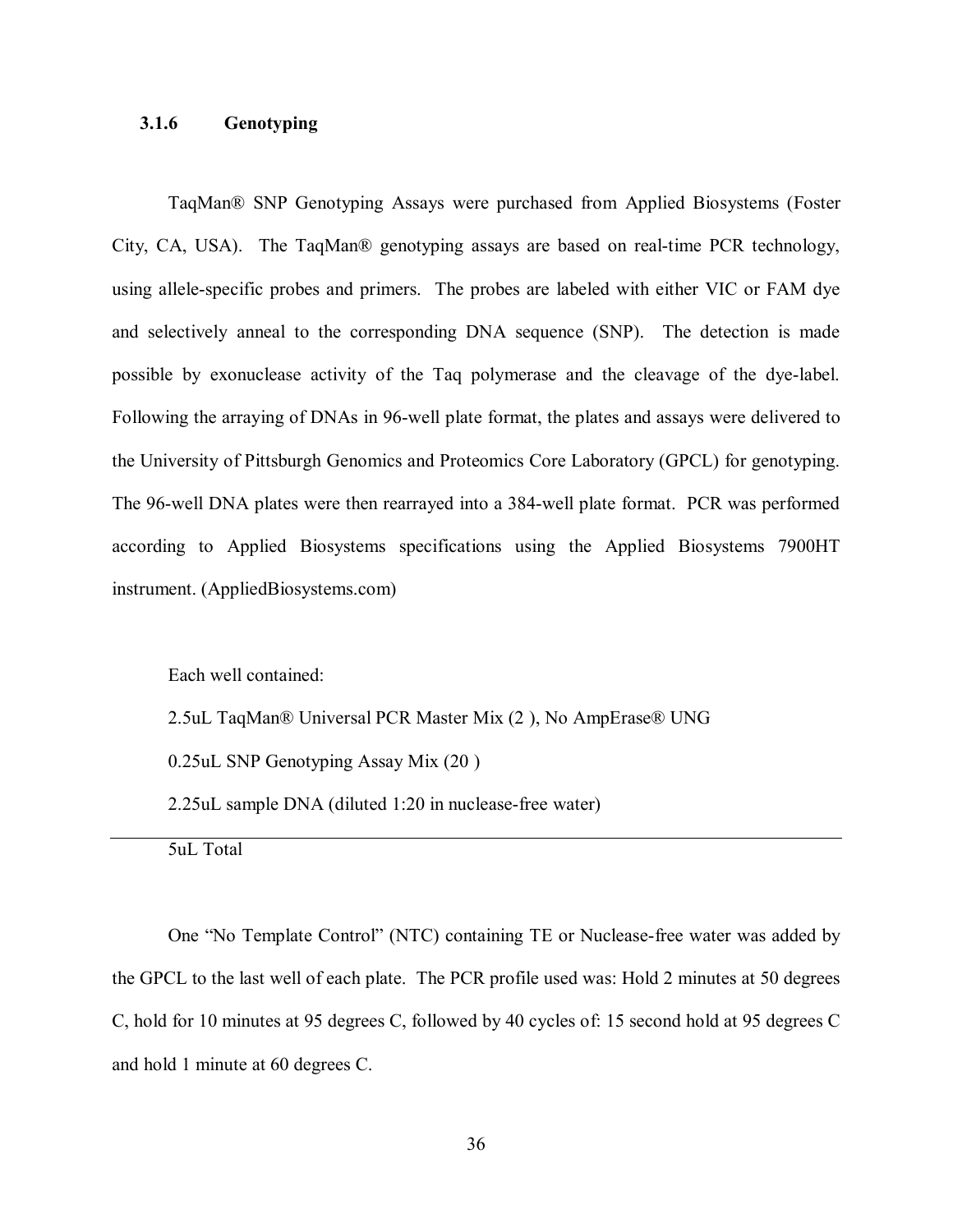## <span id="page-45-0"></span>**3.1.6 Genotyping**

TaqMan® SNP Genotyping Assays were purchased from Applied Biosystems (Foster City, CA, USA). The TaqMan® genotyping assays are based on real-time PCR technology, using allele-specific probes and primers. The probes are labeled with either VIC or FAM dye and selectively anneal to the corresponding DNA sequence (SNP). The detection is made possible by exonuclease activity of the Taq polymerase and the cleavage of the dye-label. Following the arraying of DNAs in 96-well plate format, the plates and assays were delivered to the University of Pittsburgh Genomics and Proteomics Core Laboratory (GPCL) for genotyping. The 96-well DNA plates were then rearrayed into a 384-well plate format. PCR was performed according to Applied Biosystems specifications using the Applied Biosystems 7900HT instrument. (AppliedBiosystems.com)

Each well contained:

2.5uL TaqMan® Universal PCR Master Mix (2 ), No AmpErase® UNG

0.25uL SNP Genotyping Assay Mix (20 )

2.25uL sample DNA (diluted 1:20 in nuclease-free water)

5uL Total

One "No Template Control" (NTC) containing TE or Nuclease-free water was added by the GPCL to the last well of each plate. The PCR profile used was: Hold 2 minutes at 50 degrees C, hold for 10 minutes at 95 degrees C, followed by 40 cycles of: 15 second hold at 95 degrees C and hold 1 minute at 60 degrees C.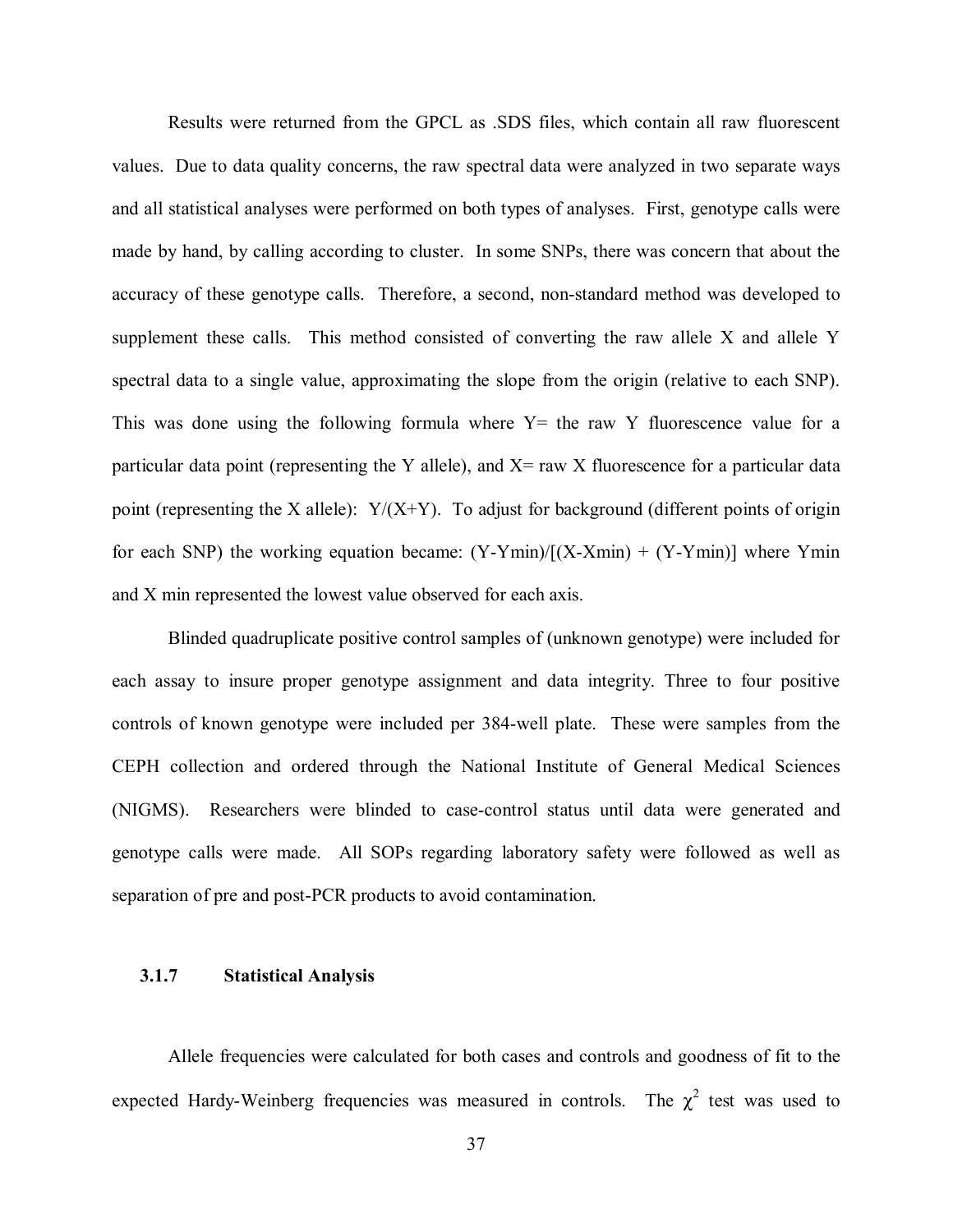Results were returned from the GPCL as .SDS files, which contain all raw fluorescent values. Due to data quality concerns, the raw spectral data were analyzed in two separate ways and all statistical analyses were performed on both types of analyses. First, genotype calls were made by hand, by calling according to cluster. In some SNPs, there was concern that about the accuracy of these genotype calls. Therefore, a second, non-standard method was developed to supplement these calls. This method consisted of converting the raw allele X and allele Y spectral data to a single value, approximating the slope from the origin (relative to each SNP). This was done using the following formula where  $Y=$  the raw Y fluorescence value for a particular data point (representing the Y allele), and  $X=$  raw X fluorescence for a particular data point (representing the X allele):  $Y/(X+Y)$ . To adjust for background (different points of origin for each SNP) the working equation became:  $(Y-Ymin)/(X-Xmin) + (Y-Ymin)$  where Ymin and X min represented the lowest value observed for each axis.

Blinded quadruplicate positive control samples of (unknown genotype) were included for each assay to insure proper genotype assignment and data integrity. Three to four positive controls of known genotype were included per 384-well plate. These were samples from the CEPH collection and ordered through the National Institute of General Medical Sciences (NIGMS). Researchers were blinded to case-control status until data were generated and genotype calls were made. All SOPs regarding laboratory safety were followed as well as separation of pre and post-PCR products to avoid contamination.

# **3.1.7 Statistical Analysis**

Allele frequencies were calculated for both cases and controls and goodness of fit to the expected Hardy-Weinberg frequencies was measured in controls. The  $\chi^2$  test was used to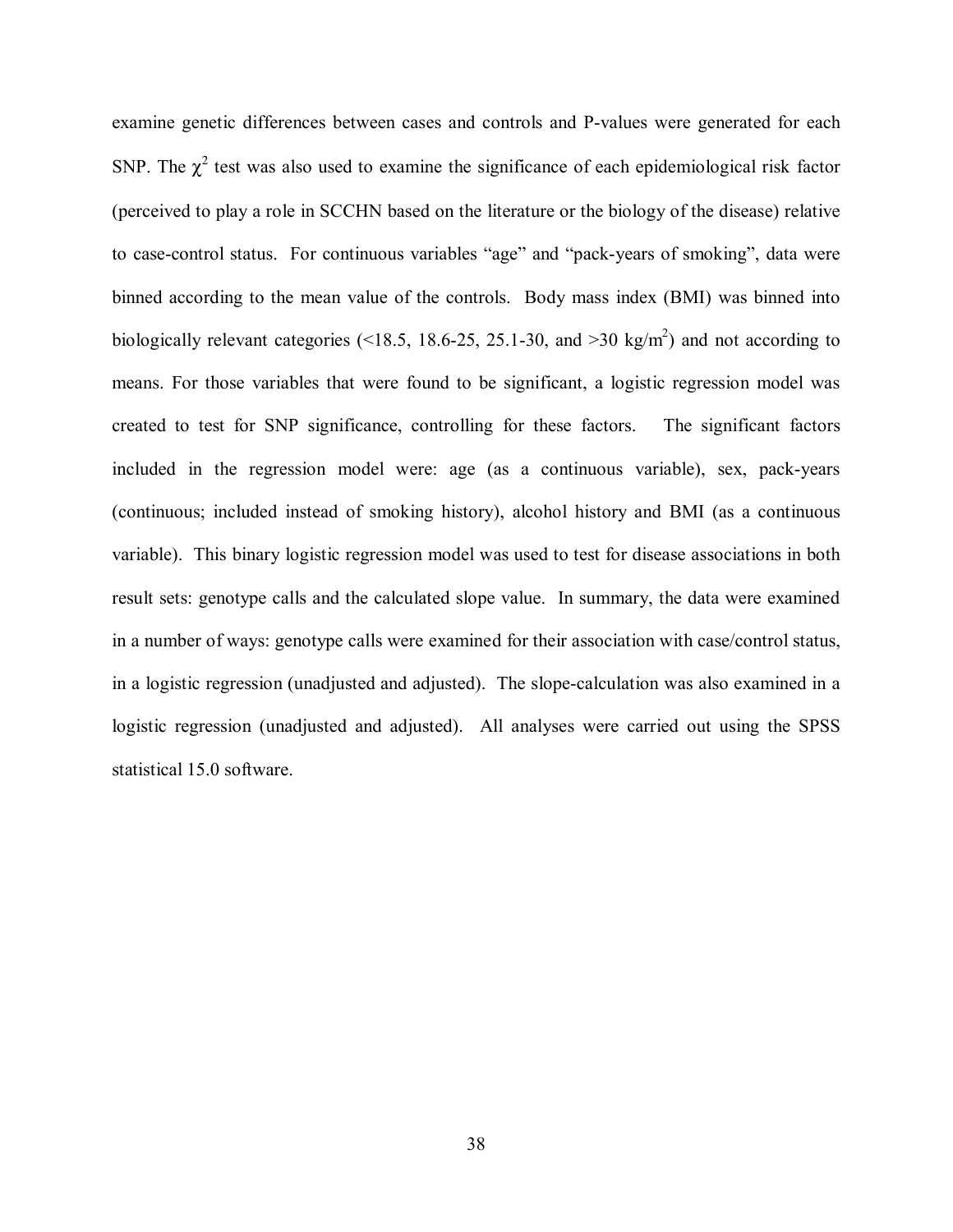<span id="page-47-0"></span>examine genetic differences between cases and controls and P-values were generated for each SNP. The  $\chi^2$  test was also used to examine the significance of each epidemiological risk factor (perceived to play a role in SCCHN based on the literature or the biology of the disease) relative to case-control status. For continuous variables "age" and "pack-years of smoking", data were binned according to the mean value of the controls. Body mass index (BMI) was binned into biologically relevant categories (<18.5, 18.6-25, 25.1-30, and >30 kg/m<sup>2</sup>) and not according to means. For those variables that were found to be significant, a logistic regression model was created to test for SNP significance, controlling for these factors. The significant factors included in the regression model were: age (as a continuous variable), sex, pack-years (continuous; included instead of smoking history), alcohol history and BMI (as a continuous variable). This binary logistic regression model was used to test for disease associations in both result sets: genotype calls and the calculated slope value. In summary, the data were examined in a number of ways: genotype calls were examined for their association with case/control status, in a logistic regression (unadjusted and adjusted). The slope-calculation was also examined in a logistic regression (unadjusted and adjusted). All analyses were carried out using the SPSS statistical 15.0 software.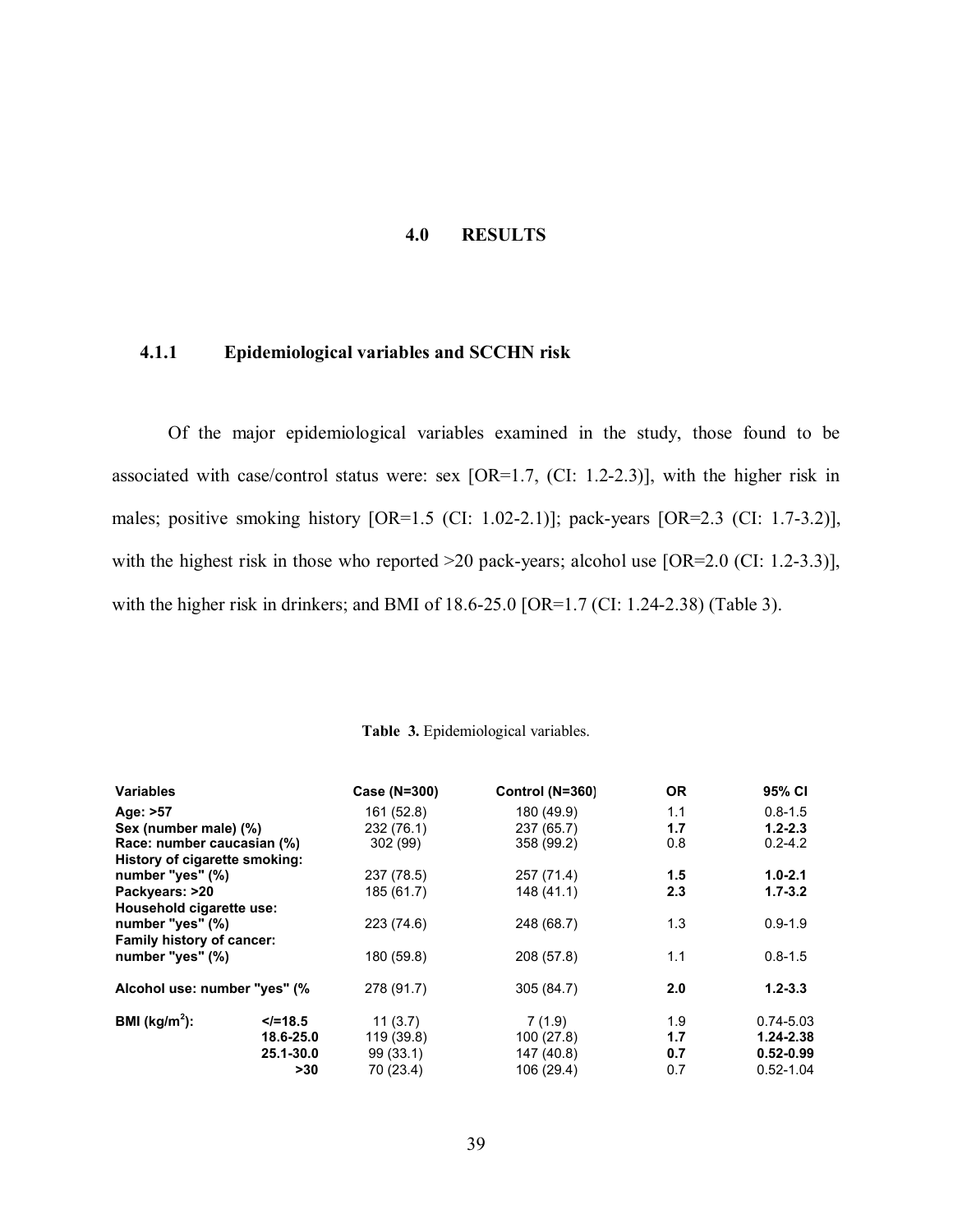## **4.0 RESULTS**

# <span id="page-48-0"></span>**4.1.1 Epidemiological variables and SCCHN risk**

Of the major epidemiological variables examined in the study, those found to be associated with case/control status were: sex [OR=1.7, (CI: 1.2-2.3)], with the higher risk in males; positive smoking history [OR=1.5 (CI: 1.02-2.1)]; pack-years [OR=2.3 (CI: 1.7-3.2)], with the highest risk in those who reported >20 pack-years; alcohol use [OR=2.0 (CI: 1.2-3.3)], with the higher risk in drinkers; and BMI of 18.6-25.0 [OR=1.7 (CI: 1.24-2.38) (Table 3).

| <b>Variables</b>              |            | Case (N=300) | Control (N=360) | <b>OR</b> | 95% CI        |
|-------------------------------|------------|--------------|-----------------|-----------|---------------|
| Age: >57                      |            | 161 (52.8)   | 180 (49.9)      | 1.1       | $0.8 - 1.5$   |
| Sex (number male) (%)         |            | 232 (76.1)   | 237 (65.7)      | 1.7       | $1.2 - 2.3$   |
| Race: number caucasian (%)    |            | 302 (99)     | 358 (99.2)      | 0.8       | $0.2 - 4.2$   |
| History of cigarette smoking: |            |              |                 |           |               |
| number "yes" (%)              |            | 237 (78.5)   | 257 (71.4)      | 1.5       | $1.0 - 2.1$   |
| Packyears: >20                |            | 185 (61.7)   | 148 (41.1)      | 2.3       | $1.7 - 3.2$   |
| Household cigarette use:      |            |              |                 |           |               |
| number "yes" (%)              |            | 223 (74.6)   | 248 (68.7)      | 1.3       | $0.9 - 1.9$   |
| Family history of cancer:     |            |              |                 |           |               |
| number "yes" (%)              |            | 180 (59.8)   | 208 (57.8)      | 1.1       | $0.8 - 1.5$   |
| Alcohol use: number "yes" (%  |            | 278 (91.7)   | 305 (84.7)      | 2.0       | $1.2 - 3.3$   |
| BMI ( $\text{kg/m}^2$ ):      | $<$ /=18.5 | 11(3.7)      | 7(1.9)          | 1.9       | $0.74 - 5.03$ |
|                               | 18.6-25.0  | 119 (39.8)   | 100(27.8)       | 1.7       | $1.24 - 2.38$ |
|                               | 25.1-30.0  | 99(33.1)     | 147 (40.8)      | 0.7       | $0.52 - 0.99$ |
|                               | >30        | 70 (23.4)    | 106 (29.4)      | 0.7       | $0.52 - 1.04$ |

#### **Table 3.** Epidemiological variables.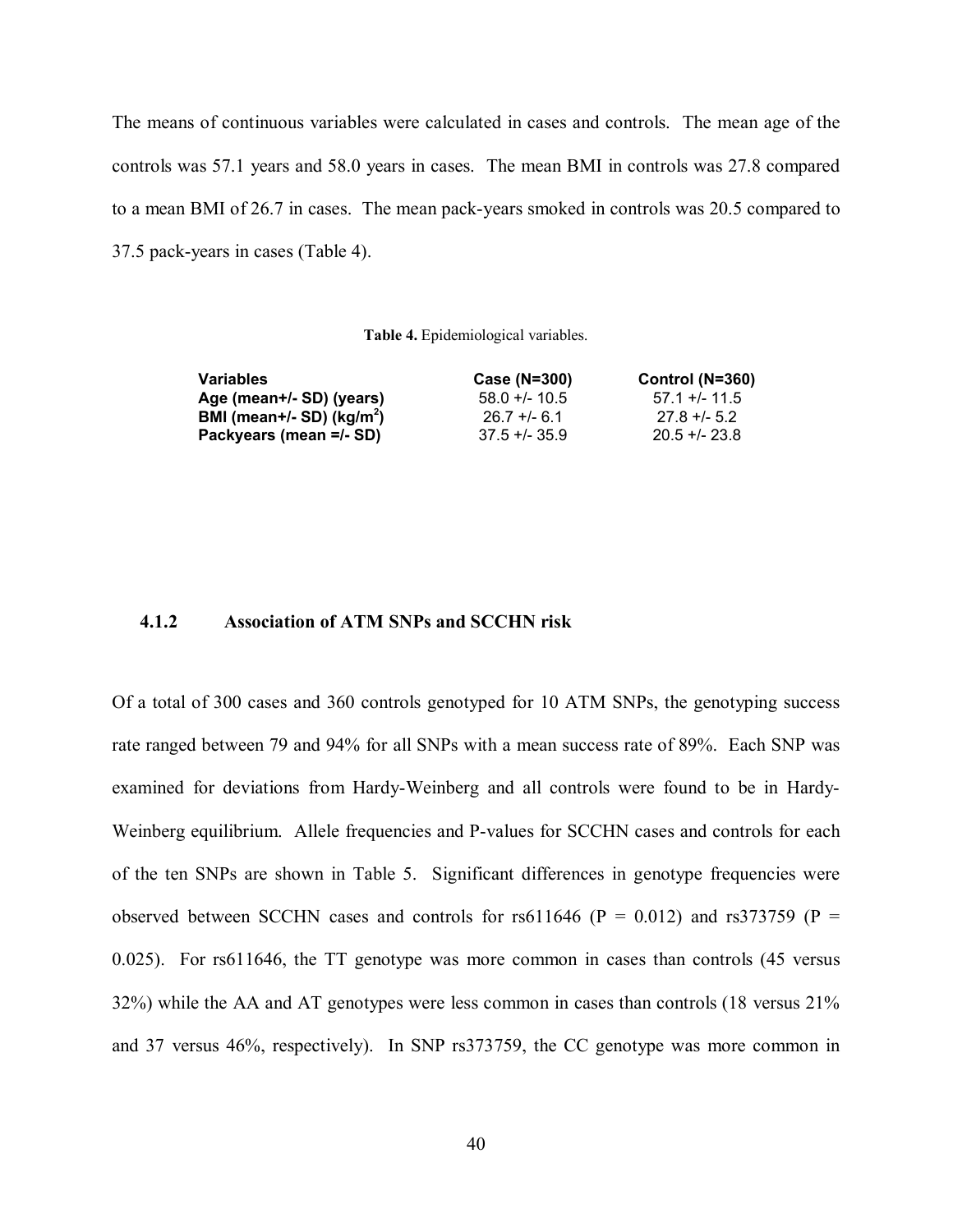<span id="page-49-0"></span>The means of continuous variables were calculated in cases and controls. The mean age of the controls was 57.1 years and 58.0 years in cases. The mean BMI in controls was 27.8 compared to a mean BMI of 26.7 in cases. The mean pack-years smoked in controls was 20.5 compared to 37.5 pack-years in cases (Table 4).

**Table 4.** Epidemiological variables.

| Case (N=300)    | Control (N=360) |
|-----------------|-----------------|
| $58.0 + 10.5$   | $57.1 + (-11.5$ |
| $26.7 + 6.1$    | $27.8 + 5.2$    |
| $37.5 + 1.35.9$ | $20.5 + 23.8$   |
|                 |                 |

## **4.1.2 Association of ATM SNPs and SCCHN risk**

Of a total of 300 cases and 360 controls genotyped for 10 ATM SNPs, the genotyping success rate ranged between 79 and 94% for all SNPs with a mean success rate of 89%. Each SNP was examined for deviations from Hardy-Weinberg and all controls were found to be in Hardy-Weinberg equilibrium. Allele frequencies and P-values for SCCHN cases and controls for each of the ten SNPs are shown in Table 5. Significant differences in genotype frequencies were observed between SCCHN cases and controls for rs611646 ( $P = 0.012$ ) and rs373759 ( $P =$ 0.025). For rs611646, the TT genotype was more common in cases than controls (45 versus 32%) while the AA and AT genotypes were less common in cases than controls (18 versus 21% and 37 versus 46%, respectively). In SNP rs373759, the CC genotype was more common in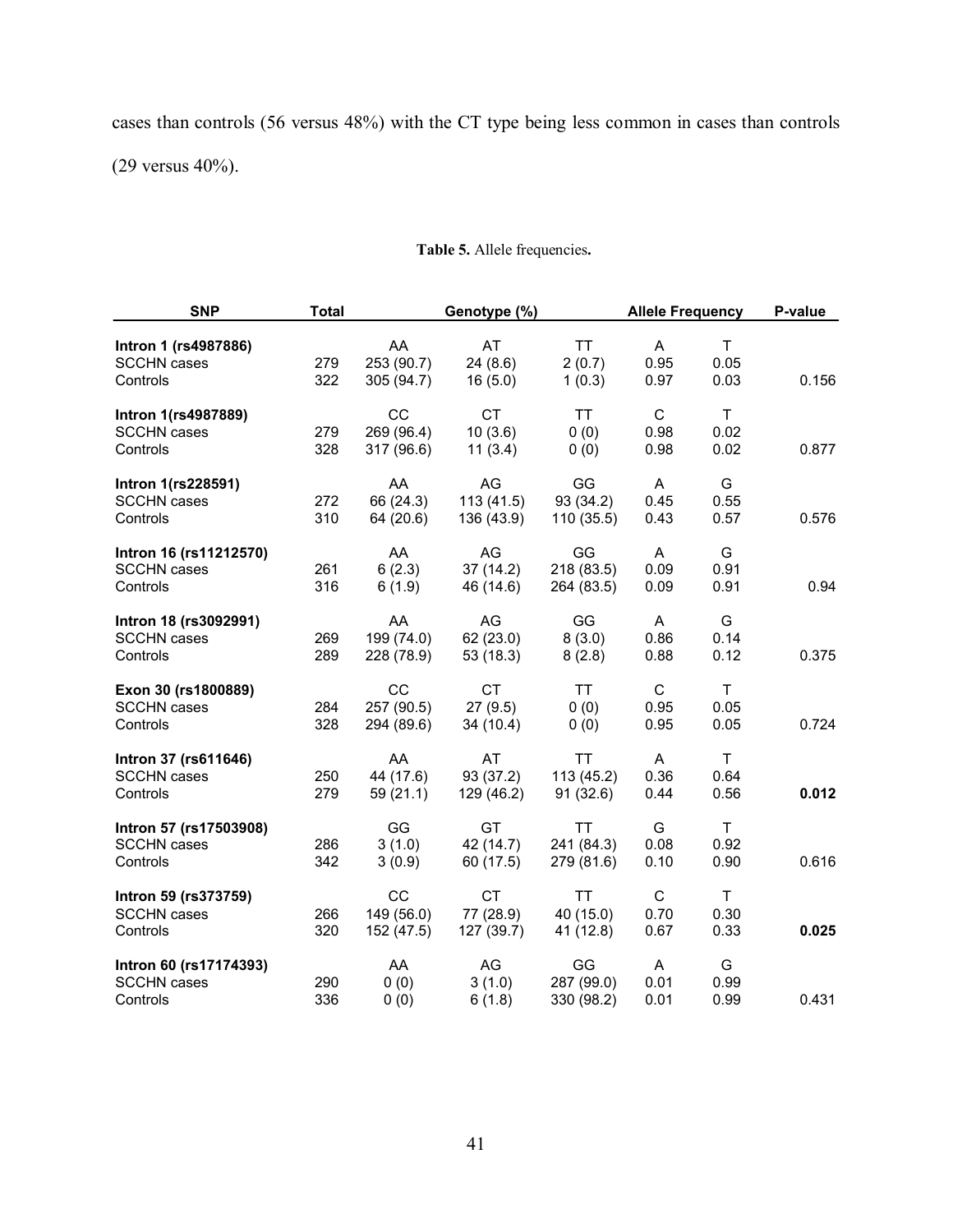<span id="page-50-0"></span>cases than controls (56 versus 48%) with the CT type being less common in cases than controls

(29 versus 40%).

| <b>SNP</b>                                               | <b>Total</b> |                                       | Genotype (%)                         |                                       | <b>Allele Frequency</b>      |                              | P-value |
|----------------------------------------------------------|--------------|---------------------------------------|--------------------------------------|---------------------------------------|------------------------------|------------------------------|---------|
| Intron 1 (rs4987886)<br><b>SCCHN</b> cases<br>Controls   | 279<br>322   | AA<br>253 (90.7)<br>305 (94.7)        | AT<br>24(8.6)<br>16(5.0)             | TT<br>2(0.7)<br>1(0.3)                | A<br>0.95<br>0.97            | T<br>0.05<br>0.03            | 0.156   |
| Intron 1(rs4987889)<br><b>SCCHN</b> cases<br>Controls    | 279<br>328   | CC<br>269 (96.4)<br>317 (96.6)        | <b>CT</b><br>10(3.6)<br>11(3.4)      | <b>TT</b><br>0(0)<br>0(0)             | $\mathbf C$<br>0.98<br>0.98  | T.<br>0.02<br>0.02           | 0.877   |
| Intron 1(rs228591)<br><b>SCCHN</b> cases<br>Controls     | 272<br>310   | AA<br>66 (24.3)<br>64 (20.6)          | AG<br>113(41.5)<br>136 (43.9)        | GG<br>93 (34.2)<br>110(35.5)          | A<br>0.45<br>0.43            | G<br>0.55<br>0.57            | 0.576   |
| Intron 16 (rs11212570)<br><b>SCCHN</b> cases<br>Controls | 261<br>316   | AA<br>6(2.3)<br>6(1.9)                | AG<br>37(14.2)<br>46 (14.6)          | GG<br>218 (83.5)<br>264 (83.5)        | A<br>0.09<br>0.09            | G<br>0.91<br>0.91            | 0.94    |
| Intron 18 (rs3092991)<br><b>SCCHN</b> cases<br>Controls  | 269<br>289   | AA<br>199 (74.0)<br>228 (78.9)        | AG<br>62 (23.0)<br>53 (18.3)         | GG<br>8(3.0)<br>8(2.8)                | A<br>0.86<br>0.88            | G<br>0.14<br>0.12            | 0.375   |
| Exon 30 (rs1800889)<br><b>SCCHN</b> cases<br>Controls    | 284<br>328   | <b>CC</b><br>257 (90.5)<br>294 (89.6) | <b>CT</b><br>27(9.5)<br>34(10.4)     | <b>TT</b><br>0(0)<br>0(0)             | $\mathsf{C}$<br>0.95<br>0.95 | $\mathsf{T}$<br>0.05<br>0.05 | 0.724   |
| Intron 37 (rs611646)<br><b>SCCHN</b> cases<br>Controls   | 250<br>279   | AA<br>44 (17.6)<br>59(21.1)           | AT<br>93 (37.2)<br>129 (46.2)        | <b>TT</b><br>113(45.2)<br>91(32.6)    | A<br>0.36<br>0.44            | $\mathsf{T}$<br>0.64<br>0.56 | 0.012   |
| Intron 57 (rs17503908)<br><b>SCCHN</b> cases<br>Controls | 286<br>342   | GG<br>3(1.0)<br>3(0.9)                | GT<br>42 (14.7)<br>60 (17.5)         | <b>TT</b><br>241 (84.3)<br>279 (81.6) | G<br>0.08<br>0.10            | $\mathsf{T}$<br>0.92<br>0.90 | 0.616   |
| Intron 59 (rs373759)<br><b>SCCHN</b> cases<br>Controls   | 266<br>320   | CC<br>149 (56.0)<br>152 (47.5)        | <b>CT</b><br>77 (28.9)<br>127 (39.7) | <b>TT</b><br>40 (15.0)<br>41 (12.8)   | $\mathsf{C}$<br>0.70<br>0.67 | $\mathsf{T}$<br>0.30<br>0.33 | 0.025   |
| Intron 60 (rs17174393)<br><b>SCCHN</b> cases<br>Controls | 290<br>336   | AA<br>0(0)<br>0(0)                    | AG<br>3(1.0)<br>6(1.8)               | GG<br>287 (99.0)<br>330 (98.2)        | A<br>0.01<br>0.01            | G<br>0.99<br>0.99            | 0.431   |

# **Table 5.** Allele frequencies**.**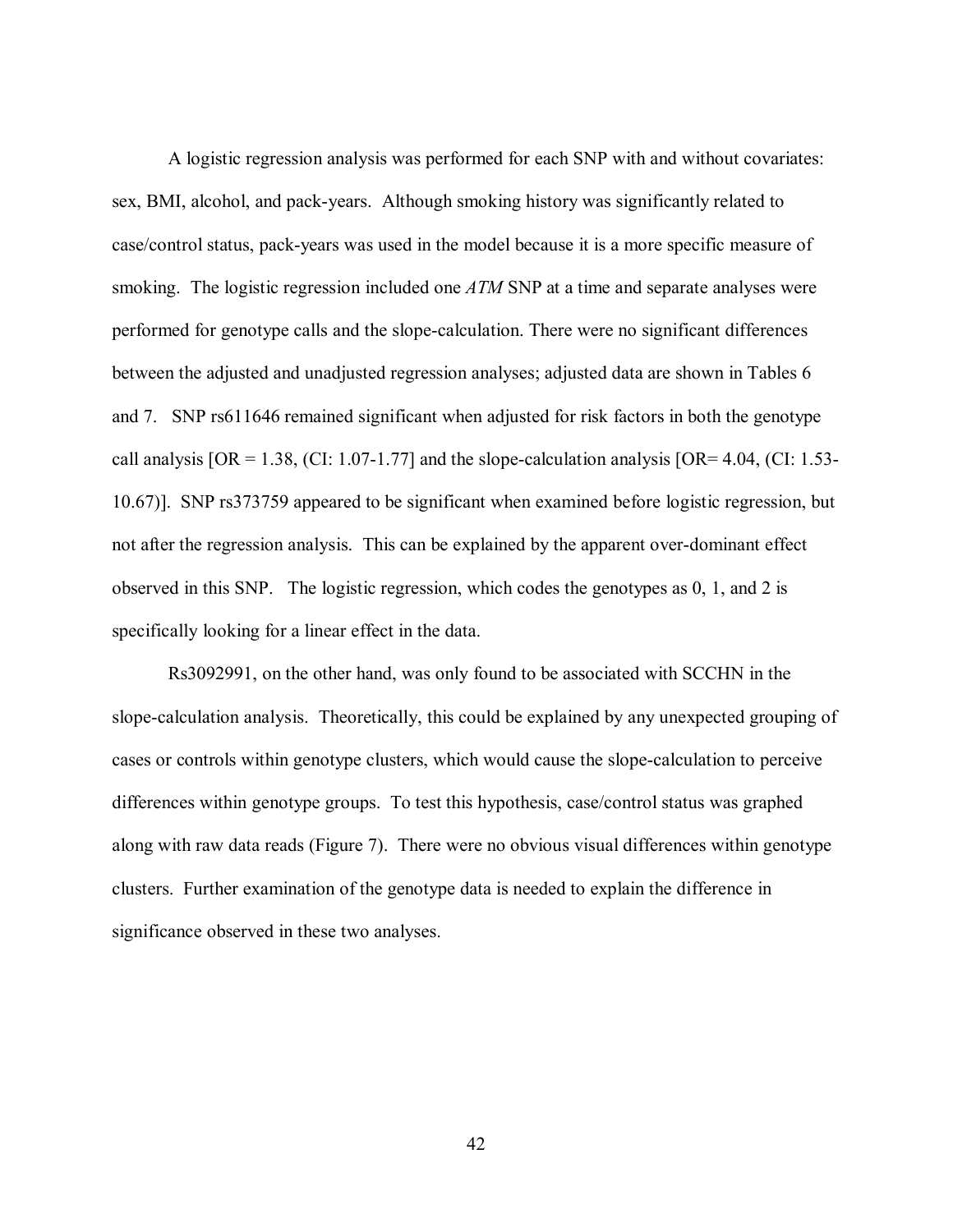A logistic regression analysis was performed for each SNP with and without covariates: sex, BMI, alcohol, and pack-years. Although smoking history was significantly related to case/control status, pack-years was used in the model because it is a more specific measure of smoking. The logistic regression included one *ATM* SNP at a time and separate analyses were performed for genotype calls and the slope-calculation. There were no significant differences between the adjusted and unadjusted regression analyses; adjusted data are shown in [Tables 6](#page-52-0)  [and 7.](#page-52-0) SNP rs611646 remained significant when adjusted for risk factors in both the genotype call analysis  $[OR = 1.38, (CI: 1.07-1.77]$  and the slope-calculation analysis  $[OR = 4.04, (CI: 1.53-1.07]$ 10.67)]. SNP rs373759 appeared to be significant when examined before logistic regression, but not after the regression analysis. This can be explained by the apparent over-dominant effect observed in this SNP. The logistic regression, which codes the genotypes as 0, 1, and 2 is specifically looking for a linear effect in the data.

Rs3092991, on the other hand, was only found to be associated with SCCHN in the slope-calculation analysis. Theoretically, this could be explained by any unexpected grouping of cases or controls within genotype clusters, which would cause the slope-calculation to perceive differences within genotype groups. To test this hypothesis, case/control status was graphed along with raw data read[s \(Figure 7\).](#page-53-0) There were no obvious visual differences within genotype clusters. Further examination of the genotype data is needed to explain the difference in significance observed in these two analyses.

42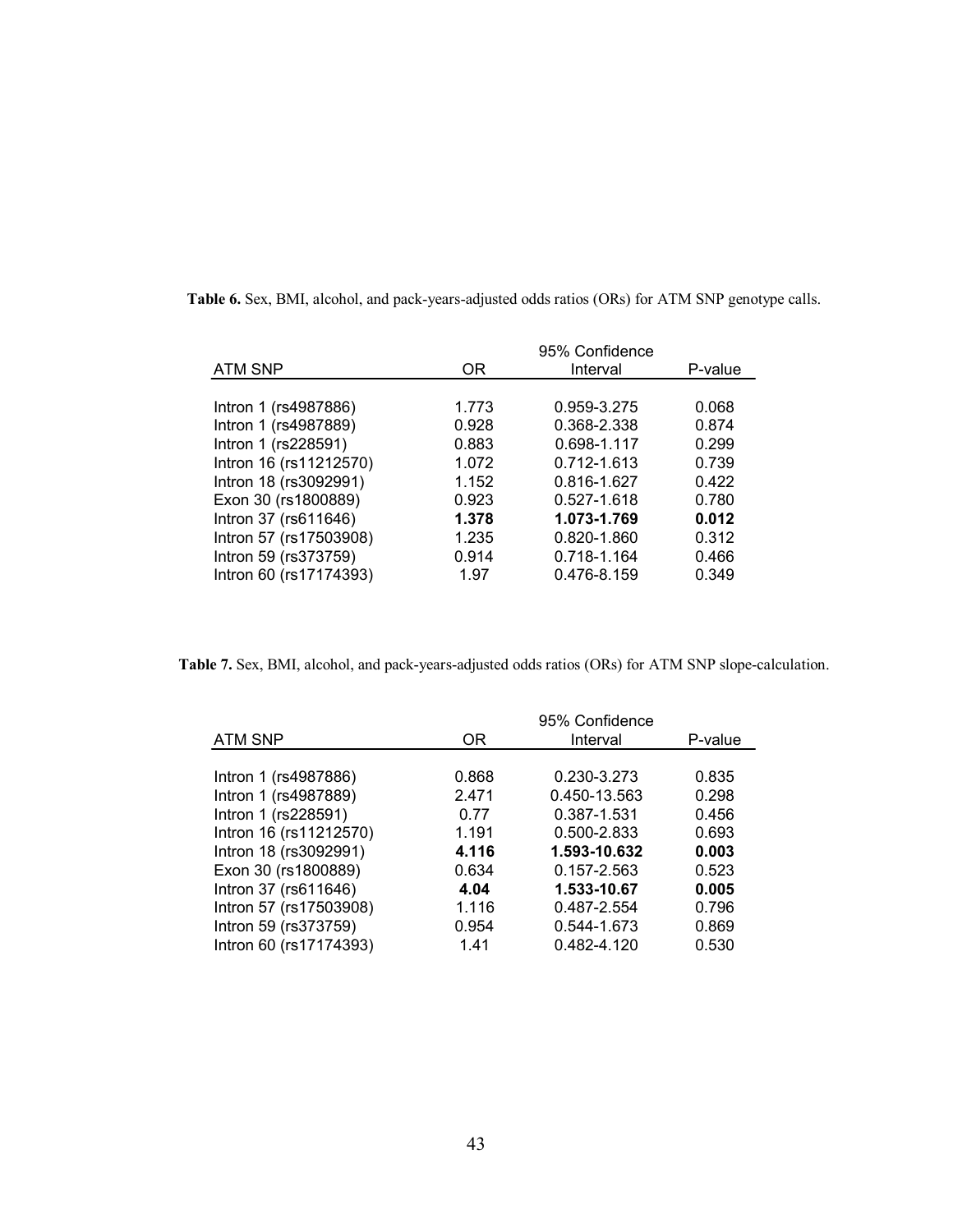| P-value |
|---------|
|         |
|         |
| 0.068   |
| 0.874   |
| 0.299   |
| 0.739   |
| 0.422   |
| 0.780   |
| 0.012   |
| 0.312   |
| 0.466   |
| 0.349   |
|         |

<span id="page-52-0"></span>**Table 6.** Sex, BMI, alcohol, and pack-years-adjusted odds ratios (ORs) for ATM SNP genotype calls.

**Table 7.** Sex, BMI, alcohol, and pack-years-adjusted odds ratios (ORs) for ATM SNP slope-calculation.

| <b>ATM SNP</b>         | OR.   | Interval     | P-value |
|------------------------|-------|--------------|---------|
|                        |       |              |         |
| Intron 1 (rs4987886)   | 0.868 | 0.230-3.273  | 0.835   |
| Intron 1 (rs4987889)   | 2.471 | 0.450-13.563 | 0.298   |
| Intron 1 (rs228591)    | 0.77  | 0.387-1.531  | 0.456   |
| Intron 16 (rs11212570) | 1.191 | 0.500-2.833  | 0.693   |
| Intron 18 (rs3092991)  | 4.116 | 1.593-10.632 | 0.003   |
| Exon 30 (rs1800889)    | 0.634 | 0.157-2.563  | 0.523   |
| Intron 37 (rs611646)   | 4.04  | 1.533-10.67  | 0.005   |
| Intron 57 (rs17503908) | 1.116 | 0.487-2.554  | 0.796   |
| Intron 59 (rs373759)   | 0.954 | 0.544-1.673  | 0.869   |
| Intron 60 (rs17174393) | 1.41  | 0.482-4.120  | 0.530   |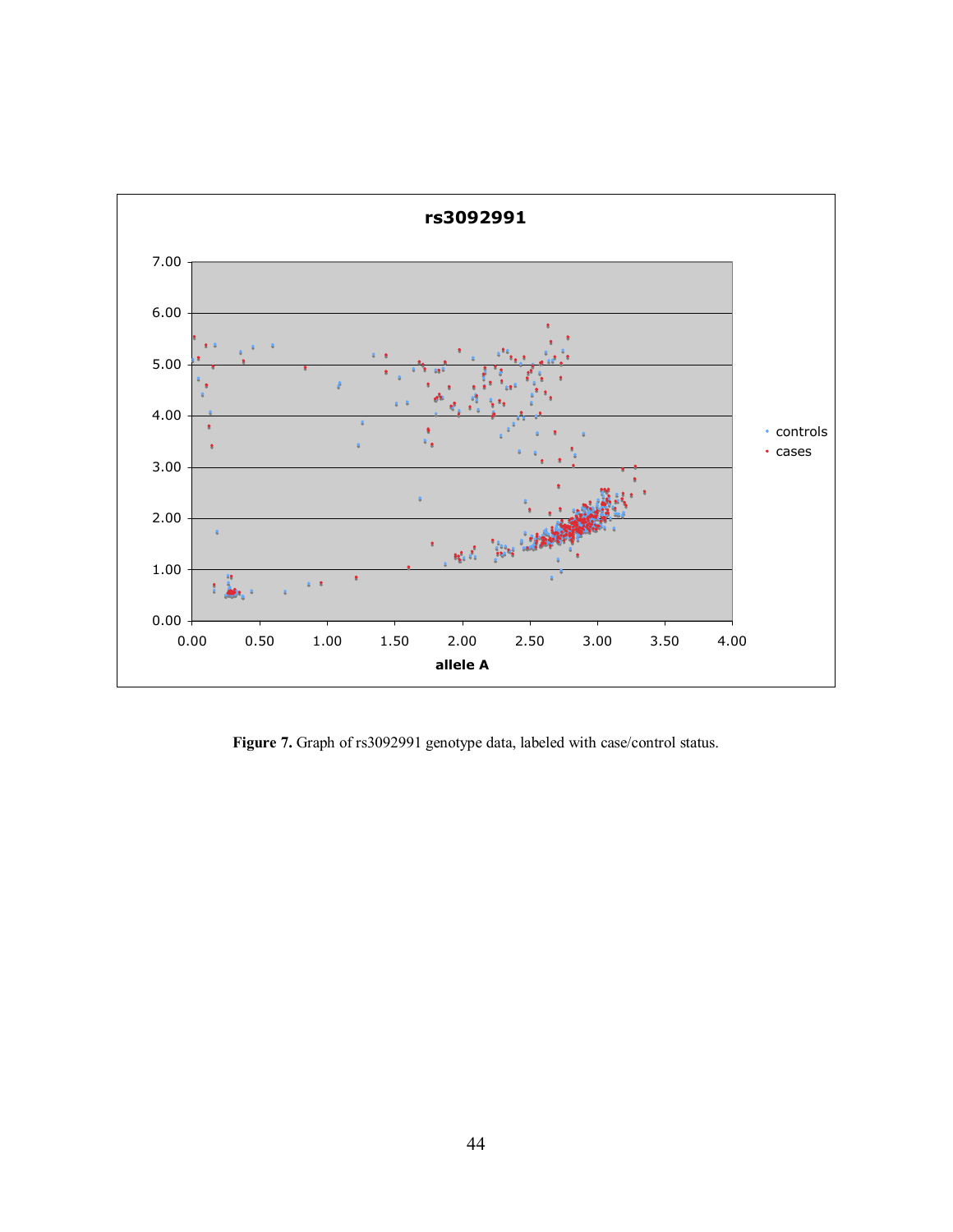<span id="page-53-0"></span>

Figure 7. Graph of rs3092991 genotype data, labeled with case/control status.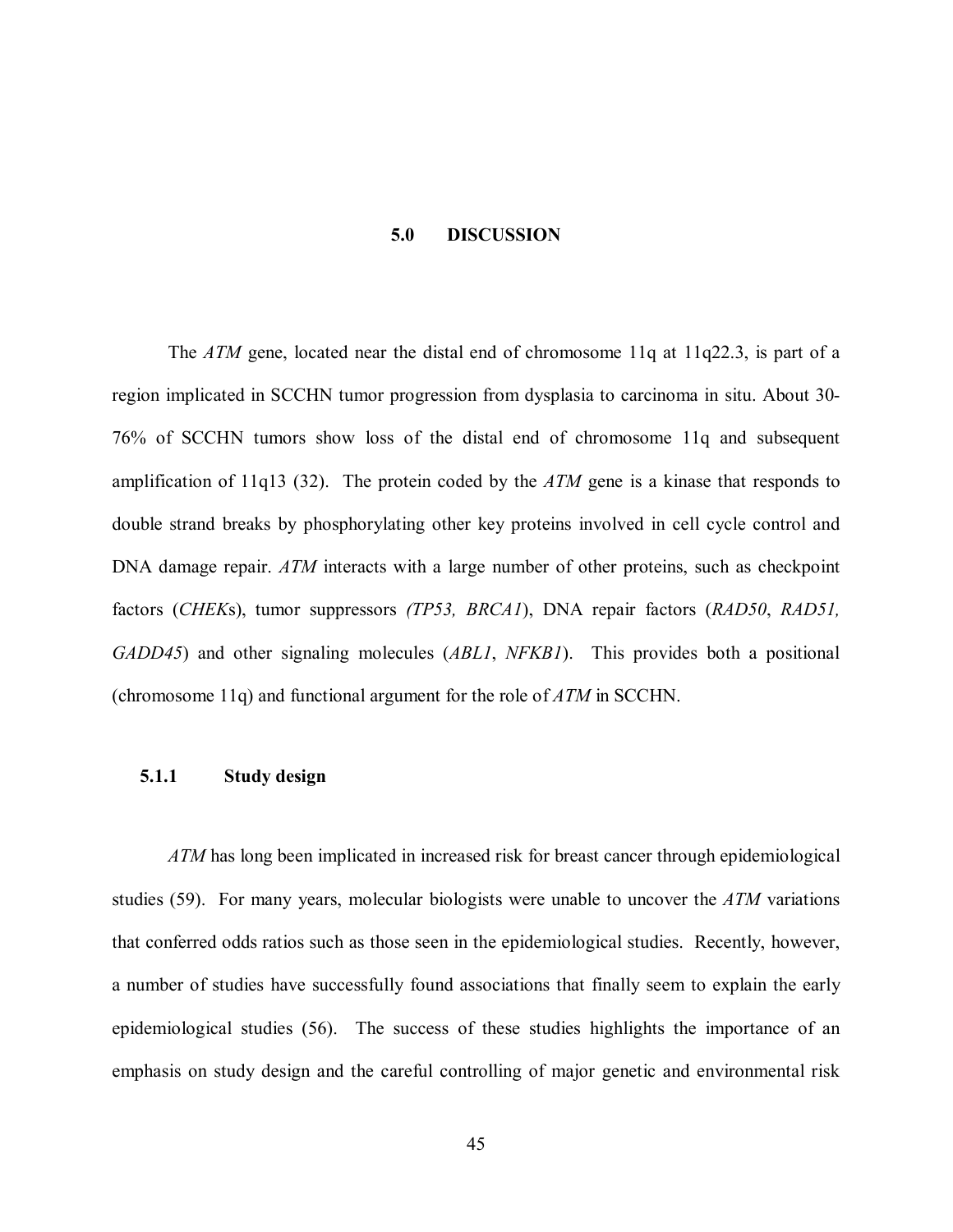#### **5.0 DISCUSSION**

<span id="page-54-0"></span>The *ATM* gene, located near the distal end of chromosome 11q at 11q22.3, is part of a region implicated in SCCHN tumor progression from dysplasia to carcinoma in situ. About 30- 76% of SCCHN tumors show loss of the distal end of chromosome 11q and subsequent amplification of 11q13 [\(32\).](#page-62-0) The protein coded by the *ATM* gene is a kinase that responds to double strand breaks by phosphorylating other key proteins involved in cell cycle control and DNA damage repair. *ATM* interacts with a large number of other proteins, such as checkpoint factors (*CHEK*s), tumor suppressors *(TP53, BRCA1*), DNA repair factors (*RAD50*, *RAD51, GADD45*) and other signaling molecules (*ABL1*, *NFKB1*). This provides both a positional (chromosome 11q) and functional argument for the role of *ATM* in SCCHN.

#### **5.1.1 Study design**

*ATM* has long been implicated in increased risk for breast cancer through epidemiological studies [\(59\).](#page-64-0) For many years, molecular biologists were unable to uncover the *ATM* variations that conferred odds ratios such as those seen in the epidemiological studies. Recently, however, a number of studies have successfully found associations that finally seem to explain the early epidemiological studies [\(56\).](#page-64-0) The success of these studies highlights the importance of an emphasis on study design and the careful controlling of major genetic and environmental risk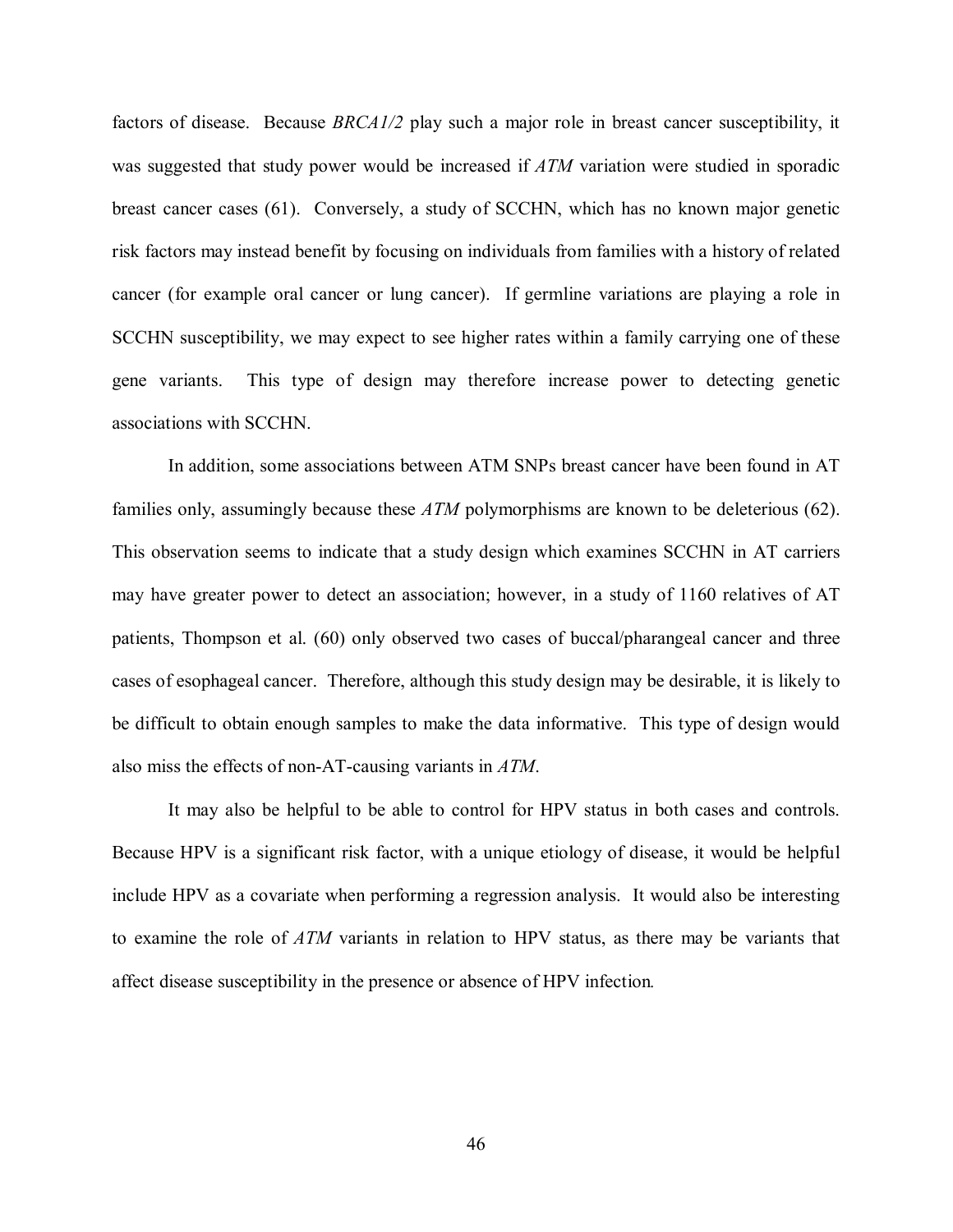factors of disease. Because *BRCA1/2* play such a major role in breast cancer susceptibility, it was suggested that study power would be increased if *ATM* variation were studied in sporadic breast cancer cases [\(61\).](#page-64-0) Conversely, a study of SCCHN, which has no known major genetic risk factors may instead benefit by focusing on individuals from families with a history of related cancer (for example oral cancer or lung cancer). If germline variations are playing a role in SCCHN susceptibility, we may expect to see higher rates within a family carrying one of these gene variants. This type of design may therefore increase power to detecting genetic associations with SCCHN.

In addition, some associations between ATM SNPs breast cancer have been found in AT families only, assumingly because these *ATM* polymorphisms are known to be deleterious [\(62\).](#page-64-0)  This observation seems to indicate that a study design which examines SCCHN in AT carriers may have greater power to detect an association; however, in a study of 1160 relatives of AT patients, Thompson et al. [\(60\)](#page-64-0) only observed two cases of buccal/pharangeal cancer and three cases of esophageal cancer. Therefore, although this study design may be desirable, it is likely to be difficult to obtain enough samples to make the data informative. This type of design would also miss the effects of non-AT-causing variants in *ATM*.

It may also be helpful to be able to control for HPV status in both cases and controls. Because HPV is a significant risk factor, with a unique etiology of disease, it would be helpful include HPV as a covariate when performing a regression analysis. It would also be interesting to examine the role of *ATM* variants in relation to HPV status, as there may be variants that affect disease susceptibility in the presence or absence of HPV infection*.*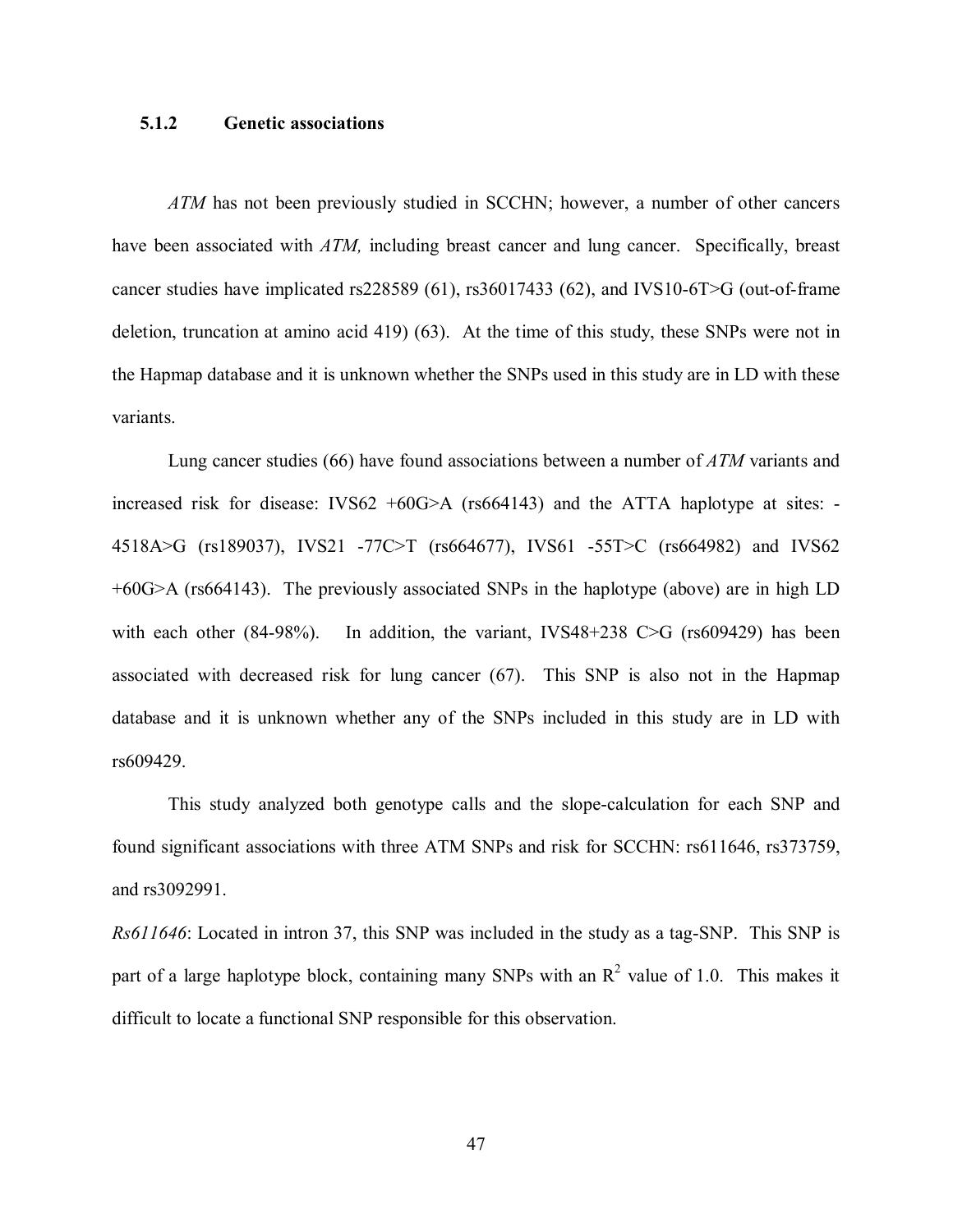# <span id="page-56-0"></span>**5.1.2 Genetic associations**

*ATM* has not been previously studied in SCCHN; however, a number of other cancers have been associated with *ATM*, including breast cancer and lung cancer. Specifically, breast cancer studies have implicated rs228589 [\(61\),](#page-64-0) rs36017433 [\(62\),](#page-64-0) and IVS10-6T>G (out-of-frame deletion, truncation at amino acid 419[\) \(63\).](#page-64-0) At the time of this study, these SNPs were not in the Hapmap database and it is unknown whether the SNPs used in this study are in LD with these variants.

 Lung cancer studies [\(66\)](#page-65-0) have found associations between a number of *ATM* variants and increased risk for disease: IVS62  $+60G>A$  (rs664143) and the ATTA haplotype at sites: -4518A>G (rs189037), IVS21 -77C>T (rs664677), IVS61 -55T>C (rs664982) and IVS62 +60G>A (rs664143). The previously associated SNPs in the haplotype (above) are in high LD with each other (84-98%). In addition, the variant, IVS48+238 C>G (rs609429) has been associated with decreased risk for lung cancer [\(67\).](#page-65-0) This SNP is also not in the Hapmap database and it is unknown whether any of the SNPs included in this study are in LD with rs609429.

This study analyzed both genotype calls and the slope-calculation for each SNP and found significant associations with three ATM SNPs and risk for SCCHN: rs611646, rs373759, and rs3092991.

*Rs611646*: Located in intron 37, this SNP was included in the study as a tag-SNP. This SNP is part of a large haplotype block, containing many SNPs with an  $R^2$  value of 1.0. This makes it difficult to locate a functional SNP responsible for this observation.

47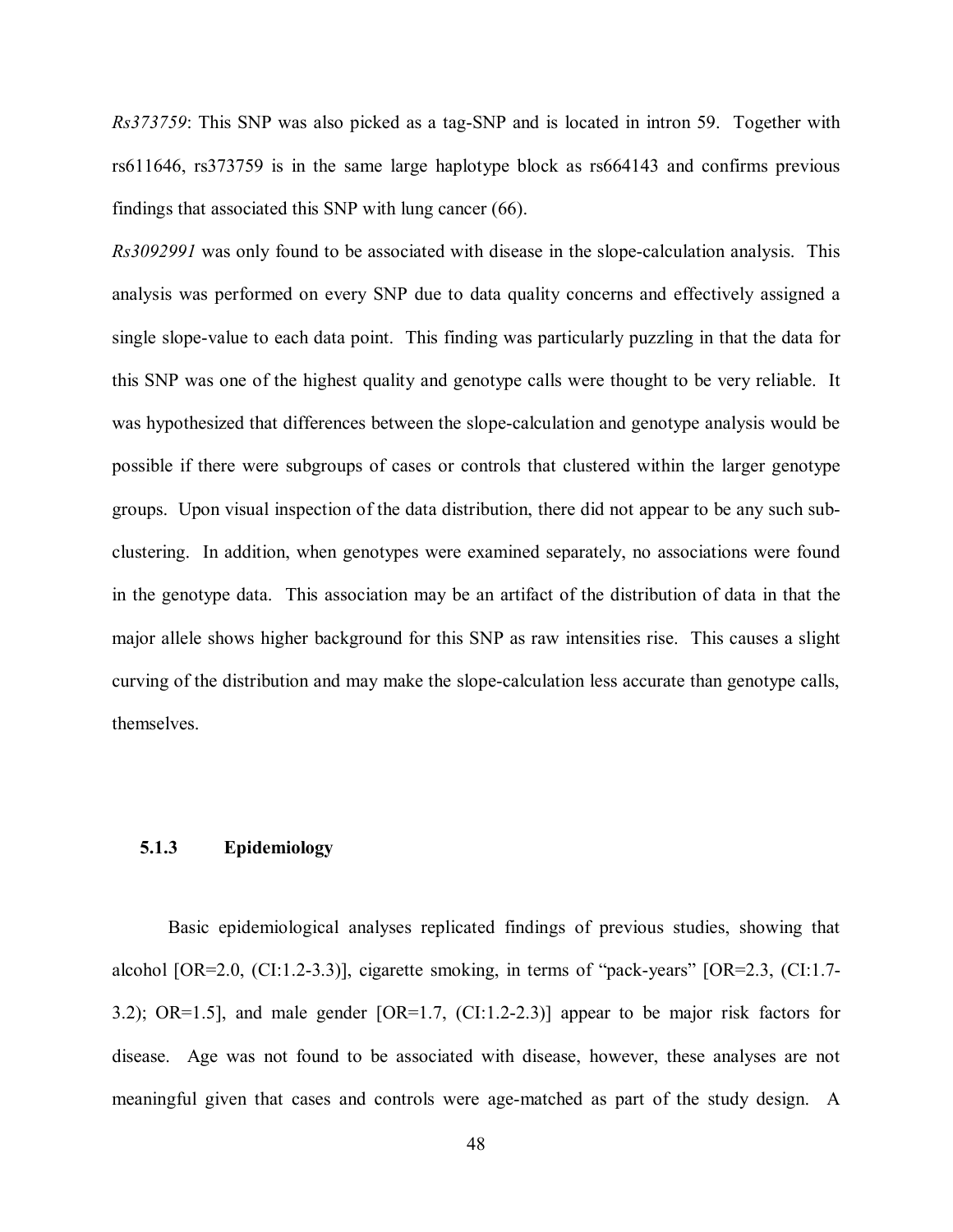<span id="page-57-0"></span>*Rs373759*: This SNP was also picked as a tag-SNP and is located in intron 59. Together with rs611646, rs373759 is in the same large haplotype block as rs664143 and confirms previous findings that associated this SNP with lung cancer [\(66\).](#page-65-0)

*Rs3092991* was only found to be associated with disease in the slope-calculation analysis. This analysis was performed on every SNP due to data quality concerns and effectively assigned a single slope-value to each data point. This finding was particularly puzzling in that the data for this SNP was one of the highest quality and genotype calls were thought to be very reliable. It was hypothesized that differences between the slope-calculation and genotype analysis would be possible if there were subgroups of cases or controls that clustered within the larger genotype groups. Upon visual inspection of the data distribution, there did not appear to be any such subclustering. In addition, when genotypes were examined separately, no associations were found in the genotype data. This association may be an artifact of the distribution of data in that the major allele shows higher background for this SNP as raw intensities rise. This causes a slight curving of the distribution and may make the slope-calculation less accurate than genotype calls, themselves.

# **5.1.3 Epidemiology**

Basic epidemiological analyses replicated findings of previous studies, showing that alcohol  $[OR=2.0, (CI:1.2-3.3)]$ , cigarette smoking, in terms of "pack-years"  $[OR=2.3, (CI:1.7-3.3)]$ 3.2); OR=1.5], and male gender [OR=1.7, (CI:1.2-2.3)] appear to be major risk factors for disease. Age was not found to be associated with disease, however, these analyses are not meaningful given that cases and controls were age-matched as part of the study design. A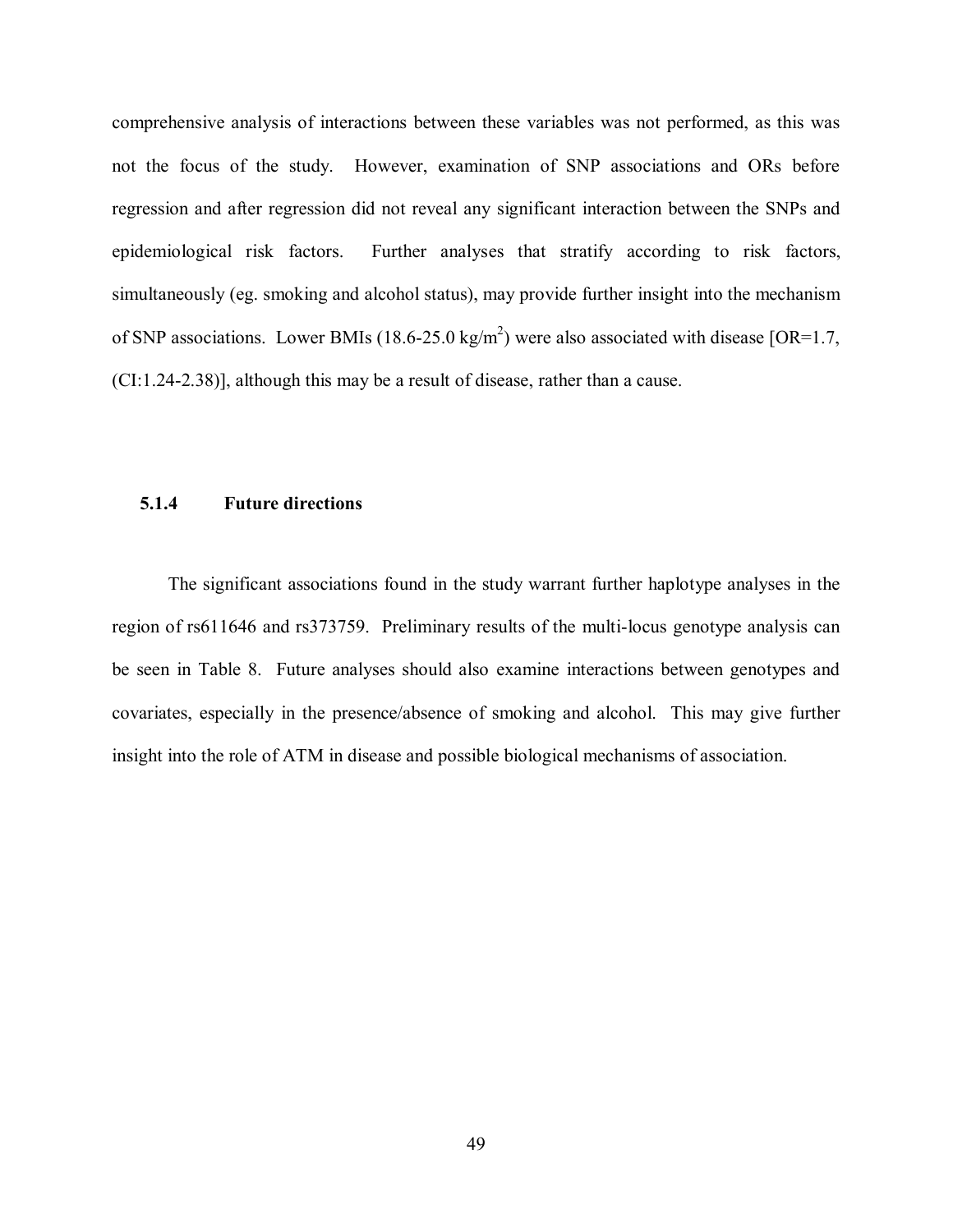<span id="page-58-0"></span>comprehensive analysis of interactions between these variables was not performed, as this was not the focus of the study. However, examination of SNP associations and ORs before regression and after regression did not reveal any significant interaction between the SNPs and epidemiological risk factors. Further analyses that stratify according to risk factors, simultaneously (eg. smoking and alcohol status), may provide further insight into the mechanism of SNP associations. Lower BMIs (18.6-25.0 kg/m<sup>2</sup>) were also associated with disease [OR=1.7, (CI:1.24-2.38)], although this may be a result of disease, rather than a cause.

## **5.1.4 Future directions**

The significant associations found in the study warrant further haplotype analyses in the region of rs611646 and rs373759. Preliminary results of the multi-locus genotype analysis can be seen in Table 8. Future analyses should also examine interactions between genotypes and covariates, especially in the presence/absence of smoking and alcohol. This may give further insight into the role of ATM in disease and possible biological mechanisms of association.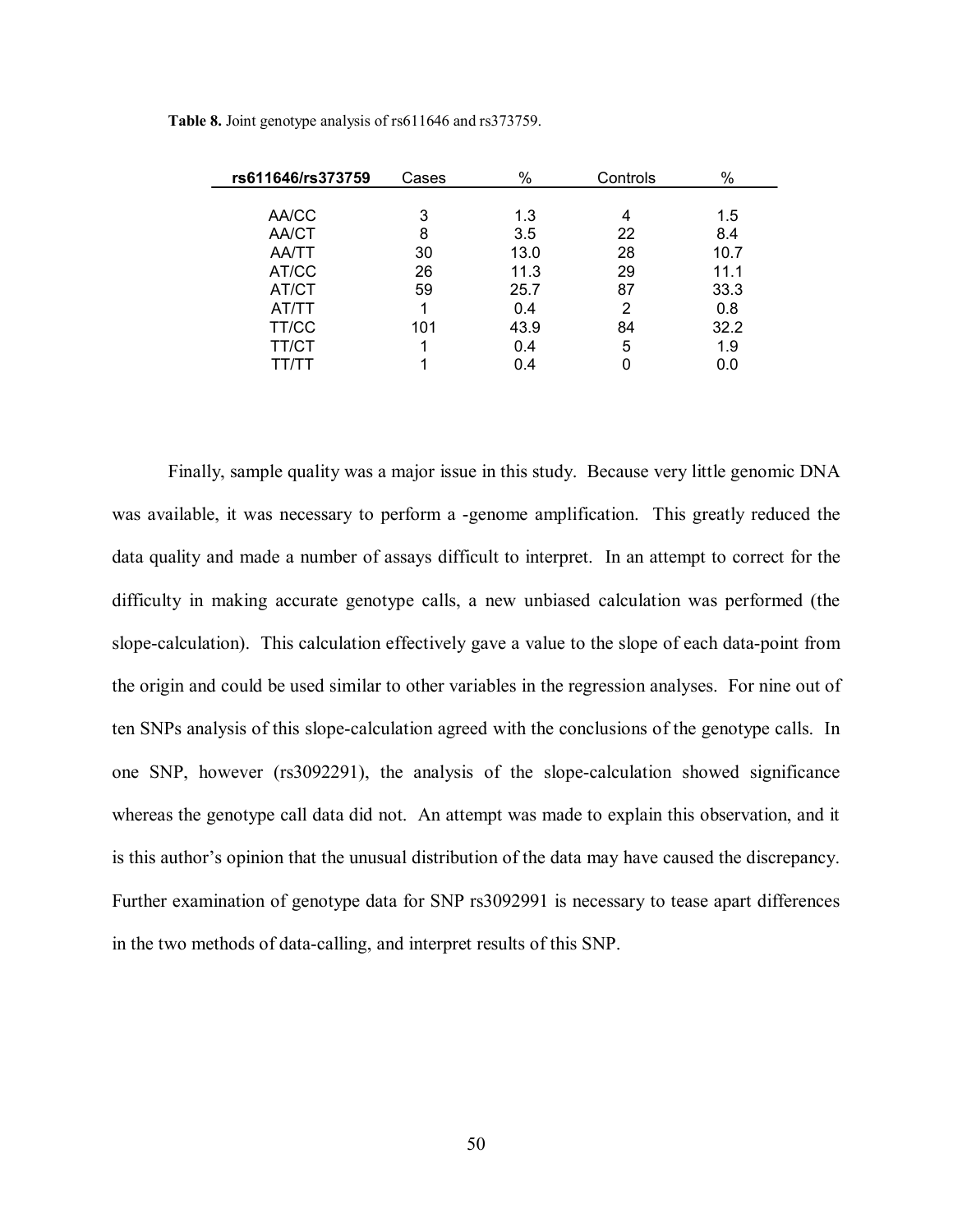| rs611646/rs373759 | Cases | $\%$ | Controls | %    |
|-------------------|-------|------|----------|------|
|                   |       |      |          |      |
| AA/CC             | 3     | 1.3  | 4        | 1.5  |
| <b>AA/CT</b>      | 8     | 3.5  | 22       | 8.4  |
| <b>AA/TT</b>      | 30    | 13.0 | 28       | 10.7 |
| AT/CC             | 26    | 11.3 | 29       | 11.1 |
| AT/CT             | 59    | 25.7 | 87       | 33.3 |
| AT/TT             |       | 0.4  | 2        | 0.8  |
| TT/CC             | 101   | 43.9 | 84       | 32.2 |
| <b>TT/CT</b>      |       | 0.4  | 5        | 1.9  |
| TT/TT             |       | 0.4  | 0        | 0.0  |

<span id="page-59-0"></span>**Table 8.** Joint genotype analysis of rs611646 and rs373759.

Finally, sample quality was a major issue in this study. Because very little genomic DNA was available, it was necessary to perform a -genome amplification. This greatly reduced the data quality and made a number of assays difficult to interpret. In an attempt to correct for the difficulty in making accurate genotype calls, a new unbiased calculation was performed (the slope-calculation). This calculation effectively gave a value to the slope of each data-point from the origin and could be used similar to other variables in the regression analyses. For nine out of ten SNPs analysis of this slope-calculation agreed with the conclusions of the genotype calls. In one SNP, however (rs3092291), the analysis of the slope-calculation showed significance whereas the genotype call data did not. An attempt was made to explain this observation, and it is this author's opinion that the unusual distribution of the data may have caused the discrepancy. Further examination of genotype data for SNP rs3092991 is necessary to tease apart differences in the two methods of data-calling, and interpret results of this SNP.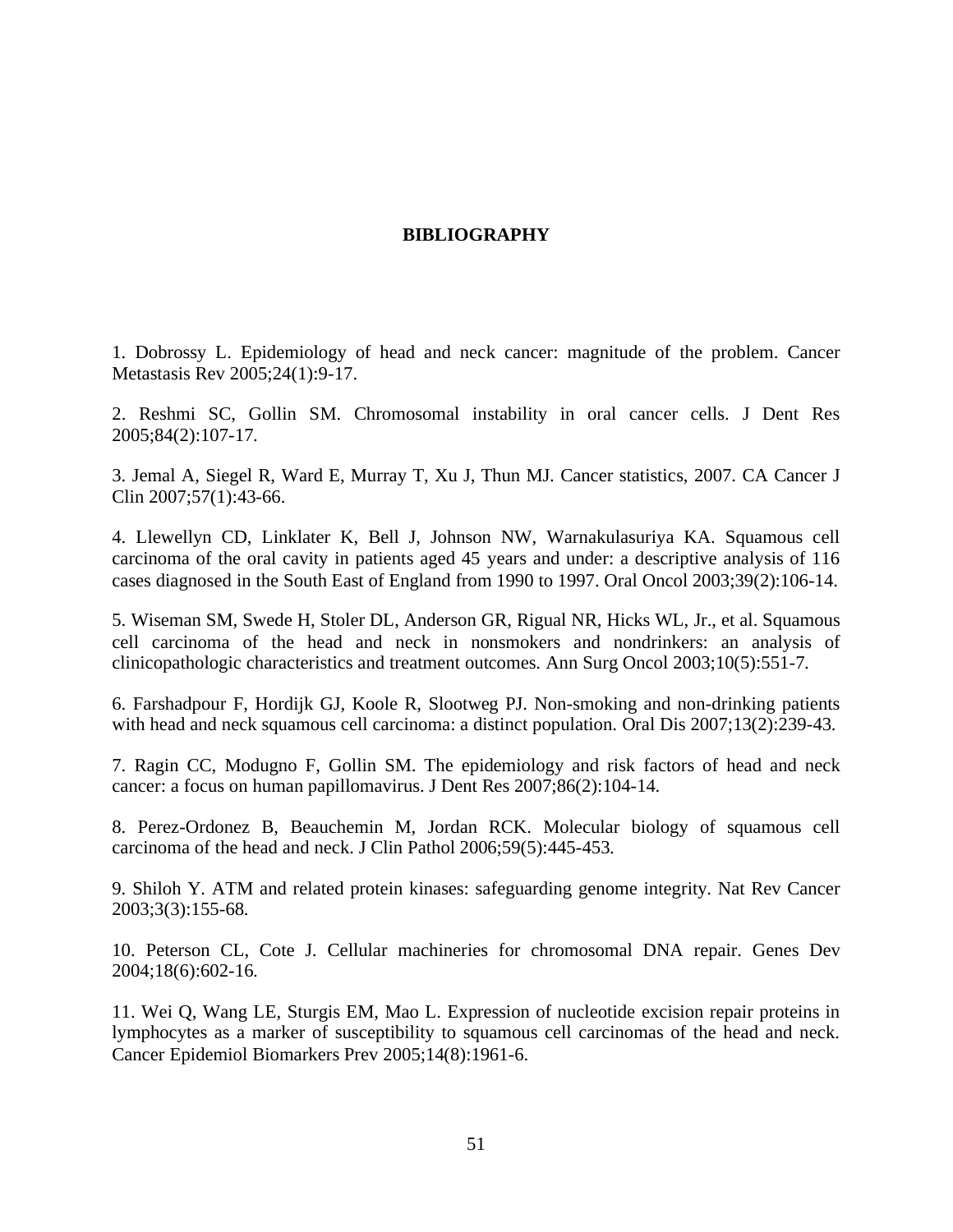# **BIBLIOGRAPHY**

<span id="page-60-0"></span>1. Dobrossy L. Epidemiology of head and neck cancer: magnitude of the problem. Cancer Metastasis Rev 2005;24(1):9-17.

2. Reshmi SC, Gollin SM. Chromosomal instability in oral cancer cells. J Dent Res 2005;84(2):107-17.

3. Jemal A, Siegel R, Ward E, Murray T, Xu J, Thun MJ. Cancer statistics, 2007. CA Cancer J Clin 2007;57(1):43-66.

4. Llewellyn CD, Linklater K, Bell J, Johnson NW, Warnakulasuriya KA. Squamous cell carcinoma of the oral cavity in patients aged 45 years and under: a descriptive analysis of 116 cases diagnosed in the South East of England from 1990 to 1997. Oral Oncol 2003;39(2):106-14.

5. Wiseman SM, Swede H, Stoler DL, Anderson GR, Rigual NR, Hicks WL, Jr., et al. Squamous cell carcinoma of the head and neck in nonsmokers and nondrinkers: an analysis of clinicopathologic characteristics and treatment outcomes. Ann Surg Oncol 2003;10(5):551-7.

6. Farshadpour F, Hordijk GJ, Koole R, Slootweg PJ. Non-smoking and non-drinking patients with head and neck squamous cell carcinoma: a distinct population. Oral Dis 2007;13(2):239-43.

7. Ragin CC, Modugno F, Gollin SM. The epidemiology and risk factors of head and neck cancer: a focus on human papillomavirus. J Dent Res 2007;86(2):104-14.

8. Perez-Ordonez B, Beauchemin M, Jordan RCK. Molecular biology of squamous cell carcinoma of the head and neck. J Clin Pathol 2006;59(5):445-453.

9. Shiloh Y. ATM and related protein kinases: safeguarding genome integrity. Nat Rev Cancer 2003;3(3):155-68.

10. Peterson CL, Cote J. Cellular machineries for chromosomal DNA repair. Genes Dev 2004;18(6):602-16.

11. Wei Q, Wang LE, Sturgis EM, Mao L. Expression of nucleotide excision repair proteins in lymphocytes as a marker of susceptibility to squamous cell carcinomas of the head and neck. Cancer Epidemiol Biomarkers Prev 2005;14(8):1961-6.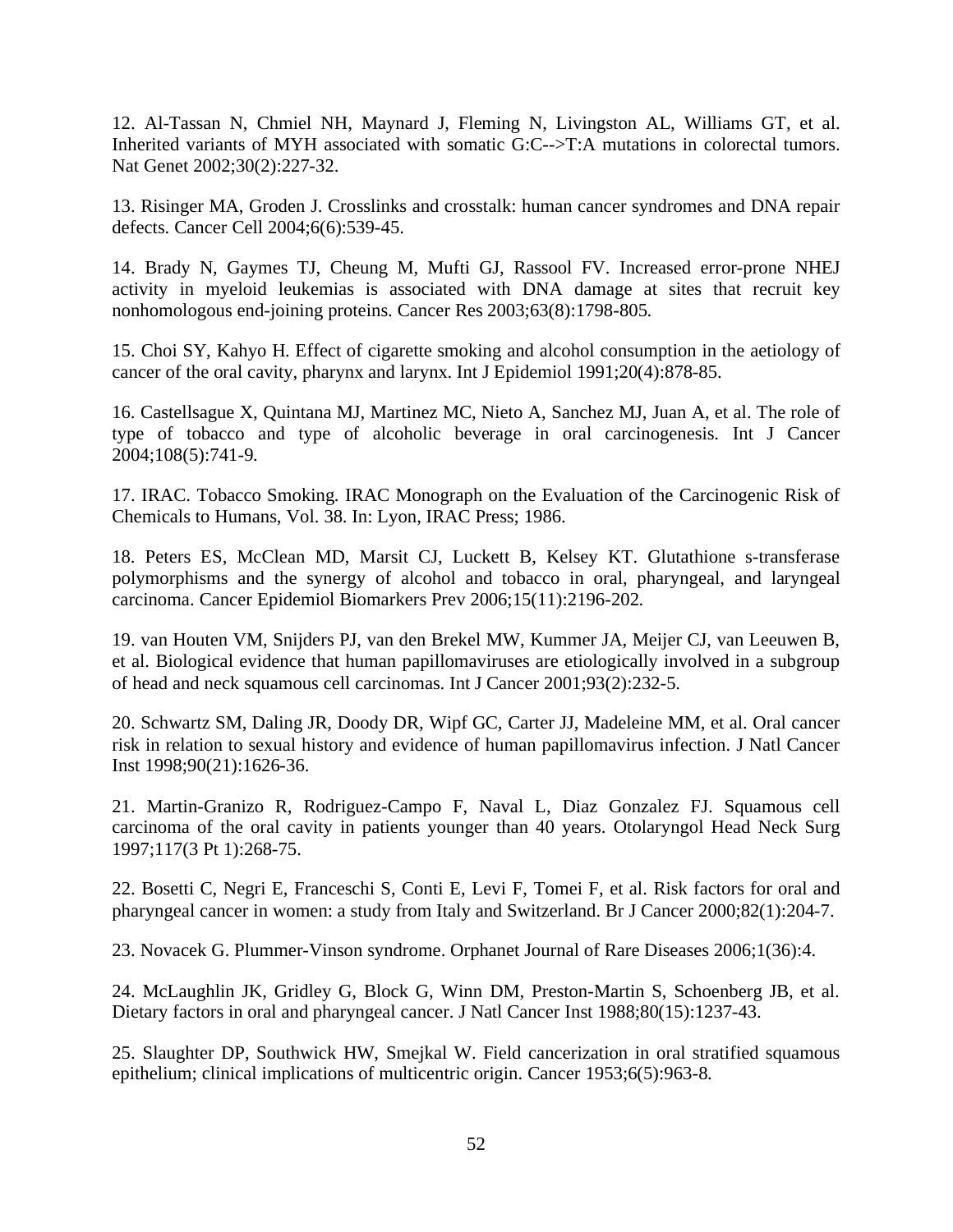<span id="page-61-0"></span>12. Al-Tassan N, Chmiel NH, Maynard J, Fleming N, Livingston AL, Williams GT, et al. Inherited variants of MYH associated with somatic G:C-->T:A mutations in colorectal tumors. Nat Genet 2002;30(2):227-32.

13. Risinger MA, Groden J. Crosslinks and crosstalk: human cancer syndromes and DNA repair defects. Cancer Cell 2004;6(6):539-45.

14. Brady N, Gaymes TJ, Cheung M, Mufti GJ, Rassool FV. Increased error-prone NHEJ activity in myeloid leukemias is associated with DNA damage at sites that recruit key nonhomologous end-joining proteins. Cancer Res 2003;63(8):1798-805.

15. Choi SY, Kahyo H. Effect of cigarette smoking and alcohol consumption in the aetiology of cancer of the oral cavity, pharynx and larynx. Int J Epidemiol 1991;20(4):878-85.

16. Castellsague X, Quintana MJ, Martinez MC, Nieto A, Sanchez MJ, Juan A, et al. The role of type of tobacco and type of alcoholic beverage in oral carcinogenesis. Int J Cancer 2004;108(5):741-9.

17. IRAC. Tobacco Smoking. IRAC Monograph on the Evaluation of the Carcinogenic Risk of Chemicals to Humans, Vol. 38. In: Lyon, IRAC Press; 1986.

18. Peters ES, McClean MD, Marsit CJ, Luckett B, Kelsey KT. Glutathione s-transferase polymorphisms and the synergy of alcohol and tobacco in oral, pharyngeal, and laryngeal carcinoma. Cancer Epidemiol Biomarkers Prev 2006;15(11):2196-202.

19. van Houten VM, Snijders PJ, van den Brekel MW, Kummer JA, Meijer CJ, van Leeuwen B, et al. Biological evidence that human papillomaviruses are etiologically involved in a subgroup of head and neck squamous cell carcinomas. Int J Cancer 2001;93(2):232-5.

20. Schwartz SM, Daling JR, Doody DR, Wipf GC, Carter JJ, Madeleine MM, et al. Oral cancer risk in relation to sexual history and evidence of human papillomavirus infection. J Natl Cancer Inst 1998;90(21):1626-36.

21. Martin-Granizo R, Rodriguez-Campo F, Naval L, Diaz Gonzalez FJ. Squamous cell carcinoma of the oral cavity in patients younger than 40 years. Otolaryngol Head Neck Surg 1997;117(3 Pt 1):268-75.

22. Bosetti C, Negri E, Franceschi S, Conti E, Levi F, Tomei F, et al. Risk factors for oral and pharyngeal cancer in women: a study from Italy and Switzerland. Br J Cancer 2000;82(1):204-7.

23. Novacek G. Plummer-Vinson syndrome. Orphanet Journal of Rare Diseases 2006;1(36):4.

24. McLaughlin JK, Gridley G, Block G, Winn DM, Preston-Martin S, Schoenberg JB, et al. Dietary factors in oral and pharyngeal cancer. J Natl Cancer Inst 1988;80(15):1237-43.

25. Slaughter DP, Southwick HW, Smejkal W. Field cancerization in oral stratified squamous epithelium; clinical implications of multicentric origin. Cancer 1953;6(5):963-8.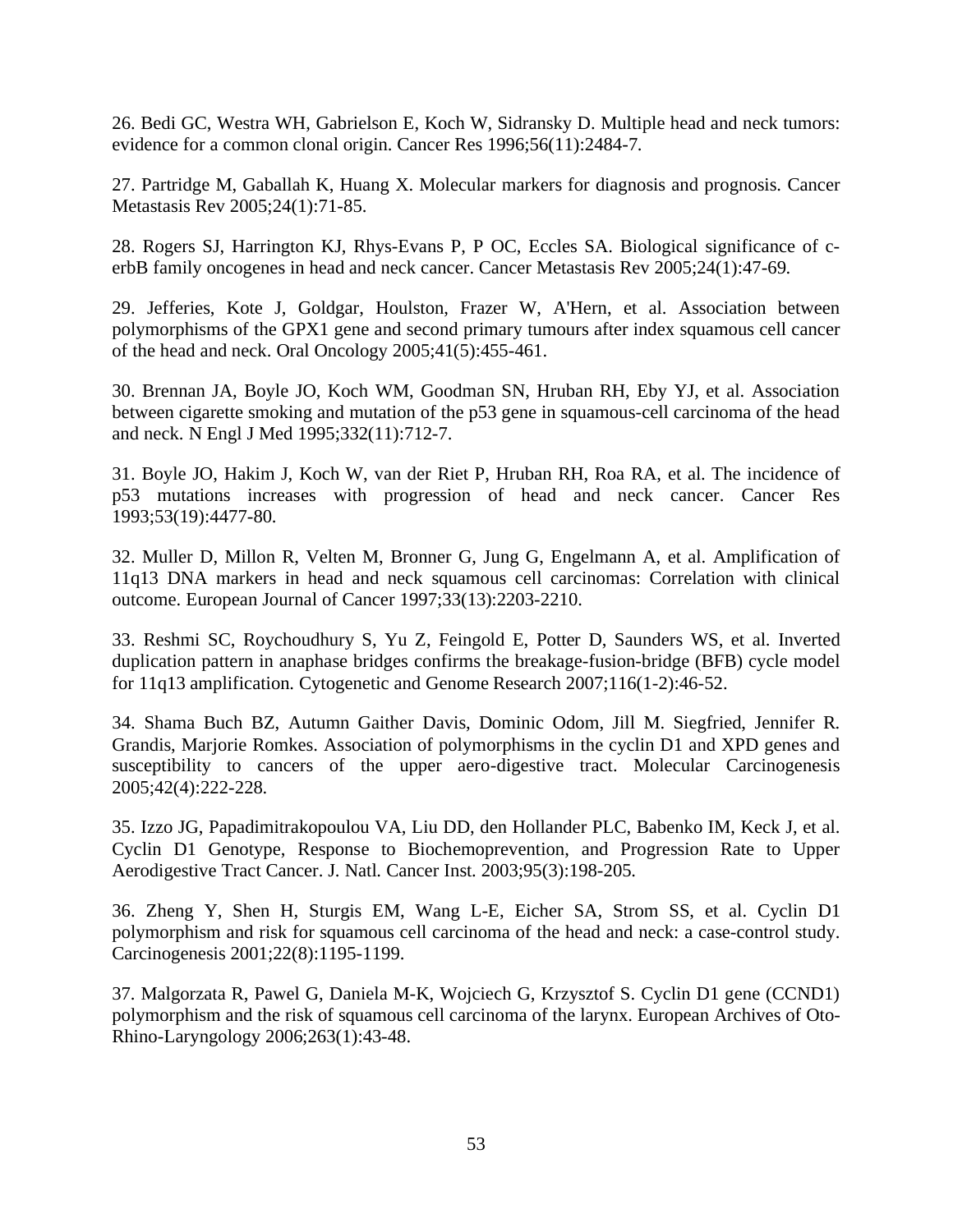<span id="page-62-0"></span>26. Bedi GC, Westra WH, Gabrielson E, Koch W, Sidransky D. Multiple head and neck tumors: evidence for a common clonal origin. Cancer Res 1996;56(11):2484-7.

27. Partridge M, Gaballah K, Huang X. Molecular markers for diagnosis and prognosis. Cancer Metastasis Rev 2005;24(1):71-85.

28. Rogers SJ, Harrington KJ, Rhys-Evans P, P OC, Eccles SA. Biological significance of cerbB family oncogenes in head and neck cancer. Cancer Metastasis Rev 2005;24(1):47-69.

29. Jefferies, Kote J, Goldgar, Houlston, Frazer W, A'Hern, et al. Association between polymorphisms of the GPX1 gene and second primary tumours after index squamous cell cancer of the head and neck. Oral Oncology 2005;41(5):455-461.

30. Brennan JA, Boyle JO, Koch WM, Goodman SN, Hruban RH, Eby YJ, et al. Association between cigarette smoking and mutation of the p53 gene in squamous-cell carcinoma of the head and neck. N Engl J Med 1995;332(11):712-7.

31. Boyle JO, Hakim J, Koch W, van der Riet P, Hruban RH, Roa RA, et al. The incidence of p53 mutations increases with progression of head and neck cancer. Cancer Res 1993;53(19):4477-80.

32. Muller D, Millon R, Velten M, Bronner G, Jung G, Engelmann A, et al. Amplification of 11q13 DNA markers in head and neck squamous cell carcinomas: Correlation with clinical outcome. European Journal of Cancer 1997;33(13):2203-2210.

33. Reshmi SC, Roychoudhury S, Yu Z, Feingold E, Potter D, Saunders WS, et al. Inverted duplication pattern in anaphase bridges confirms the breakage-fusion-bridge (BFB) cycle model for 11q13 amplification. Cytogenetic and Genome Research 2007;116(1-2):46-52.

34. Shama Buch BZ, Autumn Gaither Davis, Dominic Odom, Jill M. Siegfried, Jennifer R. Grandis, Marjorie Romkes. Association of polymorphisms in the cyclin D1 and XPD genes and susceptibility to cancers of the upper aero-digestive tract. Molecular Carcinogenesis 2005;42(4):222-228.

35. Izzo JG, Papadimitrakopoulou VA, Liu DD, den Hollander PLC, Babenko IM, Keck J, et al. Cyclin D1 Genotype, Response to Biochemoprevention, and Progression Rate to Upper Aerodigestive Tract Cancer. J. Natl. Cancer Inst. 2003;95(3):198-205.

36. Zheng Y, Shen H, Sturgis EM, Wang L-E, Eicher SA, Strom SS, et al. Cyclin D1 polymorphism and risk for squamous cell carcinoma of the head and neck: a case-control study. Carcinogenesis 2001;22(8):1195-1199.

37. Malgorzata R, Pawel G, Daniela M-K, Wojciech G, Krzysztof S. Cyclin D1 gene (CCND1) polymorphism and the risk of squamous cell carcinoma of the larynx. European Archives of Oto-Rhino-Laryngology 2006;263(1):43-48.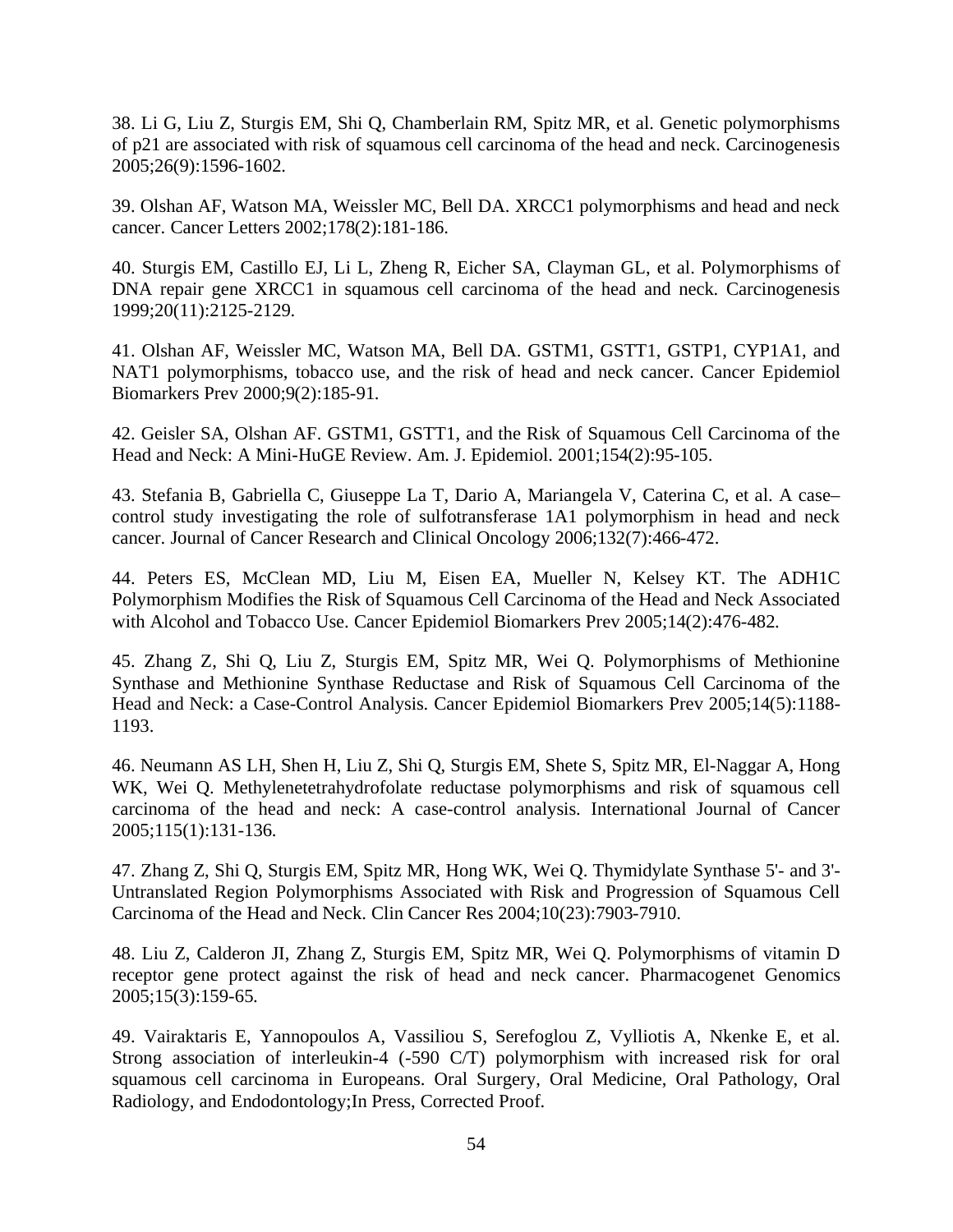<span id="page-63-0"></span>38. Li G, Liu Z, Sturgis EM, Shi Q, Chamberlain RM, Spitz MR, et al. Genetic polymorphisms of p21 are associated with risk of squamous cell carcinoma of the head and neck. Carcinogenesis 2005;26(9):1596-1602.

39. Olshan AF, Watson MA, Weissler MC, Bell DA. XRCC1 polymorphisms and head and neck cancer. Cancer Letters 2002;178(2):181-186.

40. Sturgis EM, Castillo EJ, Li L, Zheng R, Eicher SA, Clayman GL, et al. Polymorphisms of DNA repair gene XRCC1 in squamous cell carcinoma of the head and neck. Carcinogenesis 1999;20(11):2125-2129.

41. Olshan AF, Weissler MC, Watson MA, Bell DA. GSTM1, GSTT1, GSTP1, CYP1A1, and NAT1 polymorphisms, tobacco use, and the risk of head and neck cancer. Cancer Epidemiol Biomarkers Prev 2000;9(2):185-91.

42. Geisler SA, Olshan AF. GSTM1, GSTT1, and the Risk of Squamous Cell Carcinoma of the Head and Neck: A Mini-HuGE Review. Am. J. Epidemiol. 2001;154(2):95-105.

43. Stefania B, Gabriella C, Giuseppe La T, Dario A, Mariangela V, Caterina C, et al. A case– control study investigating the role of sulfotransferase 1A1 polymorphism in head and neck cancer. Journal of Cancer Research and Clinical Oncology 2006;132(7):466-472.

44. Peters ES, McClean MD, Liu M, Eisen EA, Mueller N, Kelsey KT. The ADH1C Polymorphism Modifies the Risk of Squamous Cell Carcinoma of the Head and Neck Associated with Alcohol and Tobacco Use. Cancer Epidemiol Biomarkers Prev 2005;14(2):476-482.

45. Zhang Z, Shi Q, Liu Z, Sturgis EM, Spitz MR, Wei Q. Polymorphisms of Methionine Synthase and Methionine Synthase Reductase and Risk of Squamous Cell Carcinoma of the Head and Neck: a Case-Control Analysis. Cancer Epidemiol Biomarkers Prev 2005;14(5):1188- 1193.

46. Neumann AS LH, Shen H, Liu Z, Shi Q, Sturgis EM, Shete S, Spitz MR, El-Naggar A, Hong WK, Wei Q. Methylenetetrahydrofolate reductase polymorphisms and risk of squamous cell carcinoma of the head and neck: A case-control analysis. International Journal of Cancer 2005;115(1):131-136.

47. Zhang Z, Shi Q, Sturgis EM, Spitz MR, Hong WK, Wei Q. Thymidylate Synthase 5'- and 3'- Untranslated Region Polymorphisms Associated with Risk and Progression of Squamous Cell Carcinoma of the Head and Neck. Clin Cancer Res 2004;10(23):7903-7910.

48. Liu Z, Calderon JI, Zhang Z, Sturgis EM, Spitz MR, Wei Q. Polymorphisms of vitamin D receptor gene protect against the risk of head and neck cancer. Pharmacogenet Genomics 2005;15(3):159-65.

49. Vairaktaris E, Yannopoulos A, Vassiliou S, Serefoglou Z, Vylliotis A, Nkenke E, et al. Strong association of interleukin-4 (-590 C/T) polymorphism with increased risk for oral squamous cell carcinoma in Europeans. Oral Surgery, Oral Medicine, Oral Pathology, Oral Radiology, and Endodontology;In Press, Corrected Proof.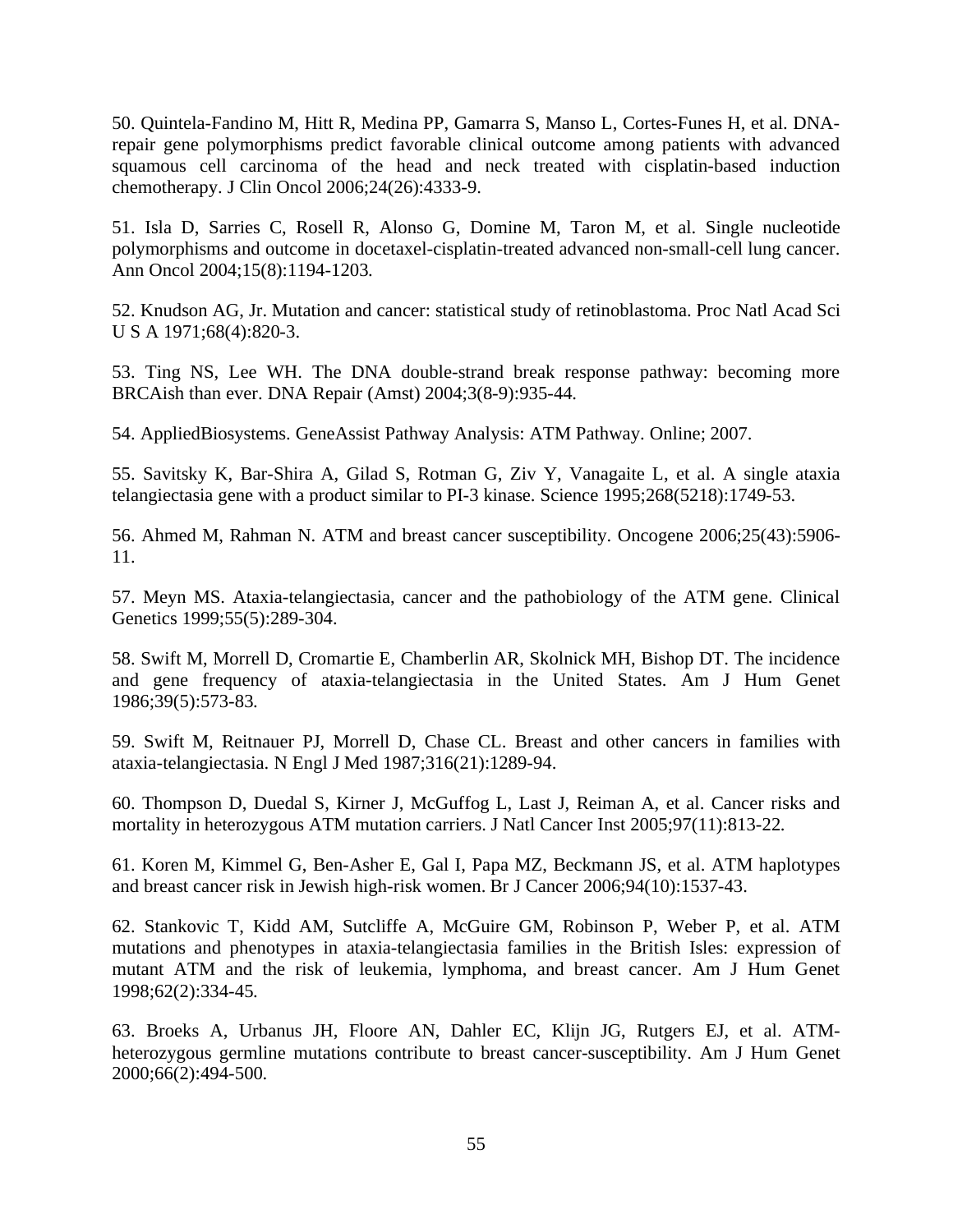<span id="page-64-0"></span>50. Quintela-Fandino M, Hitt R, Medina PP, Gamarra S, Manso L, Cortes-Funes H, et al. DNArepair gene polymorphisms predict favorable clinical outcome among patients with advanced squamous cell carcinoma of the head and neck treated with cisplatin-based induction chemotherapy. J Clin Oncol 2006;24(26):4333-9.

51. Isla D, Sarries C, Rosell R, Alonso G, Domine M, Taron M, et al. Single nucleotide polymorphisms and outcome in docetaxel-cisplatin-treated advanced non-small-cell lung cancer. Ann Oncol 2004;15(8):1194-1203.

52. Knudson AG, Jr. Mutation and cancer: statistical study of retinoblastoma. Proc Natl Acad Sci U S A 1971;68(4):820-3.

53. Ting NS, Lee WH. The DNA double-strand break response pathway: becoming more BRCAish than ever. DNA Repair (Amst) 2004;3(8-9):935-44.

54. AppliedBiosystems. GeneAssist Pathway Analysis: ATM Pathway. Online; 2007.

55. Savitsky K, Bar-Shira A, Gilad S, Rotman G, Ziv Y, Vanagaite L, et al. A single ataxia telangiectasia gene with a product similar to PI-3 kinase. Science 1995;268(5218):1749-53.

56. Ahmed M, Rahman N. ATM and breast cancer susceptibility. Oncogene 2006;25(43):5906- 11.

57. Meyn MS. Ataxia-telangiectasia, cancer and the pathobiology of the ATM gene. Clinical Genetics 1999;55(5):289-304.

58. Swift M, Morrell D, Cromartie E, Chamberlin AR, Skolnick MH, Bishop DT. The incidence and gene frequency of ataxia-telangiectasia in the United States. Am J Hum Genet 1986;39(5):573-83.

59. Swift M, Reitnauer PJ, Morrell D, Chase CL. Breast and other cancers in families with ataxia-telangiectasia. N Engl J Med 1987;316(21):1289-94.

60. Thompson D, Duedal S, Kirner J, McGuffog L, Last J, Reiman A, et al. Cancer risks and mortality in heterozygous ATM mutation carriers. J Natl Cancer Inst 2005;97(11):813-22.

61. Koren M, Kimmel G, Ben-Asher E, Gal I, Papa MZ, Beckmann JS, et al. ATM haplotypes and breast cancer risk in Jewish high-risk women. Br J Cancer 2006;94(10):1537-43.

62. Stankovic T, Kidd AM, Sutcliffe A, McGuire GM, Robinson P, Weber P, et al. ATM mutations and phenotypes in ataxia-telangiectasia families in the British Isles: expression of mutant ATM and the risk of leukemia, lymphoma, and breast cancer. Am J Hum Genet 1998;62(2):334-45.

63. Broeks A, Urbanus JH, Floore AN, Dahler EC, Klijn JG, Rutgers EJ, et al. ATMheterozygous germline mutations contribute to breast cancer-susceptibility. Am J Hum Genet 2000;66(2):494-500.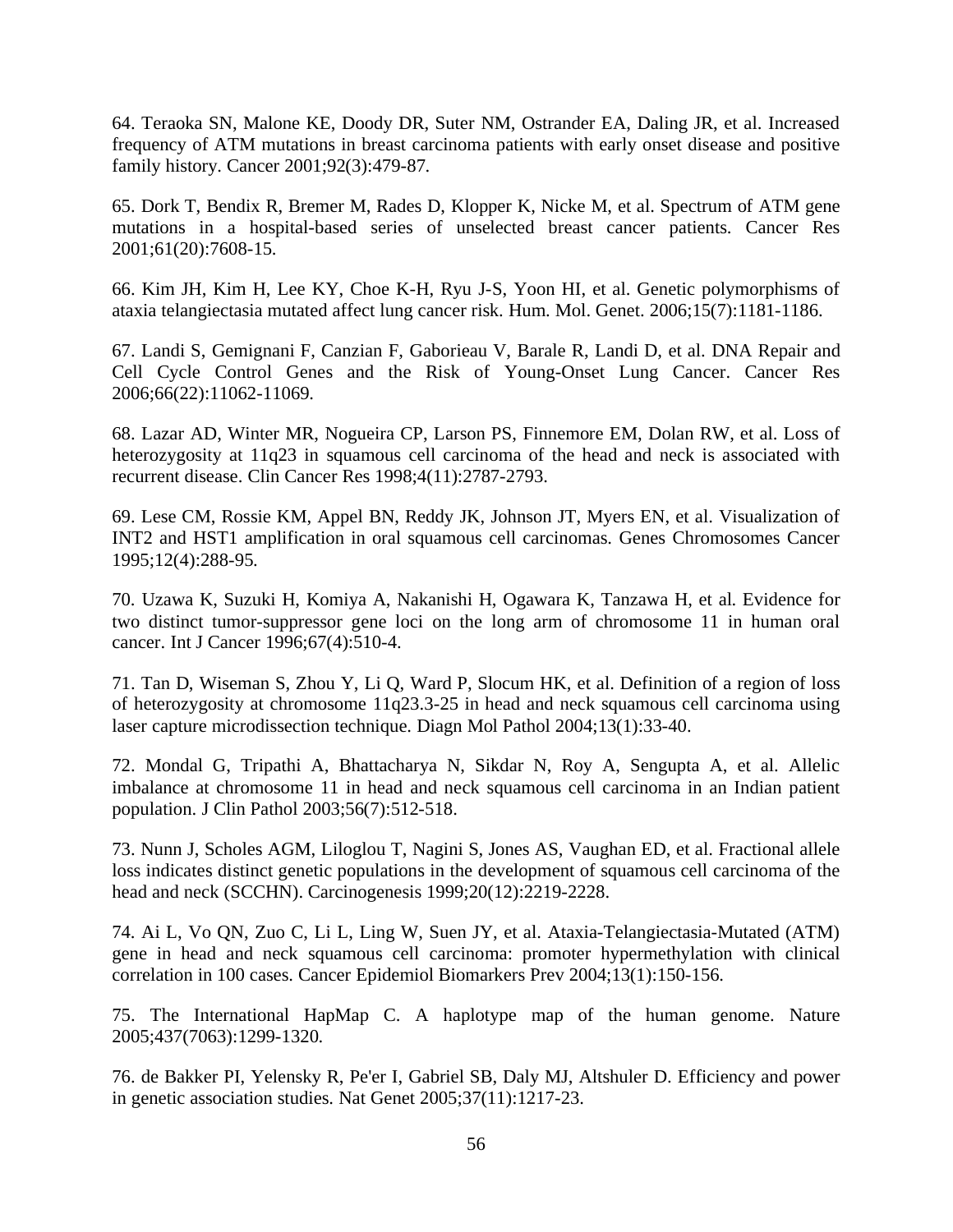<span id="page-65-0"></span>64. Teraoka SN, Malone KE, Doody DR, Suter NM, Ostrander EA, Daling JR, et al. Increased frequency of ATM mutations in breast carcinoma patients with early onset disease and positive family history. Cancer 2001;92(3):479-87.

65. Dork T, Bendix R, Bremer M, Rades D, Klopper K, Nicke M, et al. Spectrum of ATM gene mutations in a hospital-based series of unselected breast cancer patients. Cancer Res 2001;61(20):7608-15.

66. Kim JH, Kim H, Lee KY, Choe K-H, Ryu J-S, Yoon HI, et al. Genetic polymorphisms of ataxia telangiectasia mutated affect lung cancer risk. Hum. Mol. Genet. 2006;15(7):1181-1186.

67. Landi S, Gemignani F, Canzian F, Gaborieau V, Barale R, Landi D, et al. DNA Repair and Cell Cycle Control Genes and the Risk of Young-Onset Lung Cancer. Cancer Res 2006;66(22):11062-11069.

68. Lazar AD, Winter MR, Nogueira CP, Larson PS, Finnemore EM, Dolan RW, et al. Loss of heterozygosity at 11q23 in squamous cell carcinoma of the head and neck is associated with recurrent disease. Clin Cancer Res 1998;4(11):2787-2793.

69. Lese CM, Rossie KM, Appel BN, Reddy JK, Johnson JT, Myers EN, et al. Visualization of INT2 and HST1 amplification in oral squamous cell carcinomas. Genes Chromosomes Cancer 1995;12(4):288-95.

70. Uzawa K, Suzuki H, Komiya A, Nakanishi H, Ogawara K, Tanzawa H, et al. Evidence for two distinct tumor-suppressor gene loci on the long arm of chromosome 11 in human oral cancer. Int J Cancer 1996;67(4):510-4.

71. Tan D, Wiseman S, Zhou Y, Li Q, Ward P, Slocum HK, et al. Definition of a region of loss of heterozygosity at chromosome 11q23.3-25 in head and neck squamous cell carcinoma using laser capture microdissection technique. Diagn Mol Pathol 2004;13(1):33-40.

72. Mondal G, Tripathi A, Bhattacharya N, Sikdar N, Roy A, Sengupta A, et al. Allelic imbalance at chromosome 11 in head and neck squamous cell carcinoma in an Indian patient population. J Clin Pathol 2003;56(7):512-518.

73. Nunn J, Scholes AGM, Liloglou T, Nagini S, Jones AS, Vaughan ED, et al. Fractional allele loss indicates distinct genetic populations in the development of squamous cell carcinoma of the head and neck (SCCHN). Carcinogenesis 1999;20(12):2219-2228.

74. Ai L, Vo QN, Zuo C, Li L, Ling W, Suen JY, et al. Ataxia-Telangiectasia-Mutated (ATM) gene in head and neck squamous cell carcinoma: promoter hypermethylation with clinical correlation in 100 cases. Cancer Epidemiol Biomarkers Prev 2004;13(1):150-156.

75. The International HapMap C. A haplotype map of the human genome. Nature 2005;437(7063):1299-1320.

76. de Bakker PI, Yelensky R, Pe'er I, Gabriel SB, Daly MJ, Altshuler D. Efficiency and power in genetic association studies. Nat Genet 2005;37(11):1217-23.